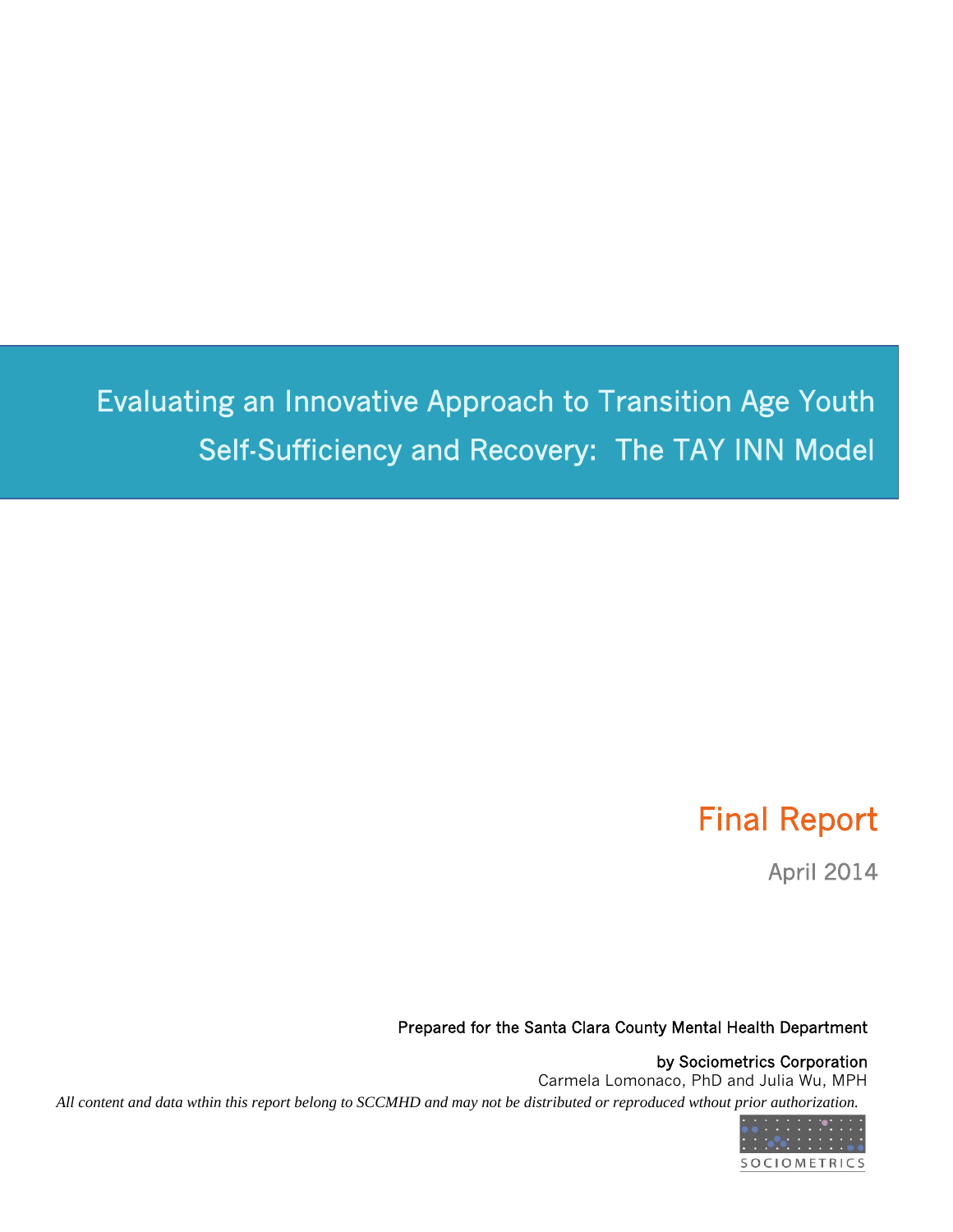Evaluating an Innovative Approach to Transition Age Youth Self-Sufficiency and Recovery: The TAY INN Model

## Final Report

April 2014

#### Prepared for the Santa Clara County Mental Health Department

by Sociometrics Corporation Carmela Lomonaco, PhD and Julia Wu, MPH *All content and data wthin this report belong to SCCMHD and may not be distributed or reproduced wthout prior authorization.*

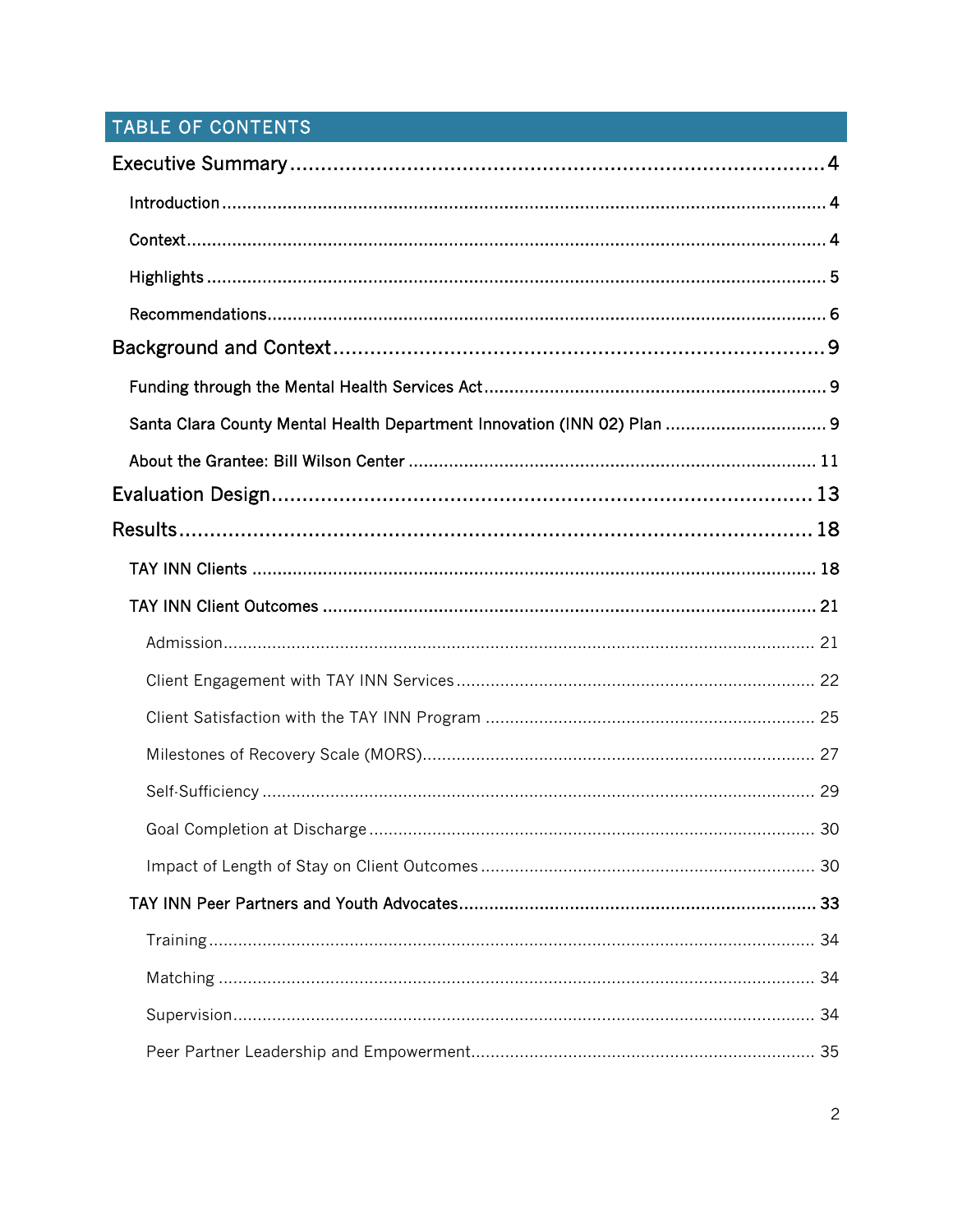## TABLE OF CONTENTS

| Santa Clara County Mental Health Department Innovation (INN 02) Plan  9 |  |
|-------------------------------------------------------------------------|--|
|                                                                         |  |
|                                                                         |  |
|                                                                         |  |
|                                                                         |  |
|                                                                         |  |
|                                                                         |  |
|                                                                         |  |
|                                                                         |  |
|                                                                         |  |
|                                                                         |  |
|                                                                         |  |
|                                                                         |  |
|                                                                         |  |
|                                                                         |  |
|                                                                         |  |
|                                                                         |  |
|                                                                         |  |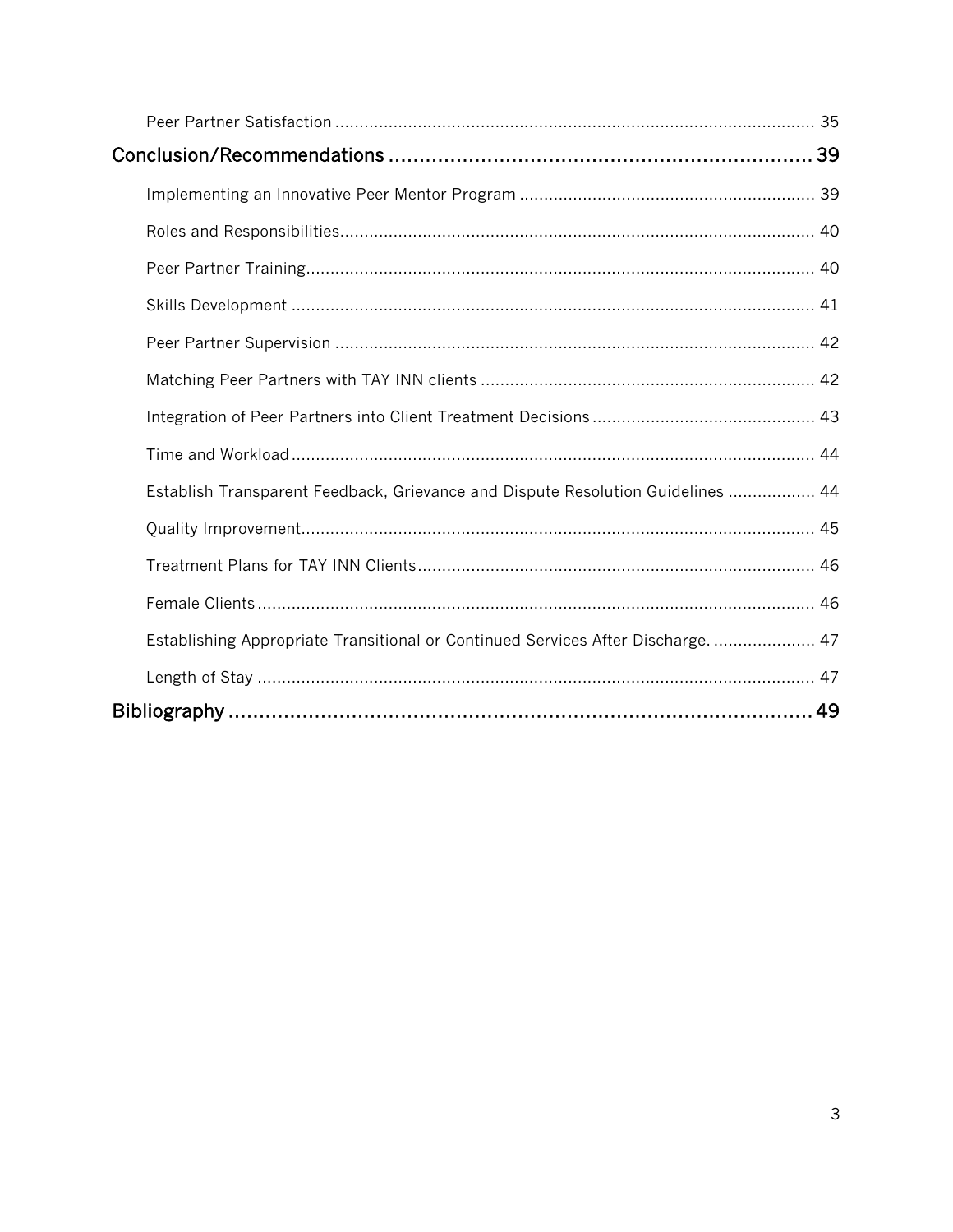| Establish Transparent Feedback, Grievance and Dispute Resolution Guidelines  44  |  |
|----------------------------------------------------------------------------------|--|
|                                                                                  |  |
|                                                                                  |  |
|                                                                                  |  |
| Establishing Appropriate Transitional or Continued Services After Discharge.  47 |  |
|                                                                                  |  |
|                                                                                  |  |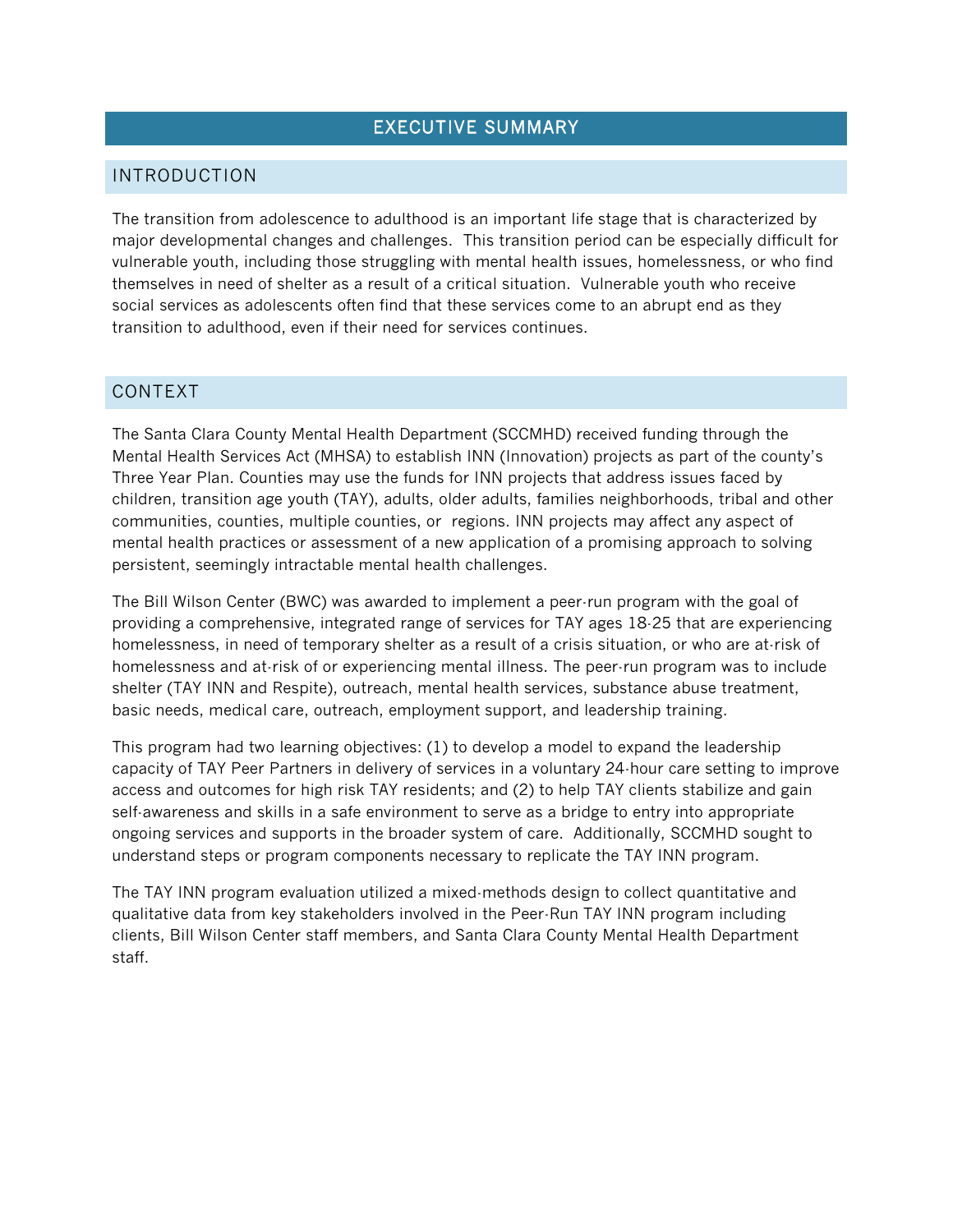## EXECUTIVE SUMMARY

#### INTRODUCTION

The transition from adolescence to adulthood is an important life stage that is characterized by major developmental changes and challenges. This transition period can be especially difficult for vulnerable youth, including those struggling with mental health issues, homelessness, or who find themselves in need of shelter as a result of a critical situation. Vulnerable youth who receive social services as adolescents often find that these services come to an abrupt end as they transition to adulthood, even if their need for services continues.

#### CONTEXT

The Santa Clara County Mental Health Department (SCCMHD) received funding through the Mental Health Services Act (MHSA) to establish INN (Innovation) projects as part of the county's Three Year Plan. Counties may use the funds for INN projects that address issues faced by children, transition age youth (TAY), adults, older adults, families neighborhoods, tribal and other communities, counties, multiple counties, or regions. INN projects may affect any aspect of mental health practices or assessment of a new application of a promising approach to solving persistent, seemingly intractable mental health challenges.

The Bill Wilson Center (BWC) was awarded to implement a peer-run program with the goal of providing a comprehensive, integrated range of services for TAY ages 18-25 that are experiencing homelessness, in need of temporary shelter as a result of a crisis situation, or who are at-risk of homelessness and at-risk of or experiencing mental illness. The peer-run program was to include shelter (TAY INN and Respite), outreach, mental health services, substance abuse treatment, basic needs, medical care, outreach, employment support, and leadership training.

This program had two learning objectives: (1) to develop a model to expand the leadership capacity of TAY Peer Partners in delivery of services in a voluntary 24-hour care setting to improve access and outcomes for high risk TAY residents; and (2) to help TAY clients stabilize and gain self-awareness and skills in a safe environment to serve as a bridge to entry into appropriate ongoing services and supports in the broader system of care. Additionally, SCCMHD sought to understand steps or program components necessary to replicate the TAY INN program.

The TAY INN program evaluation utilized a mixed-methods design to collect quantitative and qualitative data from key stakeholders involved in the Peer-Run TAY INN program including clients, Bill Wilson Center staff members, and Santa Clara County Mental Health Department staff.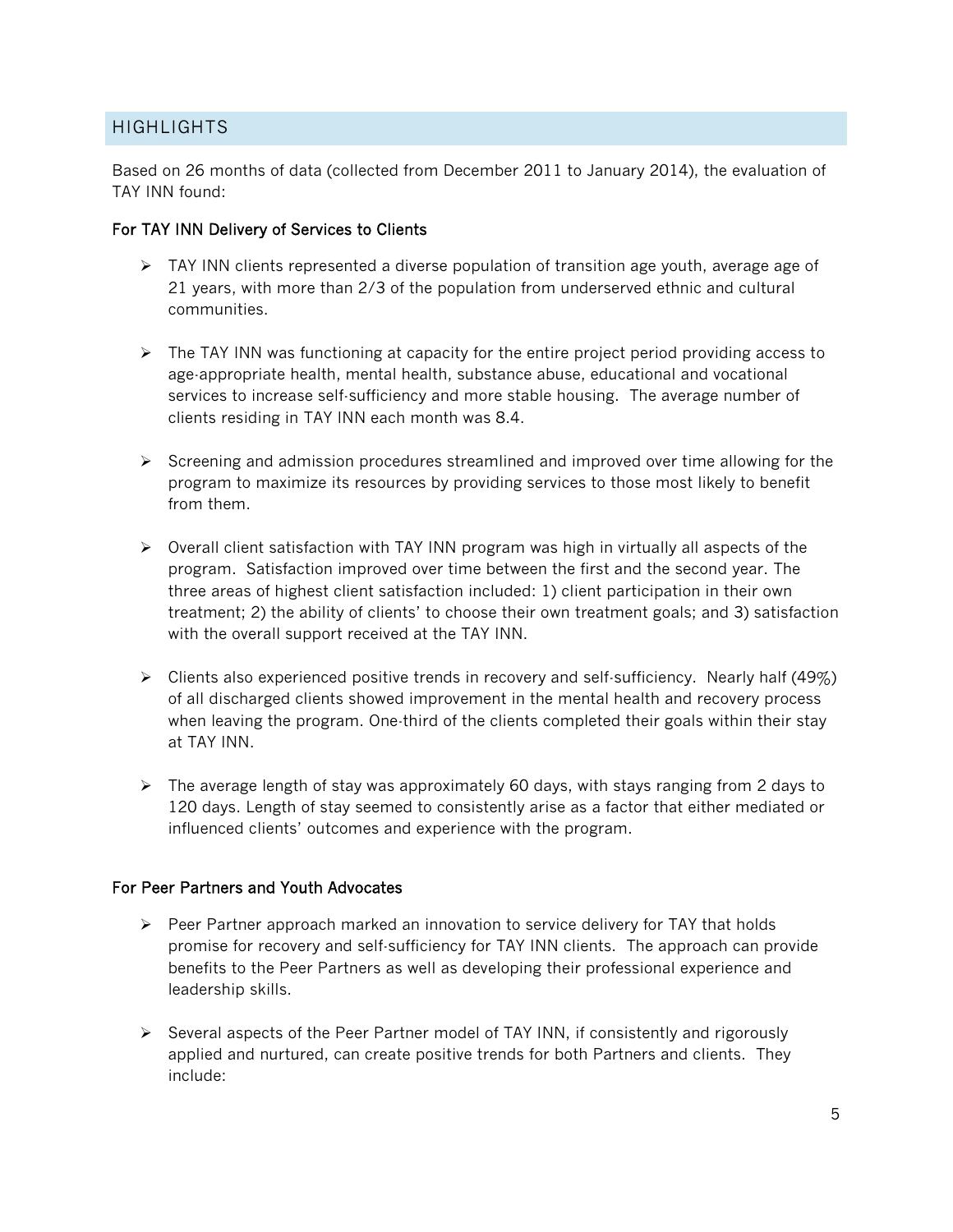#### HIGHLIGHTS

Based on 26 months of data (collected from December 2011 to January 2014), the evaluation of TAY INN found:

#### For TAY INN Delivery of Services to Clients

- $\triangleright$  TAY INN clients represented a diverse population of transition age youth, average age of 21 years, with more than 2/3 of the population from underserved ethnic and cultural communities.
- $\triangleright$  The TAY INN was functioning at capacity for the entire project period providing access to age-appropriate health, mental health, substance abuse, educational and vocational services to increase self-sufficiency and more stable housing. The average number of clients residing in TAY INN each month was 8.4.
- $\triangleright$  Screening and admission procedures streamlined and improved over time allowing for the program to maximize its resources by providing services to those most likely to benefit from them.
- $\triangleright$  Overall client satisfaction with TAY INN program was high in virtually all aspects of the program. Satisfaction improved over time between the first and the second year. The three areas of highest client satisfaction included: 1) client participation in their own treatment; 2) the ability of clients' to choose their own treatment goals; and 3) satisfaction with the overall support received at the TAY INN.
- $\triangleright$  Clients also experienced positive trends in recovery and self-sufficiency. Nearly half (49%) of all discharged clients showed improvement in the mental health and recovery process when leaving the program. One-third of the clients completed their goals within their stay at TAY INN.
- $\triangleright$  The average length of stay was approximately 60 days, with stays ranging from 2 days to 120 days. Length of stay seemed to consistently arise as a factor that either mediated or influenced clients' outcomes and experience with the program.

#### For Peer Partners and Youth Advocates

- $\triangleright$  Peer Partner approach marked an innovation to service delivery for TAY that holds promise for recovery and self-sufficiency for TAY INN clients. The approach can provide benefits to the Peer Partners as well as developing their professional experience and leadership skills.
- $\triangleright$  Several aspects of the Peer Partner model of TAY INN, if consistently and rigorously applied and nurtured, can create positive trends for both Partners and clients. They include: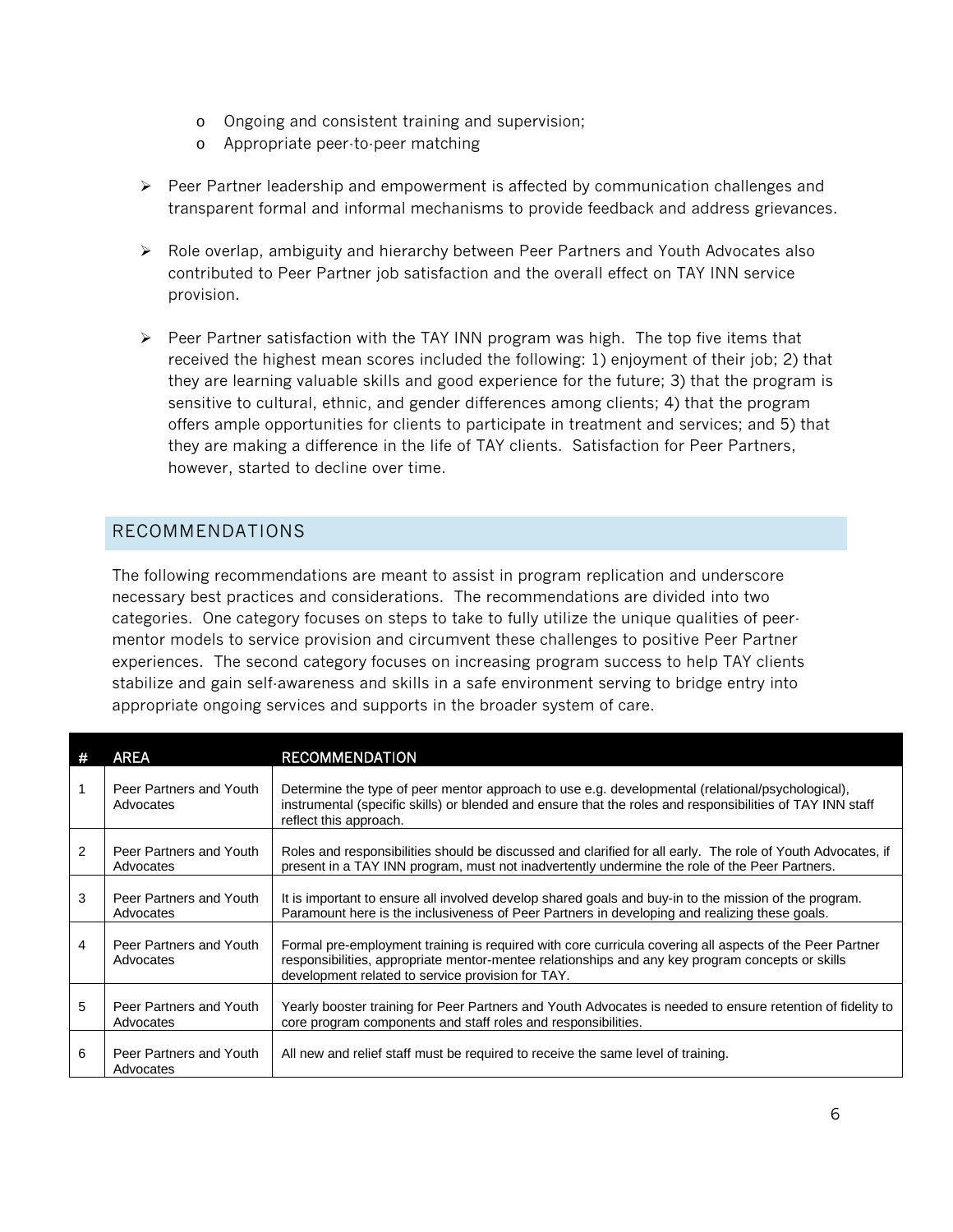- o Ongoing and consistent training and supervision;
- o Appropriate peer-to-peer matching
- $\triangleright$  Peer Partner leadership and empowerment is affected by communication challenges and transparent formal and informal mechanisms to provide feedback and address grievances.
- $\triangleright$  Role overlap, ambiguity and hierarchy between Peer Partners and Youth Advocates also contributed to Peer Partner job satisfaction and the overall effect on TAY INN service provision.
- $\triangleright$  Peer Partner satisfaction with the TAY INN program was high. The top five items that received the highest mean scores included the following: 1) enjoyment of their job; 2) that they are learning valuable skills and good experience for the future; 3) that the program is sensitive to cultural, ethnic, and gender differences among clients; 4) that the program offers ample opportunities for clients to participate in treatment and services; and 5) that they are making a difference in the life of TAY clients. Satisfaction for Peer Partners, however, started to decline over time.

#### RECOMMENDATIONS

The following recommendations are meant to assist in program replication and underscore necessary best practices and considerations. The recommendations are divided into two categories. One category focuses on steps to take to fully utilize the unique qualities of peermentor models to service provision and circumvent these challenges to positive Peer Partner experiences. The second category focuses on increasing program success to help TAY clients stabilize and gain self-awareness and skills in a safe environment serving to bridge entry into appropriate ongoing services and supports in the broader system of care.

| -# | AREA                                 | <b>RECOMMENDATION</b>                                                                                                                                                                                                                                            |
|----|--------------------------------------|------------------------------------------------------------------------------------------------------------------------------------------------------------------------------------------------------------------------------------------------------------------|
|    | Peer Partners and Youth<br>Advocates | Determine the type of peer mentor approach to use e.g. developmental (relational/psychological),<br>instrumental (specific skills) or blended and ensure that the roles and responsibilities of TAY INN staff<br>reflect this approach.                          |
| 2  | Peer Partners and Youth<br>Advocates | Roles and responsibilities should be discussed and clarified for all early. The role of Youth Advocates, if<br>present in a TAY INN program, must not inadvertently undermine the role of the Peer Partners.                                                     |
| 3  | Peer Partners and Youth<br>Advocates | It is important to ensure all involved develop shared goals and buy-in to the mission of the program.<br>Paramount here is the inclusiveness of Peer Partners in developing and realizing these goals.                                                           |
| 4  | Peer Partners and Youth<br>Advocates | Formal pre-employment training is required with core curricula covering all aspects of the Peer Partner<br>responsibilities, appropriate mentor-mentee relationships and any key program concepts or skills<br>development related to service provision for TAY. |
| 5  | Peer Partners and Youth<br>Advocates | Yearly booster training for Peer Partners and Youth Advocates is needed to ensure retention of fidelity to<br>core program components and staff roles and responsibilities.                                                                                      |
| 6  | Peer Partners and Youth<br>Advocates | All new and relief staff must be required to receive the same level of training.                                                                                                                                                                                 |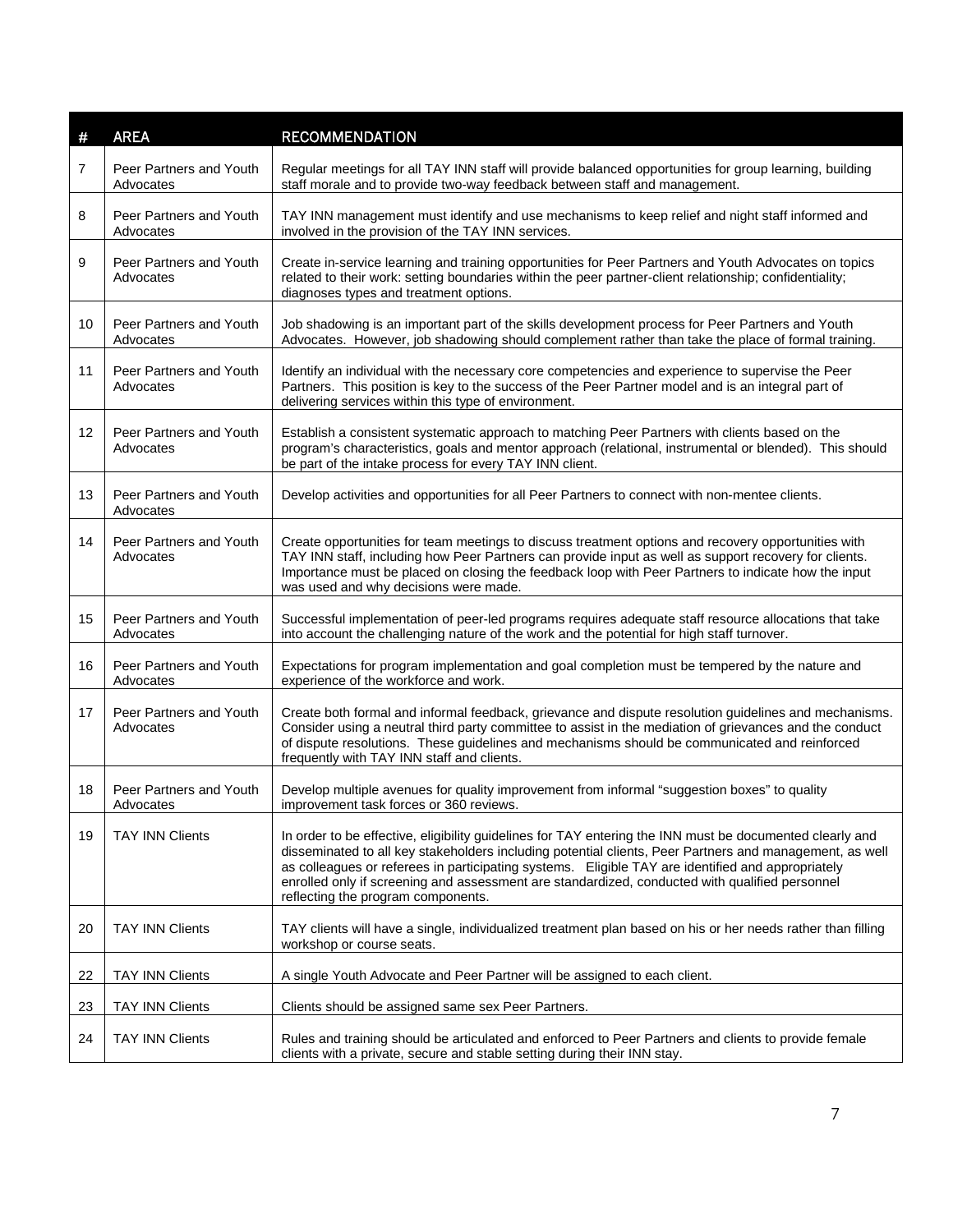| #  | <b>AREA</b>                          | <b>RECOMMENDATION</b>                                                                                                                                                                                                                                                                                                                                                                                                                                            |
|----|--------------------------------------|------------------------------------------------------------------------------------------------------------------------------------------------------------------------------------------------------------------------------------------------------------------------------------------------------------------------------------------------------------------------------------------------------------------------------------------------------------------|
| 7  | Peer Partners and Youth<br>Advocates | Regular meetings for all TAY INN staff will provide balanced opportunities for group learning, building<br>staff morale and to provide two-way feedback between staff and management.                                                                                                                                                                                                                                                                            |
| 8  | Peer Partners and Youth<br>Advocates | TAY INN management must identify and use mechanisms to keep relief and night staff informed and<br>involved in the provision of the TAY INN services.                                                                                                                                                                                                                                                                                                            |
| 9  | Peer Partners and Youth<br>Advocates | Create in-service learning and training opportunities for Peer Partners and Youth Advocates on topics<br>related to their work: setting boundaries within the peer partner-client relationship; confidentiality;<br>diagnoses types and treatment options.                                                                                                                                                                                                       |
| 10 | Peer Partners and Youth<br>Advocates | Job shadowing is an important part of the skills development process for Peer Partners and Youth<br>Advocates. However, job shadowing should complement rather than take the place of formal training.                                                                                                                                                                                                                                                           |
| 11 | Peer Partners and Youth<br>Advocates | Identify an individual with the necessary core competencies and experience to supervise the Peer<br>Partners. This position is key to the success of the Peer Partner model and is an integral part of<br>delivering services within this type of environment.                                                                                                                                                                                                   |
| 12 | Peer Partners and Youth<br>Advocates | Establish a consistent systematic approach to matching Peer Partners with clients based on the<br>program's characteristics, goals and mentor approach (relational, instrumental or blended). This should<br>be part of the intake process for every TAY INN client.                                                                                                                                                                                             |
| 13 | Peer Partners and Youth<br>Advocates | Develop activities and opportunities for all Peer Partners to connect with non-mentee clients.                                                                                                                                                                                                                                                                                                                                                                   |
| 14 | Peer Partners and Youth<br>Advocates | Create opportunities for team meetings to discuss treatment options and recovery opportunities with<br>TAY INN staff, including how Peer Partners can provide input as well as support recovery for clients.<br>Importance must be placed on closing the feedback loop with Peer Partners to indicate how the input<br>was used and why decisions were made.                                                                                                     |
| 15 | Peer Partners and Youth<br>Advocates | Successful implementation of peer-led programs requires adequate staff resource allocations that take<br>into account the challenging nature of the work and the potential for high staff turnover.                                                                                                                                                                                                                                                              |
| 16 | Peer Partners and Youth<br>Advocates | Expectations for program implementation and goal completion must be tempered by the nature and<br>experience of the workforce and work.                                                                                                                                                                                                                                                                                                                          |
| 17 | Peer Partners and Youth<br>Advocates | Create both formal and informal feedback, grievance and dispute resolution guidelines and mechanisms.<br>Consider using a neutral third party committee to assist in the mediation of grievances and the conduct<br>of dispute resolutions. These guidelines and mechanisms should be communicated and reinforced<br>frequently with TAY INN staff and clients.                                                                                                  |
| 18 | Peer Partners and Youth<br>Advocates | Develop multiple avenues for quality improvement from informal "suggestion boxes" to quality<br>improvement task forces or 360 reviews.                                                                                                                                                                                                                                                                                                                          |
| 19 | <b>TAY INN Clients</b>               | In order to be effective, eligibility guidelines for TAY entering the INN must be documented clearly and<br>disseminated to all key stakeholders including potential clients, Peer Partners and management, as well<br>as colleagues or referees in participating systems. Eligible TAY are identified and appropriately<br>enrolled only if screening and assessment are standardized, conducted with qualified personnel<br>reflecting the program components. |
| 20 | <b>TAY INN Clients</b>               | TAY clients will have a single, individualized treatment plan based on his or her needs rather than filling<br>workshop or course seats.                                                                                                                                                                                                                                                                                                                         |
| 22 | <b>TAY INN Clients</b>               | A single Youth Advocate and Peer Partner will be assigned to each client.                                                                                                                                                                                                                                                                                                                                                                                        |
| 23 | <b>TAY INN Clients</b>               | Clients should be assigned same sex Peer Partners.                                                                                                                                                                                                                                                                                                                                                                                                               |
| 24 | <b>TAY INN Clients</b>               | Rules and training should be articulated and enforced to Peer Partners and clients to provide female<br>clients with a private, secure and stable setting during their INN stay.                                                                                                                                                                                                                                                                                 |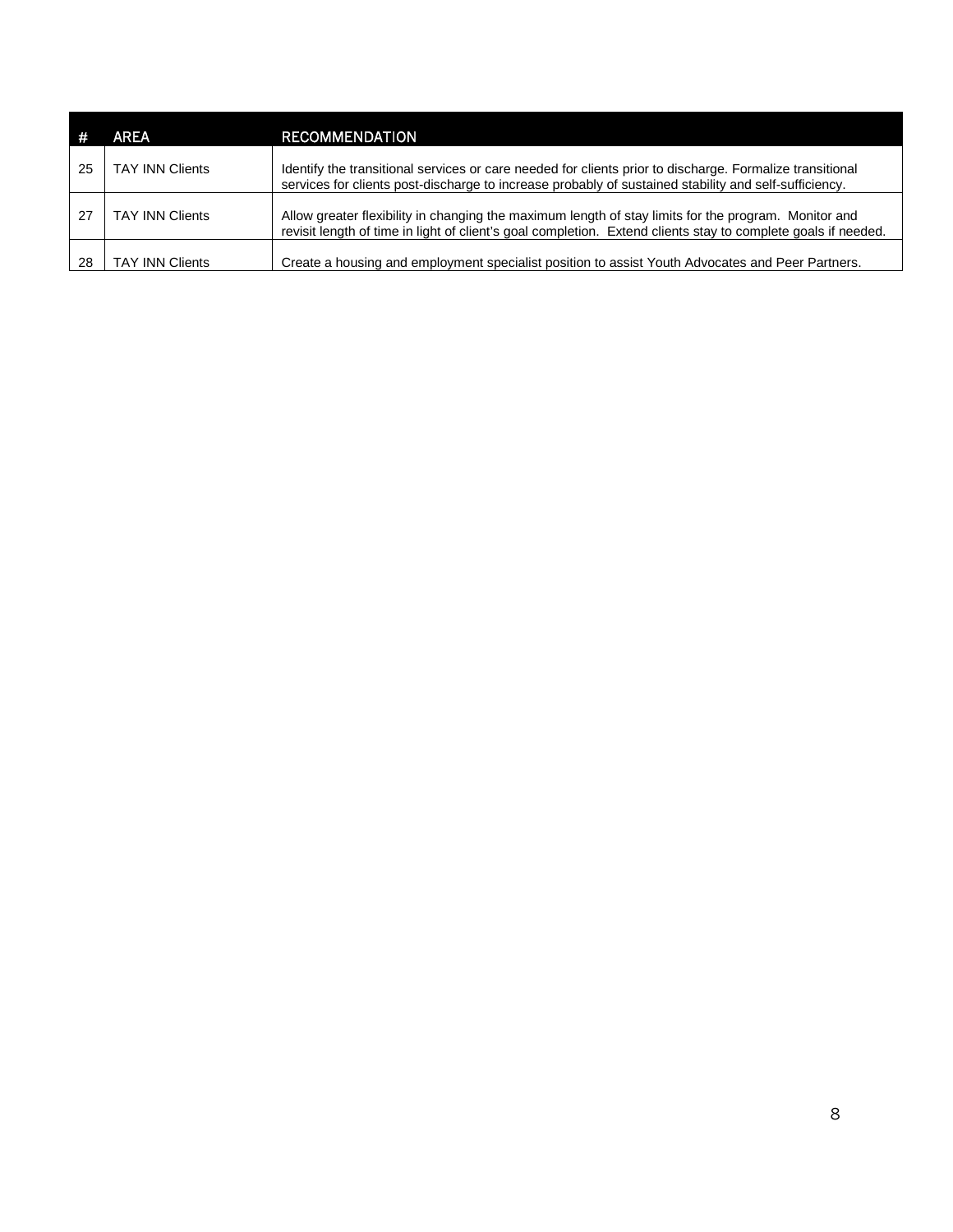|    | <b>AREA</b>            | <b>RECOMMENDATION</b>                                                                                                                                                                                                 |
|----|------------------------|-----------------------------------------------------------------------------------------------------------------------------------------------------------------------------------------------------------------------|
| 25 | <b>TAY INN Clients</b> | Identify the transitional services or care needed for clients prior to discharge. Formalize transitional<br>services for clients post-discharge to increase probably of sustained stability and self-sufficiency.     |
| 27 | <b>TAY INN Clients</b> | Allow greater flexibility in changing the maximum length of stay limits for the program. Monitor and<br>revisit length of time in light of client's goal completion. Extend clients stay to complete goals if needed. |
| 28 | <b>TAY INN Clients</b> | Create a housing and employment specialist position to assist Youth Advocates and Peer Partners.                                                                                                                      |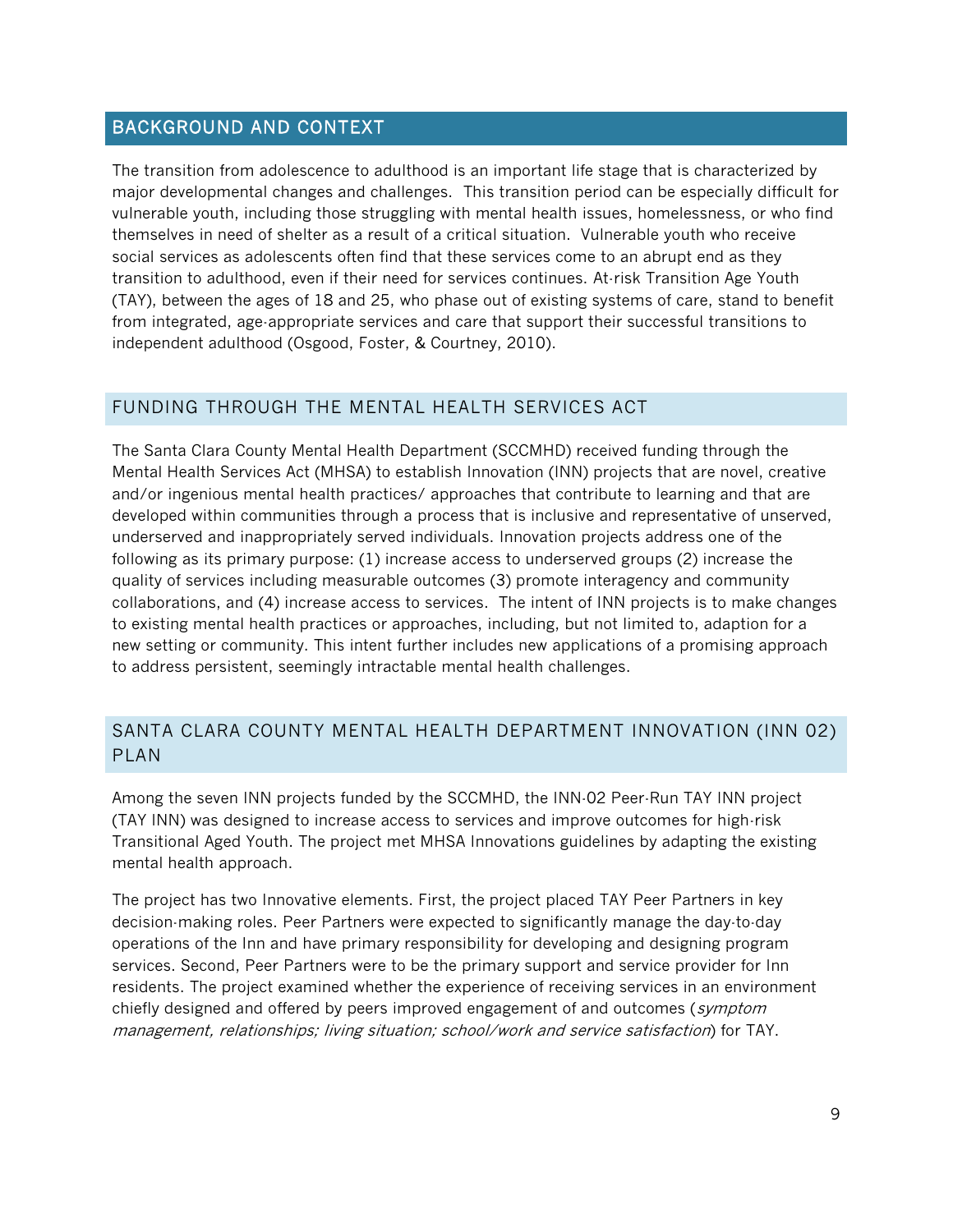#### BACKGROUND AND CONTEXT

The transition from adolescence to adulthood is an important life stage that is characterized by major developmental changes and challenges. This transition period can be especially difficult for vulnerable youth, including those struggling with mental health issues, homelessness, or who find themselves in need of shelter as a result of a critical situation. Vulnerable youth who receive social services as adolescents often find that these services come to an abrupt end as they transition to adulthood, even if their need for services continues. At-risk Transition Age Youth (TAY), between the ages of 18 and 25, who phase out of existing systems of care, stand to benefit from integrated, age-appropriate services and care that support their successful transitions to independent adulthood (Osgood, Foster, & Courtney, 2010).

#### FUNDING THROUGH THE MENTAL HEALTH SERVICES ACT

The Santa Clara County Mental Health Department (SCCMHD) received funding through the Mental Health Services Act (MHSA) to establish Innovation (INN) projects that are novel, creative and/or ingenious mental health practices/ approaches that contribute to learning and that are developed within communities through a process that is inclusive and representative of unserved, underserved and inappropriately served individuals. Innovation projects address one of the following as its primary purpose: (1) increase access to underserved groups (2) increase the quality of services including measurable outcomes (3) promote interagency and community collaborations, and (4) increase access to services. The intent of INN projects is to make changes to existing mental health practices or approaches, including, but not limited to, adaption for a new setting or community. This intent further includes new applications of a promising approach to address persistent, seemingly intractable mental health challenges.

## SANTA CLARA COUNTY MENTAL HEALTH DEPARTMENT INNOVATION (INN 02) PLAN

Among the seven INN projects funded by the SCCMHD, the INN-02 Peer-Run TAY INN project (TAY INN) was designed to increase access to services and improve outcomes for high-risk Transitional Aged Youth. The project met MHSA Innovations guidelines by adapting the existing mental health approach.

The project has two Innovative elements. First, the project placed TAY Peer Partners in key decision-making roles. Peer Partners were expected to significantly manage the day-to-day operations of the Inn and have primary responsibility for developing and designing program services. Second, Peer Partners were to be the primary support and service provider for Inn residents. The project examined whether the experience of receiving services in an environment chiefly designed and offered by peers improved engagement of and outcomes (symptom management, relationships; living situation; school/work and service satisfaction) for TAY.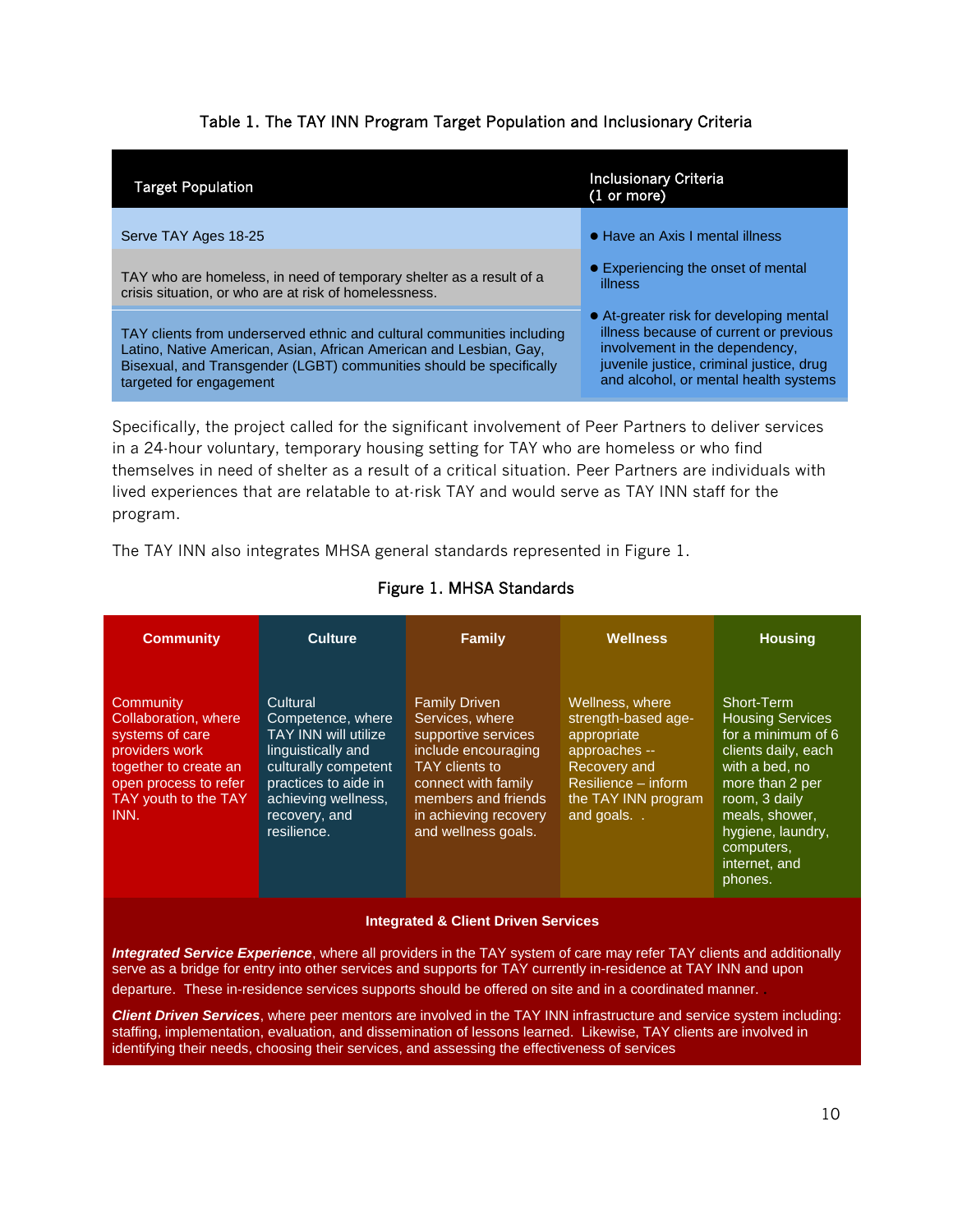#### Table 1. The TAY INN Program Target Population and Inclusionary Criteria

| <b>Target Population</b>                                                                                                                                                                                                                       | <b>Inclusionary Criteria</b><br>$(1 \text{ or more})$                                                                                                                                                    |
|------------------------------------------------------------------------------------------------------------------------------------------------------------------------------------------------------------------------------------------------|----------------------------------------------------------------------------------------------------------------------------------------------------------------------------------------------------------|
| Serve TAY Ages 18-25                                                                                                                                                                                                                           | • Have an Axis I mental illness                                                                                                                                                                          |
| TAY who are homeless, in need of temporary shelter as a result of a<br>crisis situation, or who are at risk of homelessness.                                                                                                                   | • Experiencing the onset of mental<br>illness                                                                                                                                                            |
| TAY clients from underserved ethnic and cultural communities including<br>Latino, Native American, Asian, African American and Lesbian, Gay,<br>Bisexual, and Transgender (LGBT) communities should be specifically<br>targeted for engagement | • At-greater risk for developing mental<br>illness because of current or previous<br>involvement in the dependency.<br>juvenile justice, criminal justice, drug<br>and alcohol, or mental health systems |
|                                                                                                                                                                                                                                                |                                                                                                                                                                                                          |

Specifically, the project called for the significant involvement of Peer Partners to deliver services in a 24-hour voluntary, temporary housing setting for TAY who are homeless or who find themselves in need of shelter as a result of a critical situation. Peer Partners are individuals with lived experiences that are relatable to at-risk TAY and would serve as TAY INN staff for the program.

The TAY INN also integrates MHSA general standards represented in Figure 1.

| <b>Community</b>                                                                                                                                         | <b>Culture</b>                                                                                                                                                                            | Family                                                                                                                                                                                                | <b>Wellness</b>                                                                                                                                   | <b>Housing</b>                                                                                                                                                                                                            |
|----------------------------------------------------------------------------------------------------------------------------------------------------------|-------------------------------------------------------------------------------------------------------------------------------------------------------------------------------------------|-------------------------------------------------------------------------------------------------------------------------------------------------------------------------------------------------------|---------------------------------------------------------------------------------------------------------------------------------------------------|---------------------------------------------------------------------------------------------------------------------------------------------------------------------------------------------------------------------------|
| Community<br>Collaboration, where<br>systems of care<br>providers work<br>together to create an<br>open process to refer<br>TAY youth to the TAY<br>INN. | Cultural<br>Competence, where<br><b>TAY INN will utilize</b><br>linguistically and<br>culturally competent<br>practices to aide in<br>achieving wellness,<br>recovery, and<br>resilience. | <b>Family Driven</b><br>Services, where<br>supportive services<br>include encouraging<br>TAY clients to<br>connect with family<br>members and friends<br>in achieving recovery<br>and wellness goals. | Wellness, where<br>strength-based age-<br>appropriate<br>approaches --<br>Recovery and<br>Resilience – inform<br>the TAY INN program<br>and goals | Short-Term<br><b>Housing Services</b><br>for a minimum of 6<br>clients daily, each<br>with a bed, no<br>more than 2 per<br>room, 3 daily<br>meals, shower,<br>hygiene, laundry,<br>computers,<br>internet, and<br>phones. |

#### Figure 1. MHSA Standards

#### **Integrated & Client Driven Services**

*Integrated Service Experience*, where all providers in the TAY system of care may refer TAY clients and additionally serve as a bridge for entry into other services and supports for TAY currently in-residence at TAY INN and upon departure. These in-residence services supports should be offered on site and in a coordinated manner. .

*Client Driven Services*, where peer mentors are involved in the TAY INN infrastructure and service system including: staffing, implementation, evaluation, and dissemination of lessons learned. Likewise, TAY clients are involved in identifying their needs, choosing their services, and assessing the effectiveness of services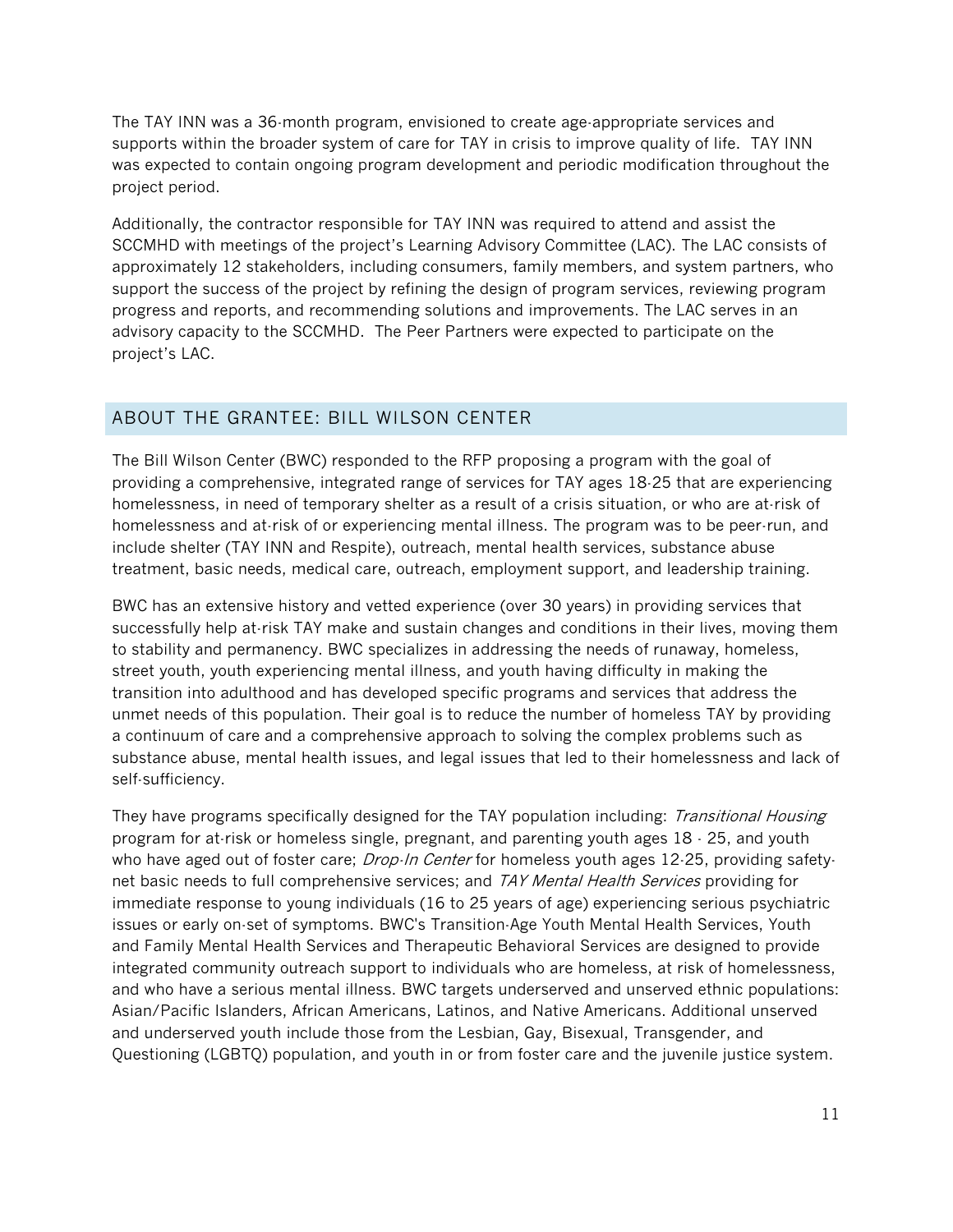The TAY INN was a 36-month program, envisioned to create age-appropriate services and supports within the broader system of care for TAY in crisis to improve quality of life. TAY INN was expected to contain ongoing program development and periodic modification throughout the project period.

Additionally, the contractor responsible for TAY INN was required to attend and assist the SCCMHD with meetings of the project's Learning Advisory Committee (LAC). The LAC consists of approximately 12 stakeholders, including consumers, family members, and system partners, who support the success of the project by refining the design of program services, reviewing program progress and reports, and recommending solutions and improvements. The LAC serves in an advisory capacity to the SCCMHD. The Peer Partners were expected to participate on the project's LAC.

#### ABOUT THE GRANTEE: BILL WILSON CENTER

The Bill Wilson Center (BWC) responded to the RFP proposing a program with the goal of providing a comprehensive, integrated range of services for TAY ages 18-25 that are experiencing homelessness, in need of temporary shelter as a result of a crisis situation, or who are at-risk of homelessness and at-risk of or experiencing mental illness. The program was to be peer-run, and include shelter (TAY INN and Respite), outreach, mental health services, substance abuse treatment, basic needs, medical care, outreach, employment support, and leadership training.

BWC has an extensive history and vetted experience (over 30 years) in providing services that successfully help at-risk TAY make and sustain changes and conditions in their lives, moving them to stability and permanency. BWC specializes in addressing the needs of runaway, homeless, street youth, youth experiencing mental illness, and youth having difficulty in making the transition into adulthood and has developed specific programs and services that address the unmet needs of this population. Their goal is to reduce the number of homeless TAY by providing a continuum of care and a comprehensive approach to solving the complex problems such as substance abuse, mental health issues, and legal issues that led to their homelessness and lack of self-sufficiency.

They have programs specifically designed for the TAY population including: Transitional Housing program for at-risk or homeless single, pregnant, and parenting youth ages 18 - 25, and youth who have aged out of foster care; *Drop-In Center* for homeless youth ages 12-25, providing safetynet basic needs to full comprehensive services; and TAY Mental Health Services providing for immediate response to young individuals (16 to 25 years of age) experiencing serious psychiatric issues or early on-set of symptoms. BWC's Transition-Age Youth Mental Health Services, Youth and Family Mental Health Services and Therapeutic Behavioral Services are designed to provide integrated community outreach support to individuals who are homeless, at risk of homelessness, and who have a serious mental illness. BWC targets underserved and unserved ethnic populations: Asian/Pacific Islanders, African Americans, Latinos, and Native Americans. Additional unserved and underserved youth include those from the Lesbian, Gay, Bisexual, Transgender, and Questioning (LGBTQ) population, and youth in or from foster care and the juvenile justice system.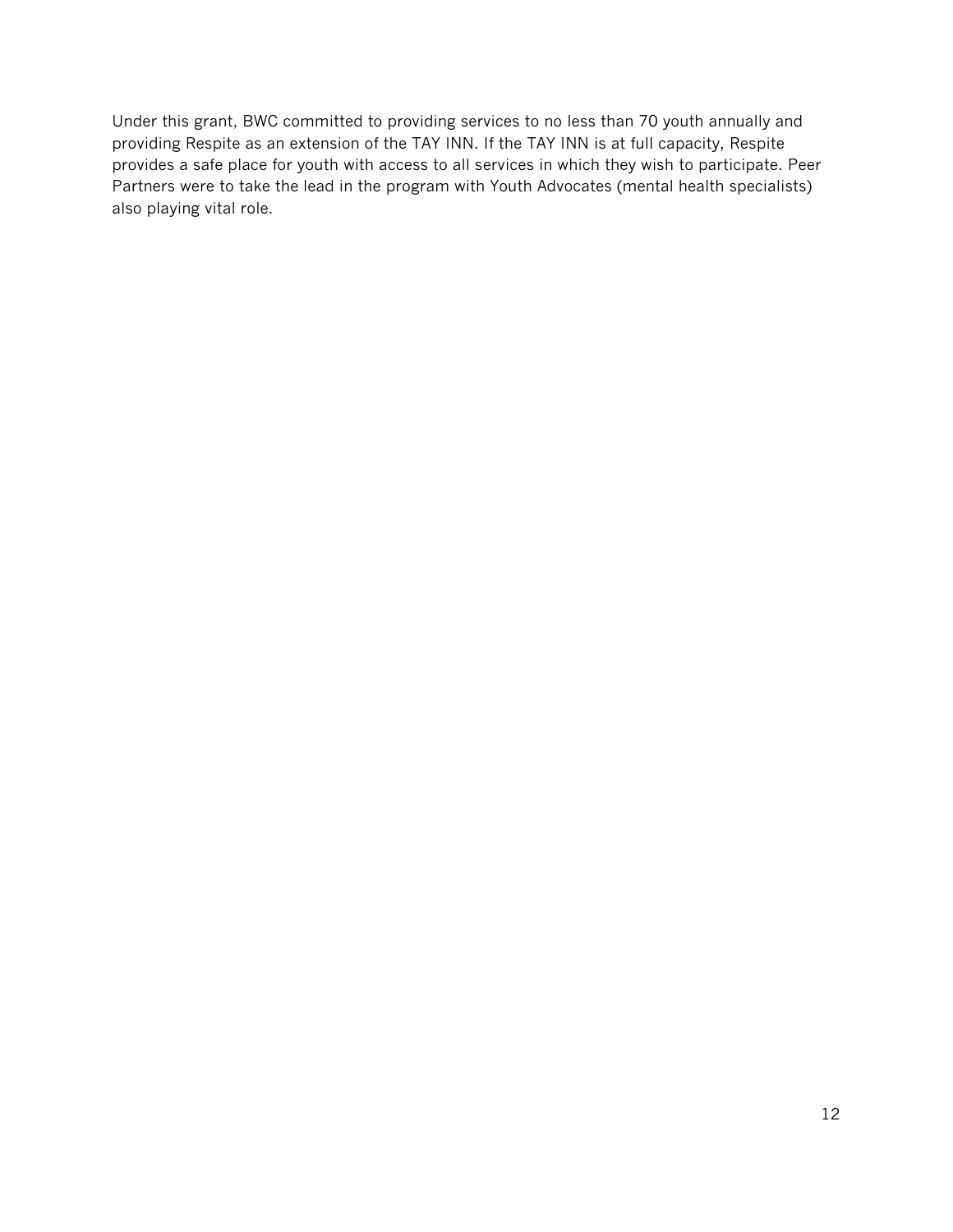Under this grant, BWC committed to providing services to no less than 70 youth annually and providing Respite as an extension of the TAY INN. If the TAY INN is at full capacity, Respite provides a safe place for youth with access to all services in which they wish to participate. Peer Partners were to take the lead in the program with Youth Advocates (mental health specialists) also playing vital role.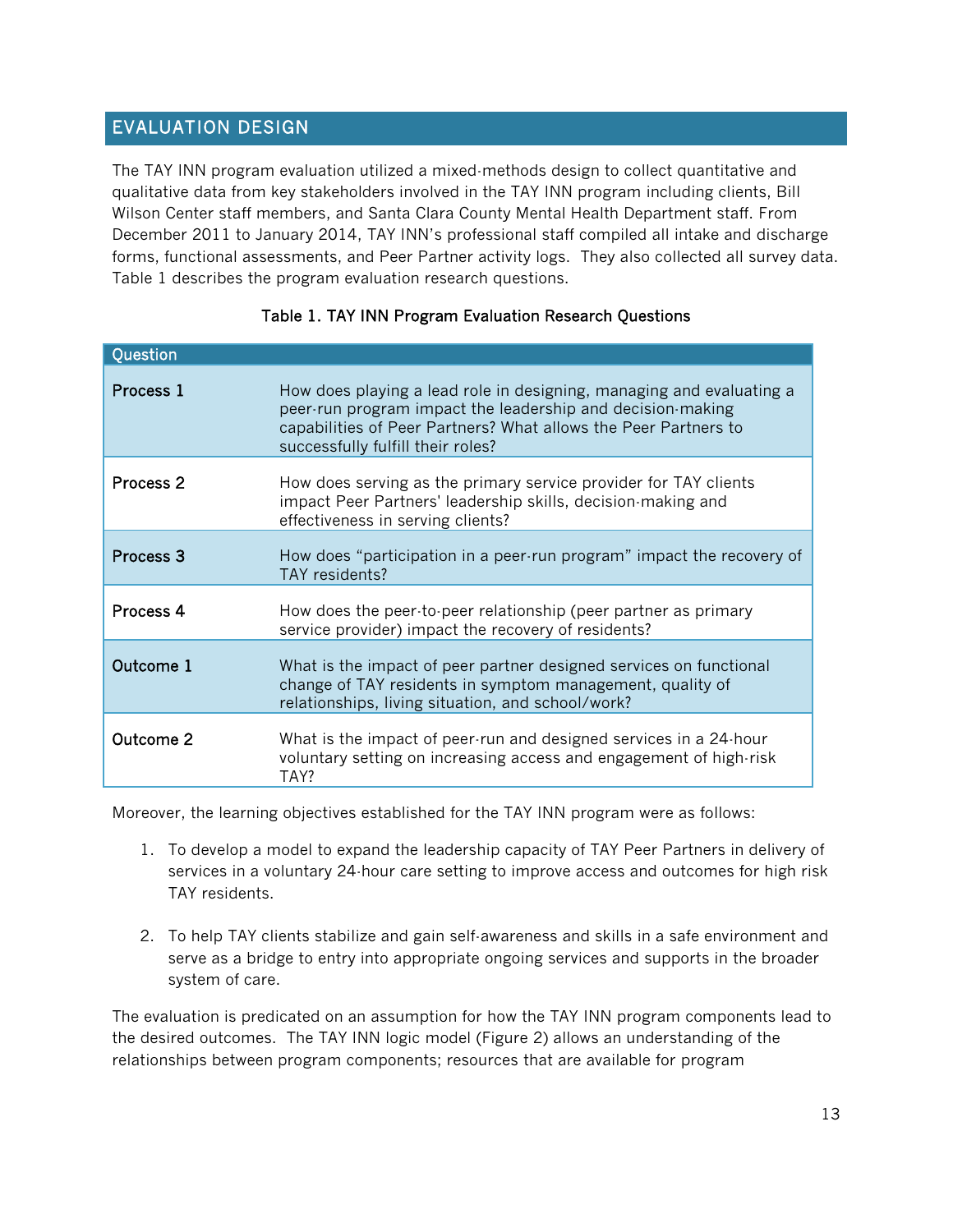## EVALUATION DESIGN

The TAY INN program evaluation utilized a mixed-methods design to collect quantitative and qualitative data from key stakeholders involved in the TAY INN program including clients, Bill Wilson Center staff members, and Santa Clara County Mental Health Department staff. From December 2011 to January 2014, TAY INN's professional staff compiled all intake and discharge forms, functional assessments, and Peer Partner activity logs. They also collected all survey data. Table 1 describes the program evaluation research questions.

| Question             |                                                                                                                                                                                                                                            |
|----------------------|--------------------------------------------------------------------------------------------------------------------------------------------------------------------------------------------------------------------------------------------|
| Process 1            | How does playing a lead role in designing, managing and evaluating a<br>peer-run program impact the leadership and decision-making<br>capabilities of Peer Partners? What allows the Peer Partners to<br>successfully fulfill their roles? |
| Process 2            | How does serving as the primary service provider for TAY clients<br>impact Peer Partners' leadership skills, decision-making and<br>effectiveness in serving clients?                                                                      |
| Process <sub>3</sub> | How does "participation in a peer-run program" impact the recovery of<br>TAY residents?                                                                                                                                                    |
| Process 4            | How does the peer-to-peer relationship (peer partner as primary<br>service provider) impact the recovery of residents?                                                                                                                     |
| Outcome 1            | What is the impact of peer partner designed services on functional<br>change of TAY residents in symptom management, quality of<br>relationships, living situation, and school/work?                                                       |
| Outcome 2            | What is the impact of peer-run and designed services in a 24-hour<br>voluntary setting on increasing access and engagement of high-risk<br>TAY?                                                                                            |

#### Table 1. TAY INN Program Evaluation Research Questions

Moreover, the learning objectives established for the TAY INN program were as follows:

- 1. To develop a model to expand the leadership capacity of TAY Peer Partners in delivery of services in a voluntary 24-hour care setting to improve access and outcomes for high risk TAY residents.
- 2. To help TAY clients stabilize and gain self-awareness and skills in a safe environment and serve as a bridge to entry into appropriate ongoing services and supports in the broader system of care.

The evaluation is predicated on an assumption for how the TAY INN program components lead to the desired outcomes. The TAY INN logic model (Figure 2) allows an understanding of the relationships between program components; resources that are available for program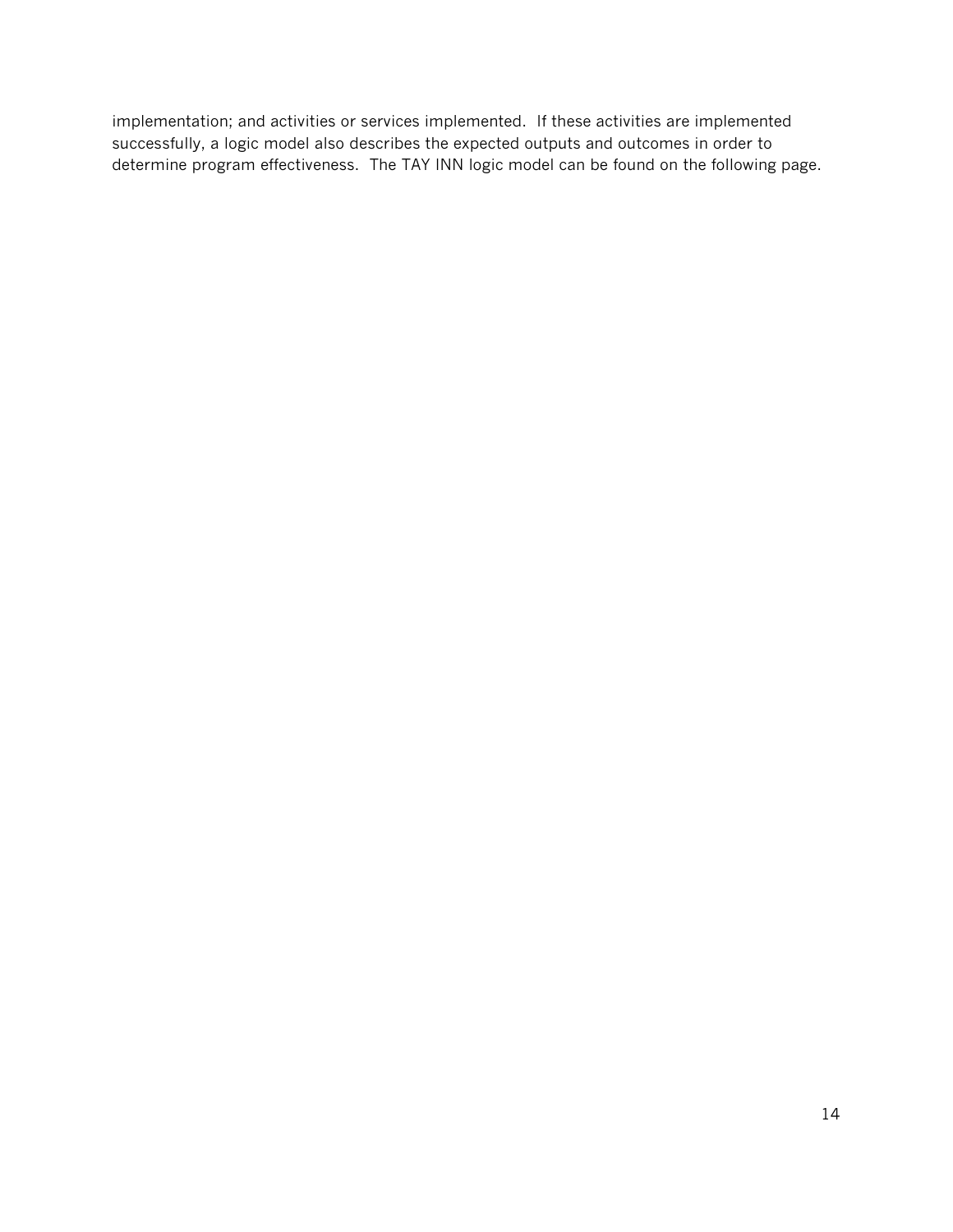implementation; and activities or services implemented. If these activities are implemented successfully, a logic model also describes the expected outputs and outcomes in order to determine program effectiveness. The TAY INN logic model can be found on the following page.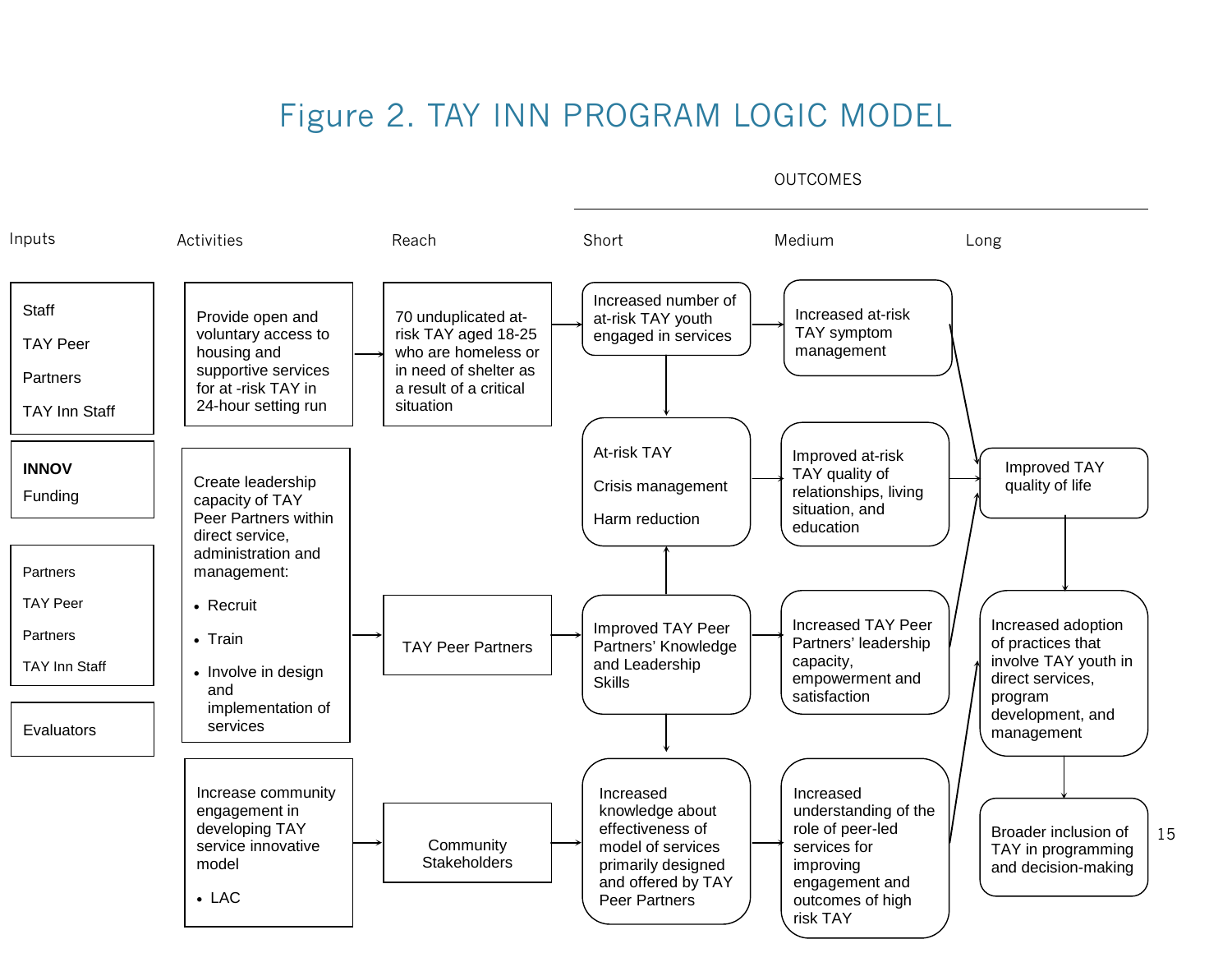# Figure 2. TAY INN PROGRAM LOGIC MODEL



OUTCOMES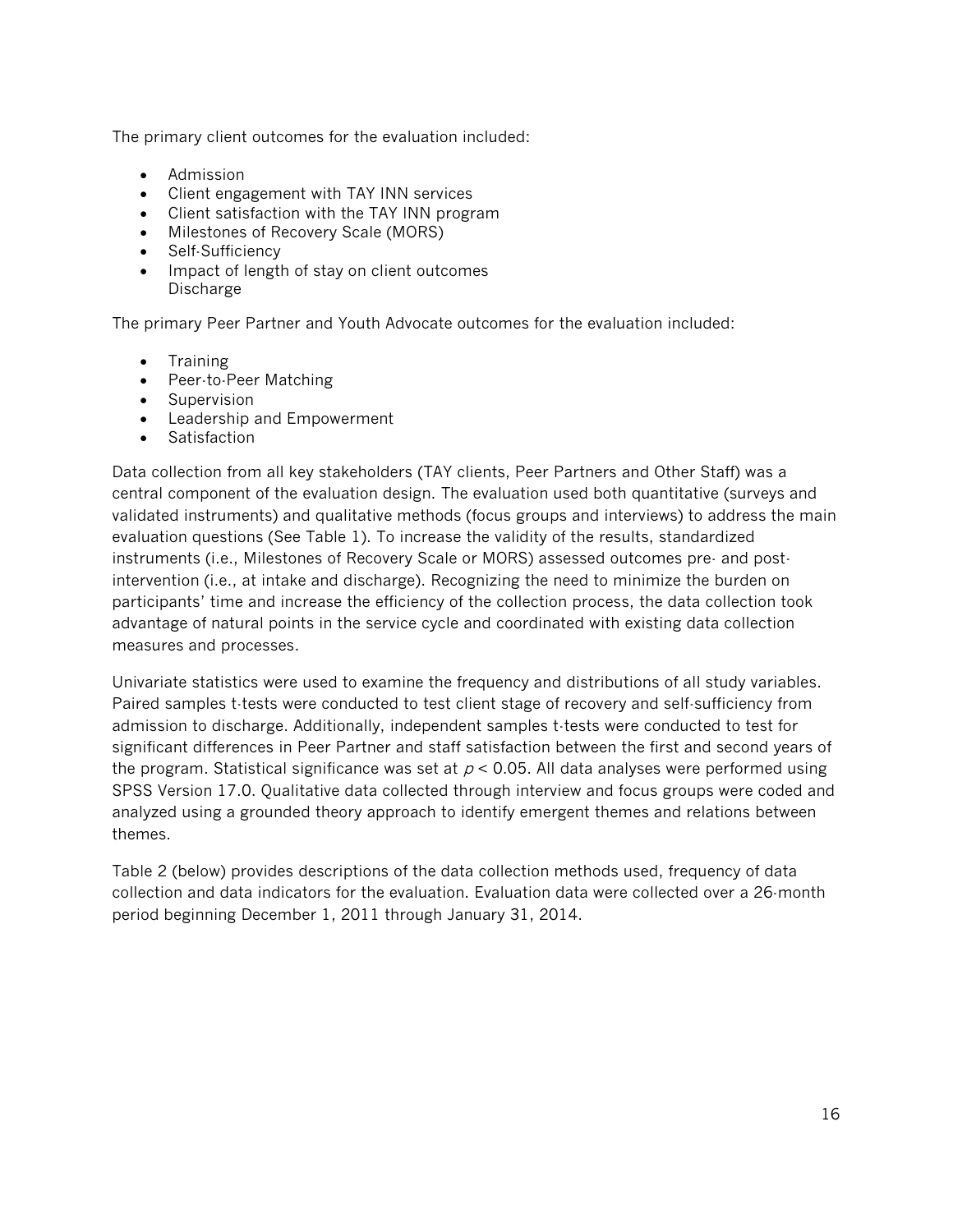The primary client outcomes for the evaluation included:

- Admission
- Client engagement with TAY INN services
- Client satisfaction with the TAY INN program
- Milestones of Recovery Scale (MORS)
- Self-Sufficiency
- Impact of length of stay on client outcomes Discharge

The primary Peer Partner and Youth Advocate outcomes for the evaluation included:

- Training
- Peer-to-Peer Matching
- Supervision
- Leadership and Empowerment
- Satisfaction

Data collection from all key stakeholders (TAY clients, Peer Partners and Other Staff) was a central component of the evaluation design. The evaluation used both quantitative (surveys and validated instruments) and qualitative methods (focus groups and interviews) to address the main evaluation questions (See Table 1). To increase the validity of the results, standardized instruments (i.e., Milestones of Recovery Scale or MORS) assessed outcomes pre- and postintervention (i.e., at intake and discharge). Recognizing the need to minimize the burden on participants' time and increase the efficiency of the collection process, the data collection took advantage of natural points in the service cycle and coordinated with existing data collection measures and processes.

Univariate statistics were used to examine the frequency and distributions of all study variables. Paired samples t-tests were conducted to test client stage of recovery and self-sufficiency from admission to discharge. Additionally, independent samples t-tests were conducted to test for significant differences in Peer Partner and staff satisfaction between the first and second years of the program. Statistical significance was set at  $p < 0.05$ . All data analyses were performed using SPSS Version 17.0. Qualitative data collected through interview and focus groups were coded and analyzed using a grounded theory approach to identify emergent themes and relations between themes.

Table 2 (below) provides descriptions of the data collection methods used, frequency of data collection and data indicators for the evaluation. Evaluation data were collected over a 26-month period beginning December 1, 2011 through January 31, 2014.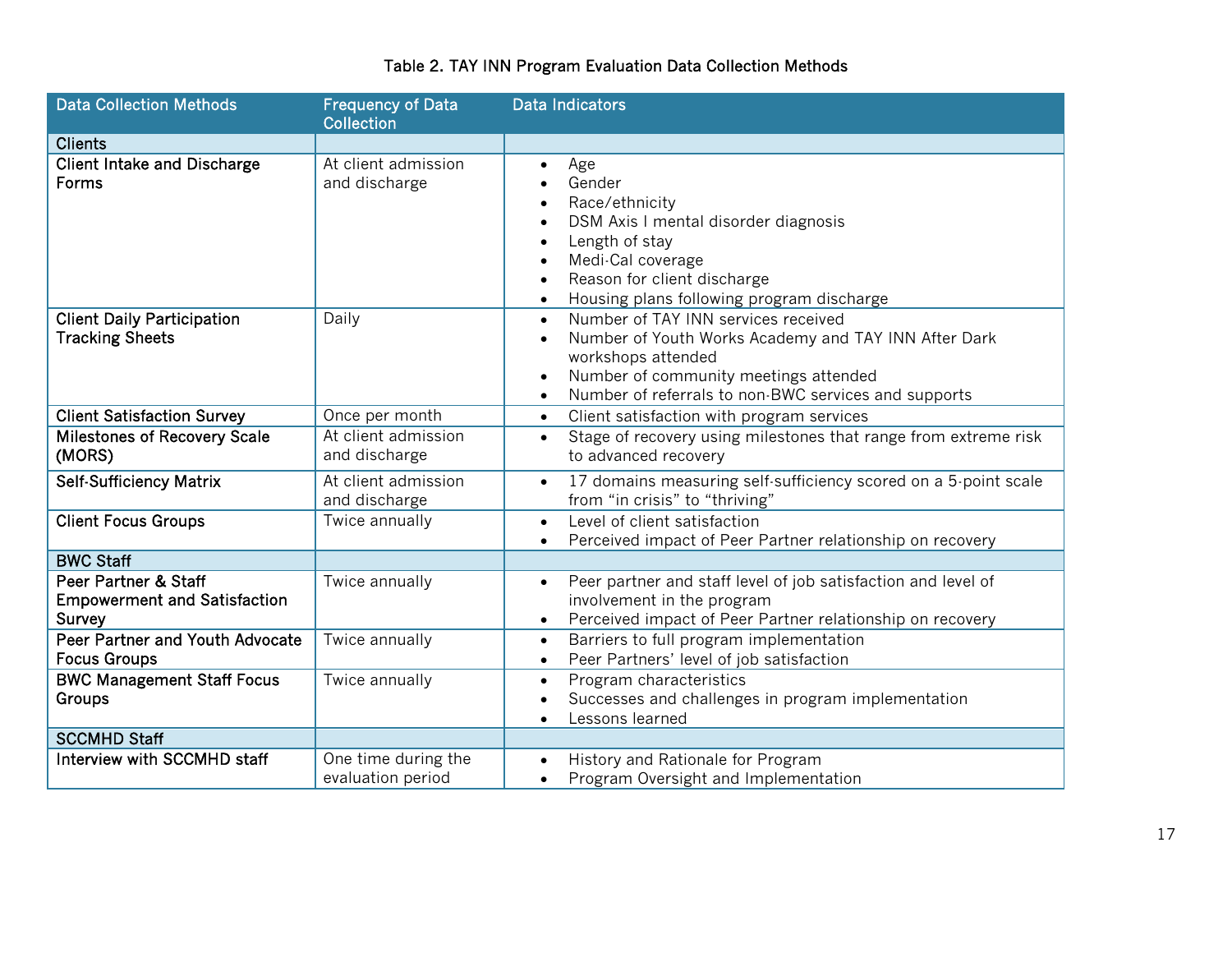| <b>Data Collection Methods</b>                                        | <b>Frequency of Data</b><br><b>Collection</b> | <b>Data Indicators</b>                                                                                                                                                                                                                                                   |  |  |
|-----------------------------------------------------------------------|-----------------------------------------------|--------------------------------------------------------------------------------------------------------------------------------------------------------------------------------------------------------------------------------------------------------------------------|--|--|
| <b>Clients</b>                                                        |                                               |                                                                                                                                                                                                                                                                          |  |  |
| <b>Client Intake and Discharge</b><br><b>Forms</b>                    | At client admission<br>and discharge          | Age<br>$\bullet$<br>Gender<br>Race/ethnicity<br>$\bullet$<br>DSM Axis I mental disorder diagnosis<br>Length of stay<br>$\bullet$<br>Medi-Cal coverage<br>$\bullet$<br>Reason for client discharge<br>$\bullet$<br>Housing plans following program discharge<br>$\bullet$ |  |  |
| <b>Client Daily Participation</b><br><b>Tracking Sheets</b>           | Daily                                         | Number of TAY INN services received<br>$\bullet$<br>Number of Youth Works Academy and TAY INN After Dark<br>$\bullet$<br>workshops attended<br>Number of community meetings attended<br>$\bullet$<br>Number of referrals to non-BWC services and supports<br>$\bullet$   |  |  |
| <b>Client Satisfaction Survey</b>                                     | Once per month                                | Client satisfaction with program services<br>$\bullet$                                                                                                                                                                                                                   |  |  |
| <b>Milestones of Recovery Scale</b><br>(MORS)                         | At client admission<br>and discharge          | Stage of recovery using milestones that range from extreme risk<br>$\bullet$<br>to advanced recovery                                                                                                                                                                     |  |  |
| <b>Self-Sufficiency Matrix</b>                                        | At client admission<br>and discharge          | 17 domains measuring self-sufficiency scored on a 5-point scale<br>$\bullet$<br>from "in crisis" to "thriving"                                                                                                                                                           |  |  |
| <b>Client Focus Groups</b>                                            | Twice annually                                | Level of client satisfaction<br>$\bullet$<br>Perceived impact of Peer Partner relationship on recovery<br>$\bullet$                                                                                                                                                      |  |  |
| <b>BWC Staff</b>                                                      |                                               |                                                                                                                                                                                                                                                                          |  |  |
| Peer Partner & Staff<br><b>Empowerment and Satisfaction</b><br>Survey | Twice annually                                | Peer partner and staff level of job satisfaction and level of<br>$\bullet$<br>involvement in the program<br>Perceived impact of Peer Partner relationship on recovery<br>$\bullet$                                                                                       |  |  |
| Peer Partner and Youth Advocate<br><b>Focus Groups</b>                | Twice annually                                | Barriers to full program implementation<br>$\bullet$<br>Peer Partners' level of job satisfaction<br>$\bullet$                                                                                                                                                            |  |  |
| <b>BWC Management Staff Focus</b><br>Groups                           | Twice annually                                | Program characteristics<br>$\bullet$<br>Successes and challenges in program implementation<br>$\bullet$<br>Lessons learned<br>$\bullet$                                                                                                                                  |  |  |
| <b>SCCMHD Staff</b>                                                   |                                               |                                                                                                                                                                                                                                                                          |  |  |
| Interview with SCCMHD staff                                           | One time during the<br>evaluation period      | History and Rationale for Program<br>$\bullet$<br>Program Oversight and Implementation<br>$\bullet$                                                                                                                                                                      |  |  |

## Table 2. TAY INN Program Evaluation Data Collection Methods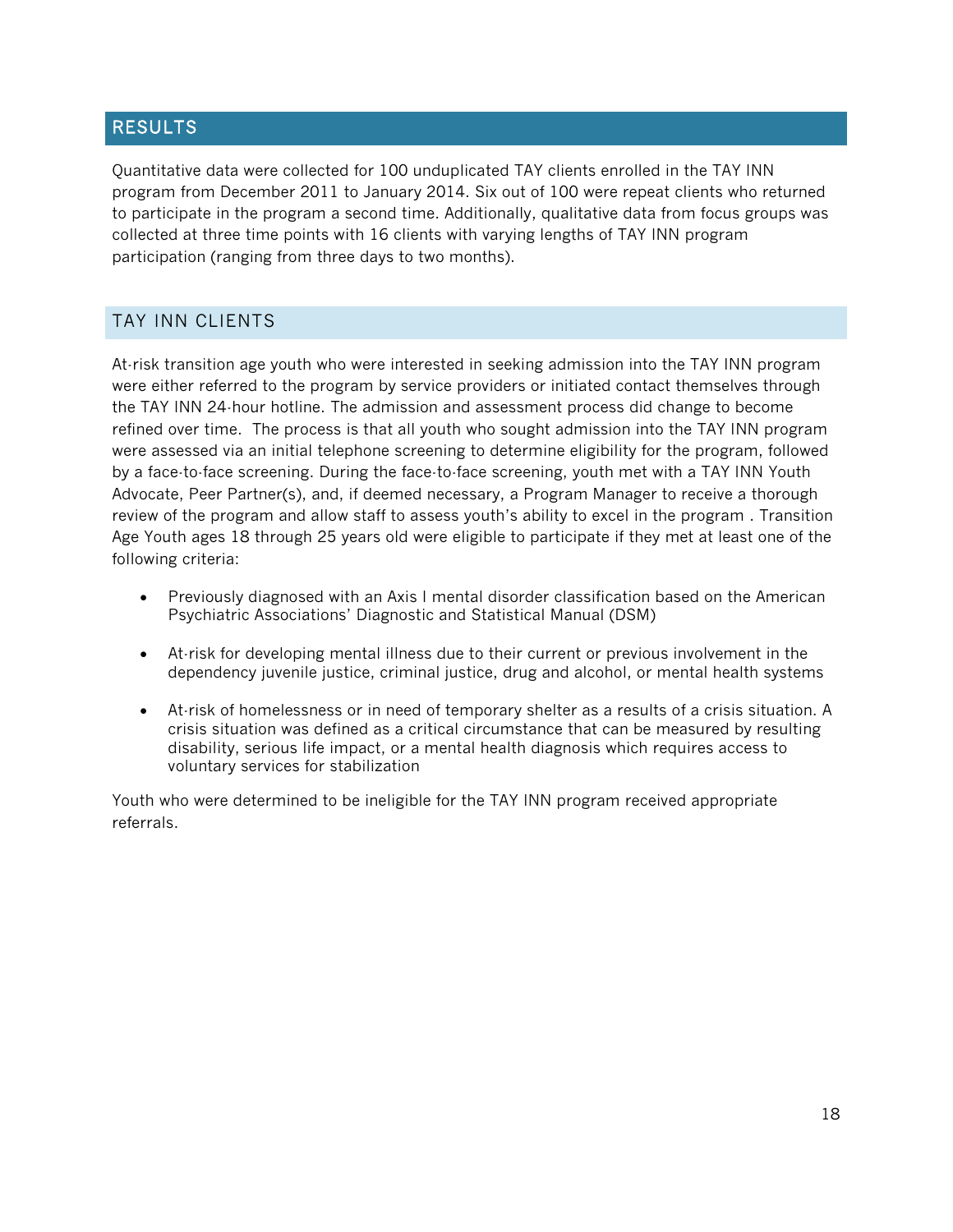## RESULTS

Quantitative data were collected for 100 unduplicated TAY clients enrolled in the TAY INN program from December 2011 to January 2014. Six out of 100 were repeat clients who returned to participate in the program a second time. Additionally, qualitative data from focus groups was collected at three time points with 16 clients with varying lengths of TAY INN program participation (ranging from three days to two months).

## TAY INN CLIENTS

At-risk transition age youth who were interested in seeking admission into the TAY INN program were either referred to the program by service providers or initiated contact themselves through the TAY INN 24-hour hotline. The admission and assessment process did change to become refined over time. The process is that all youth who sought admission into the TAY INN program were assessed via an initial telephone screening to determine eligibility for the program, followed by a face-to-face screening. During the face-to-face screening, youth met with a TAY INN Youth Advocate, Peer Partner(s), and, if deemed necessary, a Program Manager to receive a thorough review of the program and allow staff to assess youth's ability to excel in the program . Transition Age Youth ages 18 through 25 years old were eligible to participate if they met at least one of the following criteria:

- Previously diagnosed with an Axis I mental disorder classification based on the American Psychiatric Associations' Diagnostic and Statistical Manual (DSM)
- At-risk for developing mental illness due to their current or previous involvement in the dependency juvenile justice, criminal justice, drug and alcohol, or mental health systems
- At-risk of homelessness or in need of temporary shelter as a results of a crisis situation. A crisis situation was defined as a critical circumstance that can be measured by resulting disability, serious life impact, or a mental health diagnosis which requires access to voluntary services for stabilization

Youth who were determined to be ineligible for the TAY INN program received appropriate referrals.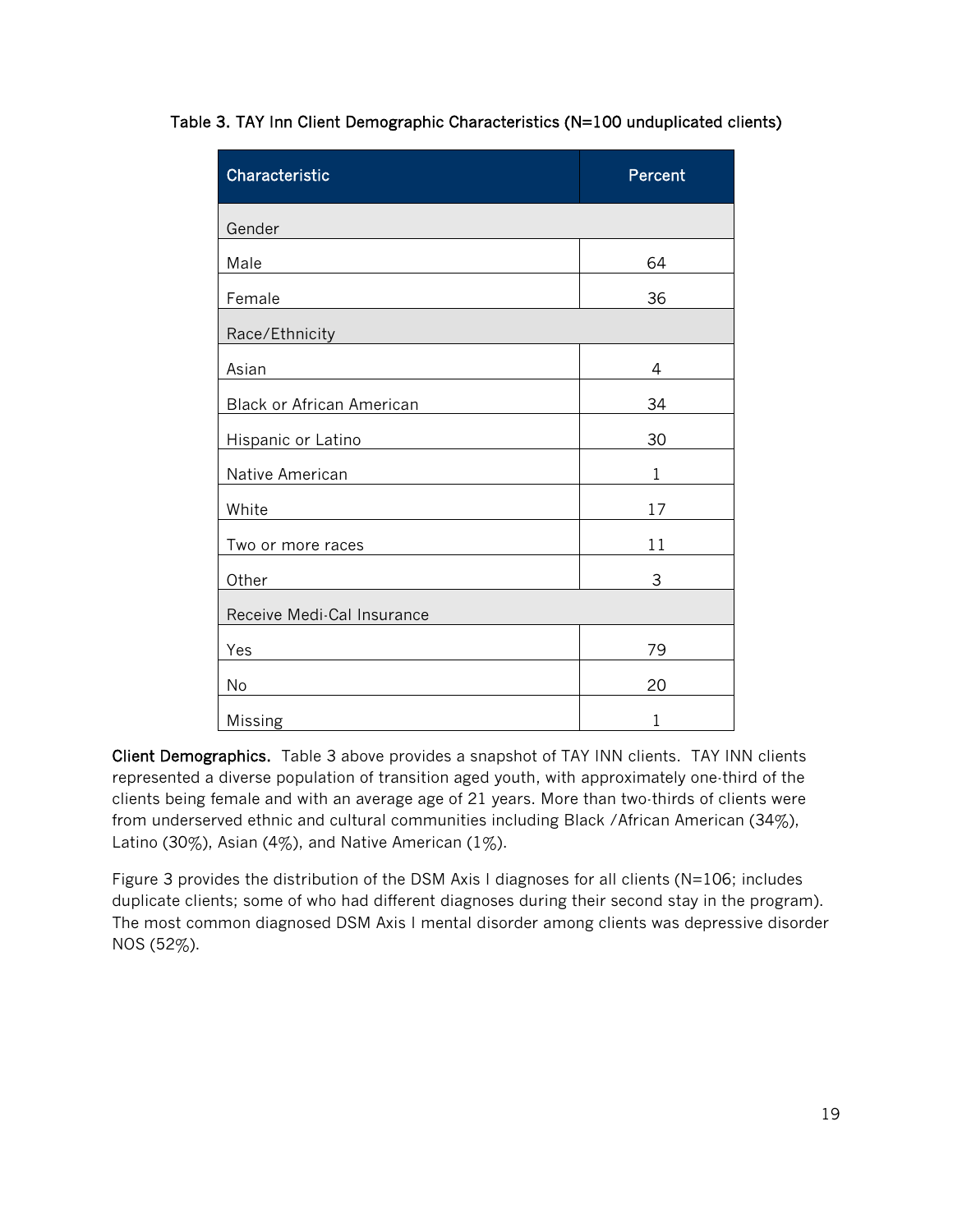| Characteristic                   | Percent      |  |  |
|----------------------------------|--------------|--|--|
| Gender                           |              |  |  |
| Male                             | 64           |  |  |
| Female                           | 36           |  |  |
| Race/Ethnicity                   |              |  |  |
| Asian                            | 4            |  |  |
| <b>Black or African American</b> | 34           |  |  |
| Hispanic or Latino               | 30           |  |  |
| Native American                  | $\mathbf{1}$ |  |  |
| White                            | 17           |  |  |
| Two or more races                | 11           |  |  |
| Other                            | 3            |  |  |
| Receive Medi-Cal Insurance       |              |  |  |
| Yes                              | 79           |  |  |
| No                               | 20           |  |  |
| Missing                          | 1            |  |  |

Table 3. TAY Inn Client Demographic Characteristics (N=100 unduplicated clients)

Client Demographics. Table 3 above provides a snapshot of TAY INN clients. TAY INN clients represented a diverse population of transition aged youth, with approximately one-third of the clients being female and with an average age of 21 years. More than two-thirds of clients were from underserved ethnic and cultural communities including Black /African American (34%), Latino (30%), Asian (4%), and Native American (1%).

Figure 3 provides the distribution of the DSM Axis I diagnoses for all clients (N=106; includes duplicate clients; some of who had different diagnoses during their second stay in the program). The most common diagnosed DSM Axis I mental disorder among clients was depressive disorder NOS (52%).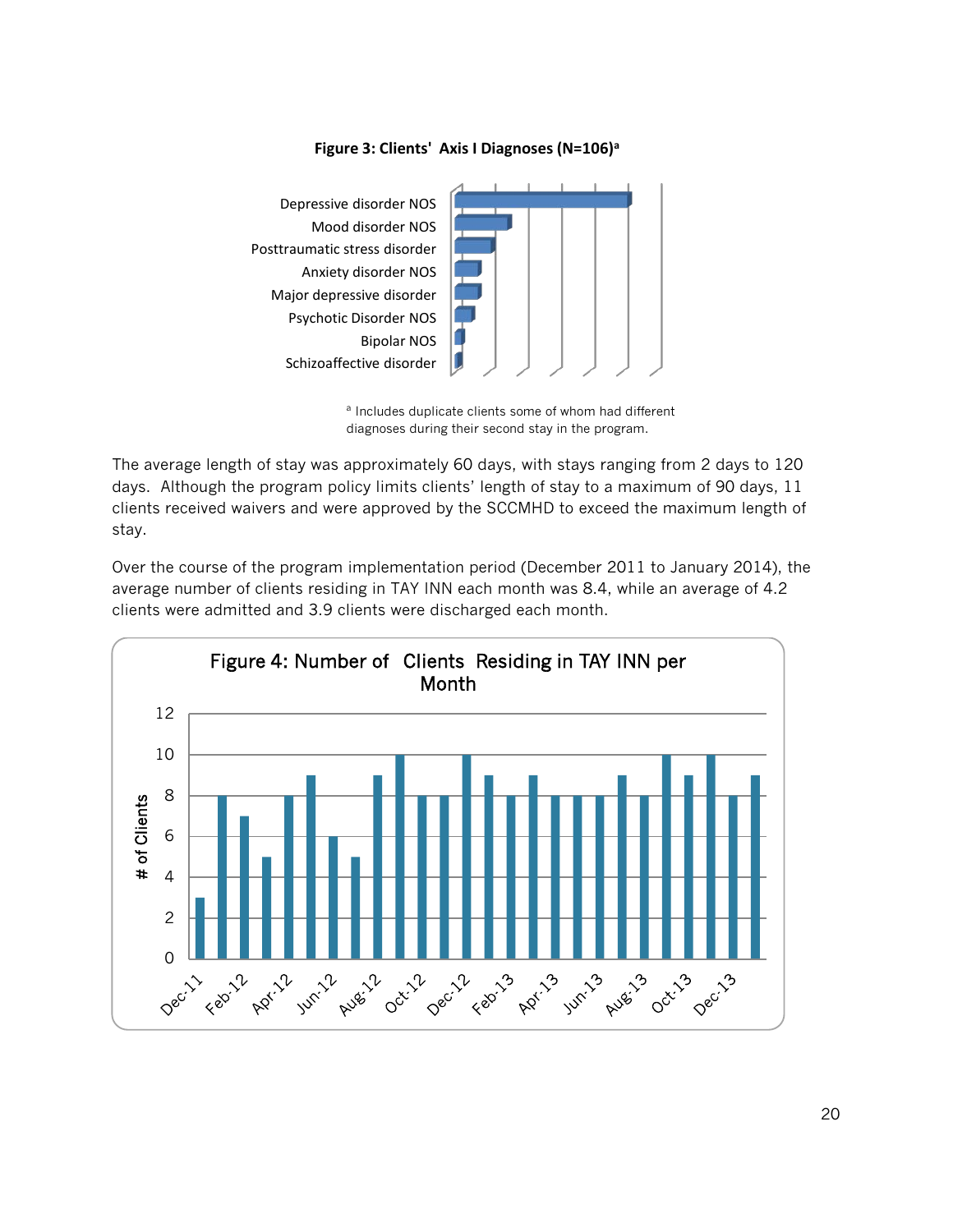

#### **Figure 3: Clients' Axis I Diagnoses (N=106)a**

The average length of stay was approximately 60 days, with stays ranging from 2 days to 120 days. Although the program policy limits clients' length of stay to a maximum of 90 days, 11 clients received waivers and were approved by the SCCMHD to exceed the maximum length of stay.

Over the course of the program implementation period (December 2011 to January 2014), the average number of clients residing in TAY INN each month was 8.4, while an average of 4.2 clients were admitted and 3.9 clients were discharged each month.



<sup>a</sup> Includes duplicate clients some of whom had different diagnoses during their second stay in the program.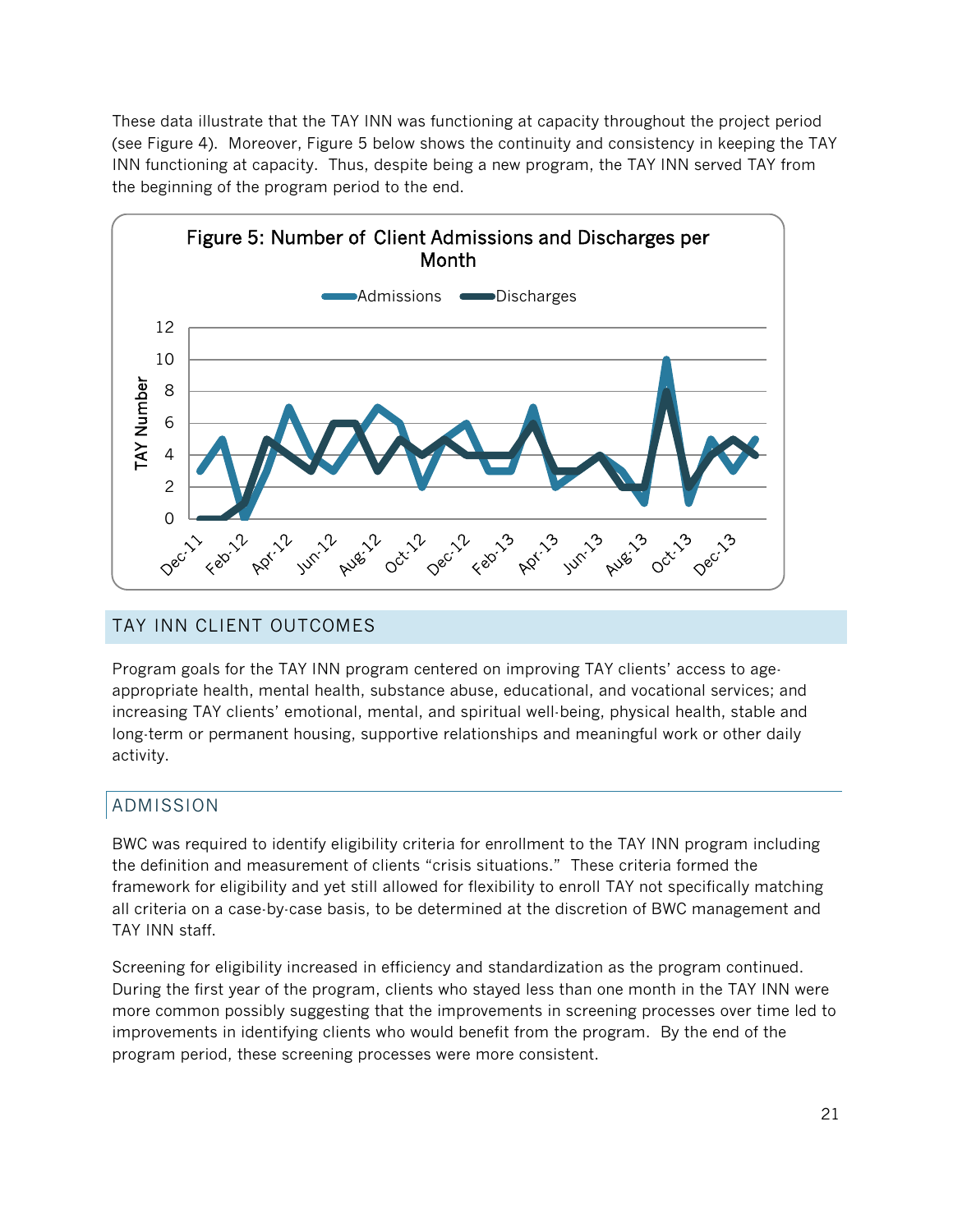These data illustrate that the TAY INN was functioning at capacity throughout the project period (see Figure 4). Moreover, Figure 5 below shows the continuity and consistency in keeping the TAY INN functioning at capacity. Thus, despite being a new program, the TAY INN served TAY from the beginning of the program period to the end.



## TAY INN CLIENT OUTCOMES

Program goals for the TAY INN program centered on improving TAY clients' access to ageappropriate health, mental health, substance abuse, educational, and vocational services; and increasing TAY clients' emotional, mental, and spiritual well-being, physical health, stable and long-term or permanent housing, supportive relationships and meaningful work or other daily activity.

## ADMISSION

BWC was required to identify eligibility criteria for enrollment to the TAY INN program including the definition and measurement of clients "crisis situations." These criteria formed the framework for eligibility and yet still allowed for flexibility to enroll TAY not specifically matching all criteria on a case-by-case basis, to be determined at the discretion of BWC management and TAY INN staff.

Screening for eligibility increased in efficiency and standardization as the program continued. During the first year of the program, clients who stayed less than one month in the TAY INN were more common possibly suggesting that the improvements in screening processes over time led to improvements in identifying clients who would benefit from the program. By the end of the program period, these screening processes were more consistent.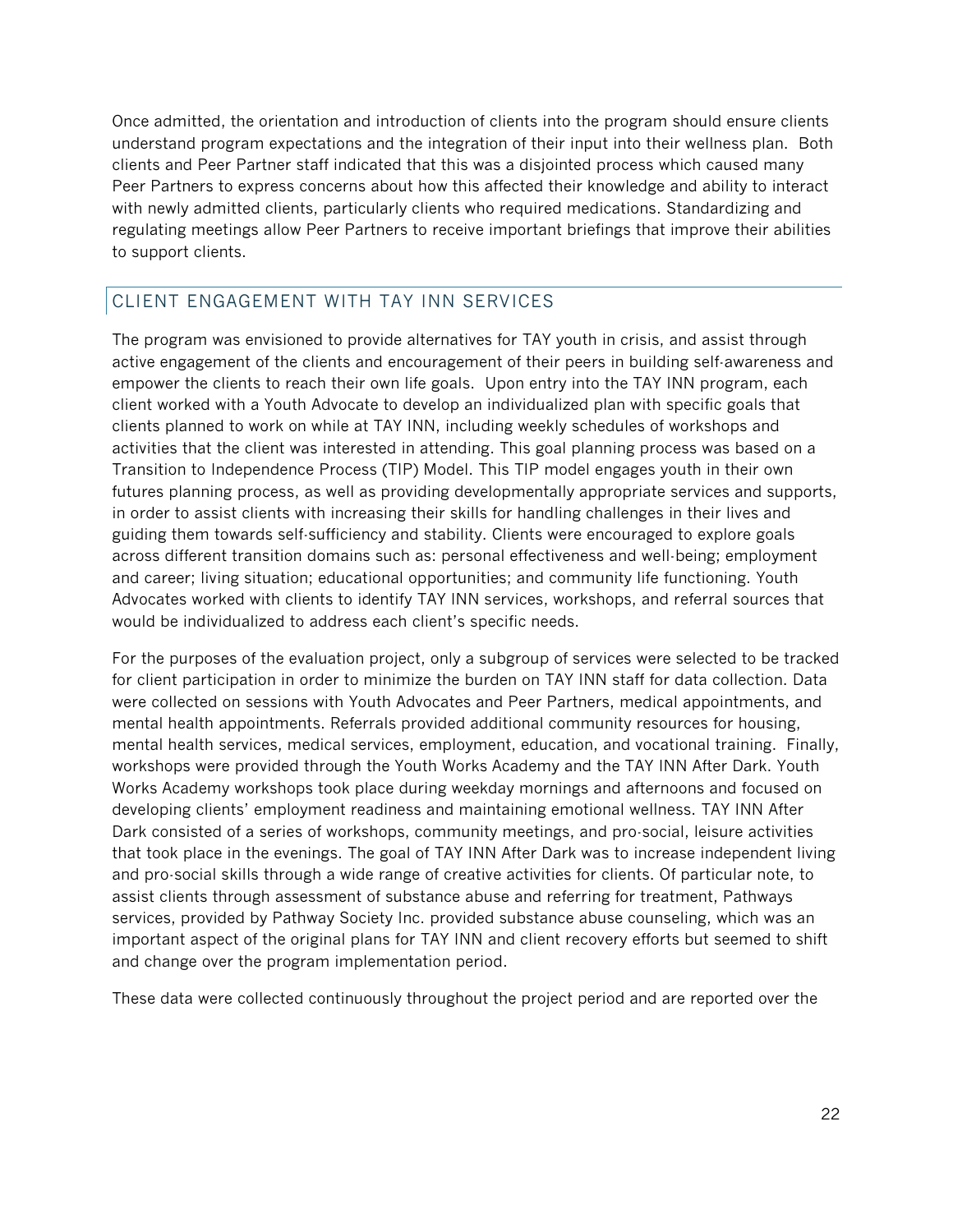Once admitted, the orientation and introduction of clients into the program should ensure clients understand program expectations and the integration of their input into their wellness plan. Both clients and Peer Partner staff indicated that this was a disjointed process which caused many Peer Partners to express concerns about how this affected their knowledge and ability to interact with newly admitted clients, particularly clients who required medications. Standardizing and regulating meetings allow Peer Partners to receive important briefings that improve their abilities to support clients.

## CLIENT ENGAGEMENT WITH TAY INN SERVICES

The program was envisioned to provide alternatives for TAY youth in crisis, and assist through active engagement of the clients and encouragement of their peers in building self-awareness and empower the clients to reach their own life goals. Upon entry into the TAY INN program, each client worked with a Youth Advocate to develop an individualized plan with specific goals that clients planned to work on while at TAY INN, including weekly schedules of workshops and activities that the client was interested in attending. This goal planning process was based on a Transition to Independence Process (TIP) Model. This TIP model engages youth in their own futures planning process, as well as providing developmentally appropriate services and supports, in order to assist clients with increasing their skills for handling challenges in their lives and guiding them towards self-sufficiency and stability. Clients were encouraged to explore goals across different transition domains such as: personal effectiveness and well-being; employment and career; living situation; educational opportunities; and community life functioning. Youth Advocates worked with clients to identify TAY INN services, workshops, and referral sources that would be individualized to address each client's specific needs.

For the purposes of the evaluation project, only a subgroup of services were selected to be tracked for client participation in order to minimize the burden on TAY INN staff for data collection. Data were collected on sessions with Youth Advocates and Peer Partners, medical appointments, and mental health appointments. Referrals provided additional community resources for housing, mental health services, medical services, employment, education, and vocational training. Finally, workshops were provided through the Youth Works Academy and the TAY INN After Dark. Youth Works Academy workshops took place during weekday mornings and afternoons and focused on developing clients' employment readiness and maintaining emotional wellness. TAY INN After Dark consisted of a series of workshops, community meetings, and pro-social, leisure activities that took place in the evenings. The goal of TAY INN After Dark was to increase independent living and pro-social skills through a wide range of creative activities for clients. Of particular note, to assist clients through assessment of substance abuse and referring for treatment, Pathways services, provided by Pathway Society Inc. provided substance abuse counseling, which was an important aspect of the original plans for TAY INN and client recovery efforts but seemed to shift and change over the program implementation period.

These data were collected continuously throughout the project period and are reported over the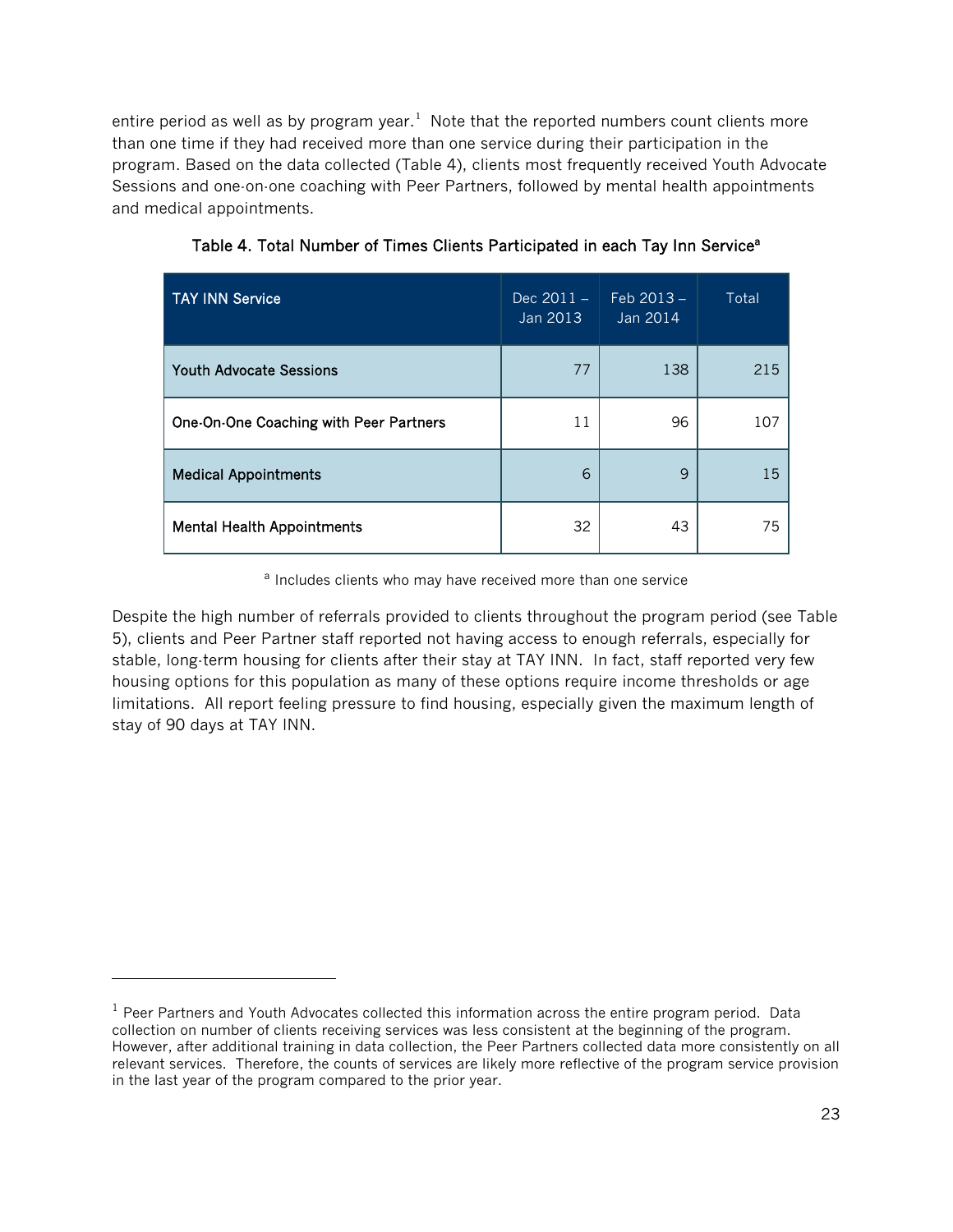entire period as well as by program year.<sup>[1](#page-22-0)</sup> Note that the reported numbers count clients more than one time if they had received more than one service during their participation in the program. Based on the data collected (Table 4), clients most frequently received Youth Advocate Sessions and one-on-one coaching with Peer Partners, followed by mental health appointments and medical appointments.

| <b>TAY INN Service</b>                 | $Dec 2011 -$<br>Jan 2013 | $Feb 2013 -$<br>Jan 2014 | Total |
|----------------------------------------|--------------------------|--------------------------|-------|
| <b>Youth Advocate Sessions</b>         | 77                       | 138                      | 215   |
| One-On-One Coaching with Peer Partners | 11                       | 96                       | 107   |
| <b>Medical Appointments</b>            | 6                        | 9                        | 15    |
| <b>Mental Health Appointments</b>      | 32                       | 43                       | 75    |

Table 4. Total Number of Times Clients Participated in each Tay Inn Service<sup>a</sup>

<sup>a</sup> Includes clients who may have received more than one service

Despite the high number of referrals provided to clients throughout the program period (see Table 5), clients and Peer Partner staff reported not having access to enough referrals, especially for stable, long-term housing for clients after their stay at TAY INN. In fact, staff reported very few housing options for this population as many of these options require income thresholds or age limitations. All report feeling pressure to find housing, especially given the maximum length of stay of 90 days at TAY INN.

l

<span id="page-22-0"></span> $<sup>1</sup>$  Peer Partners and Youth Advocates collected this information across the entire program period. Data</sup> collection on number of clients receiving services was less consistent at the beginning of the program. However, after additional training in data collection, the Peer Partners collected data more consistently on all relevant services. Therefore, the counts of services are likely more reflective of the program service provision in the last year of the program compared to the prior year.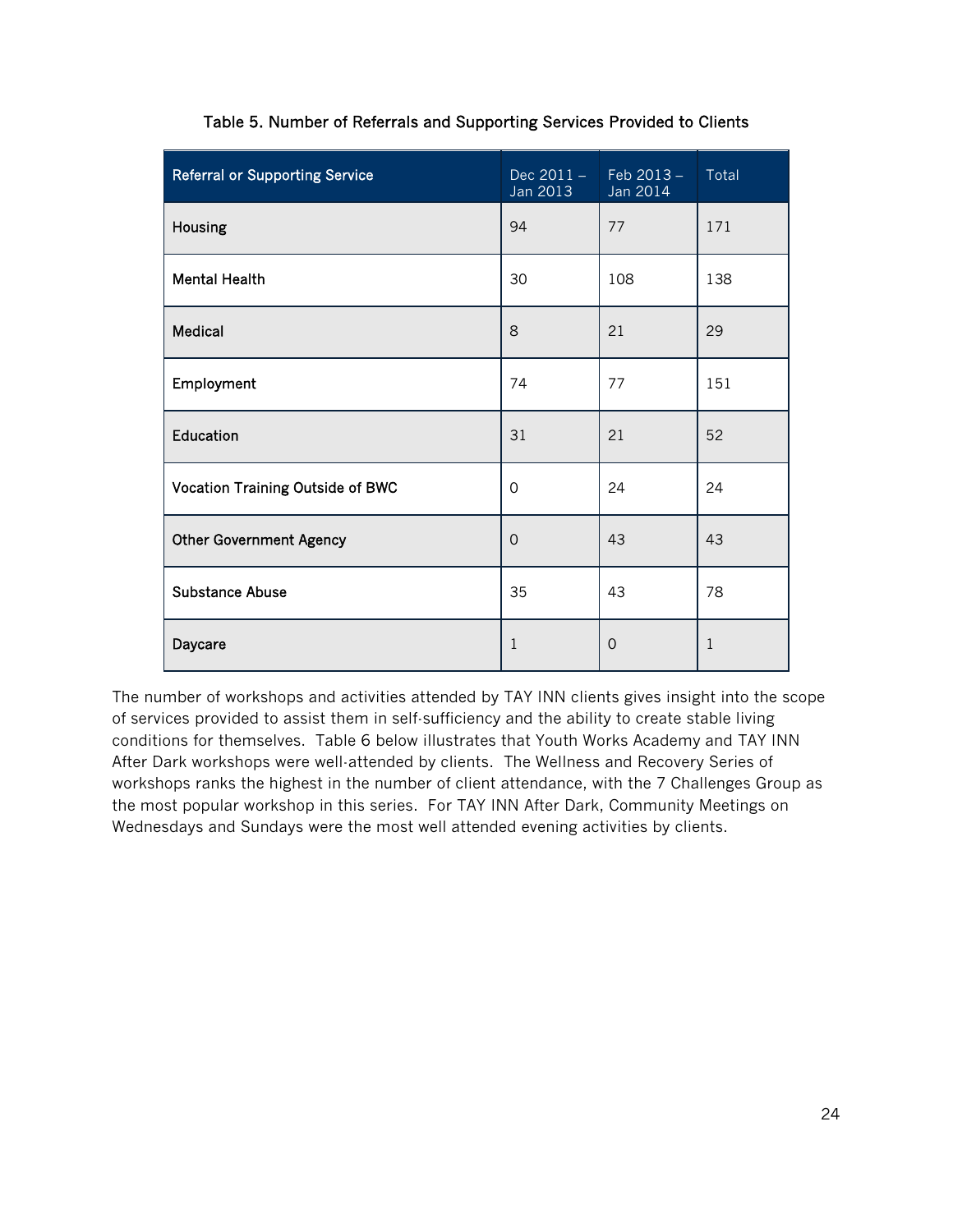| <b>Referral or Supporting Service</b> | $Dec 2011 -$<br>Jan 2013 | $Feb 2013 -$<br>Jan 2014 | Total        |
|---------------------------------------|--------------------------|--------------------------|--------------|
| Housing                               | 94                       | 77                       | 171          |
| <b>Mental Health</b>                  | 30                       | 108                      | 138          |
| Medical                               | 8                        | 21                       | 29           |
| Employment                            | 74                       | 77                       | 151          |
| Education                             | 31                       | 21                       | 52           |
| Vocation Training Outside of BWC      | $\mathbf 0$              | 24                       | 24           |
| <b>Other Government Agency</b>        | $\Omega$                 | 43                       | 43           |
| <b>Substance Abuse</b>                | 35                       | 43                       | 78           |
| Daycare                               | $\mathbf{1}$             | $\mathbf 0$              | $\mathbf{1}$ |

#### Table 5. Number of Referrals and Supporting Services Provided to Clients

The number of workshops and activities attended by TAY INN clients gives insight into the scope of services provided to assist them in self-sufficiency and the ability to create stable living conditions for themselves. Table 6 below illustrates that Youth Works Academy and TAY INN After Dark workshops were well-attended by clients. The Wellness and Recovery Series of workshops ranks the highest in the number of client attendance, with the 7 Challenges Group as the most popular workshop in this series. For TAY INN After Dark, Community Meetings on Wednesdays and Sundays were the most well attended evening activities by clients.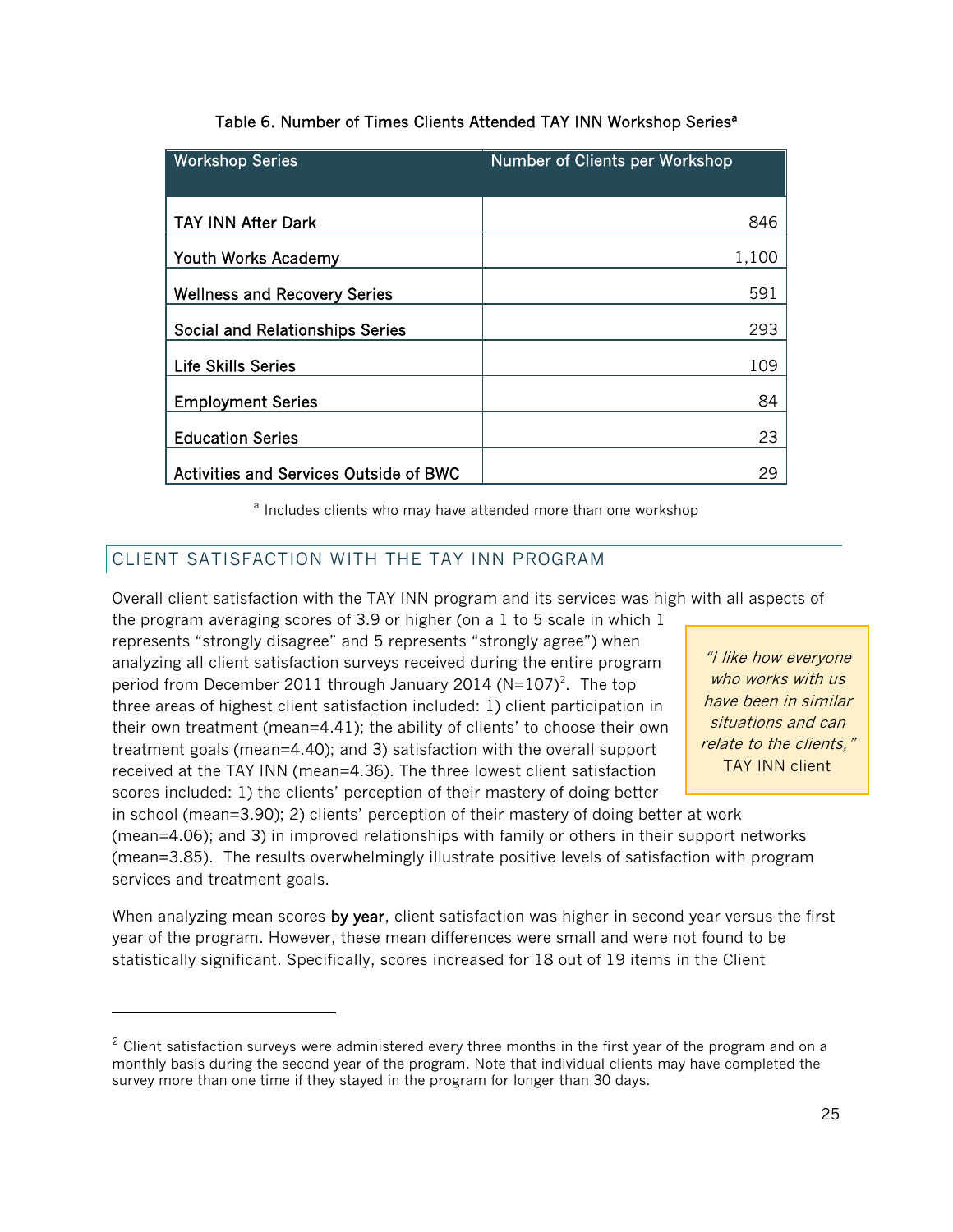| <b>Workshop Series</b>                        | Number of Clients per Workshop |
|-----------------------------------------------|--------------------------------|
|                                               |                                |
| <b>TAY INN After Dark</b>                     | 846                            |
| Youth Works Academy                           | 1,100                          |
| <b>Wellness and Recovery Series</b>           | 591                            |
| <b>Social and Relationships Series</b>        | 293                            |
| <b>Life Skills Series</b>                     | 109                            |
| <b>Employment Series</b>                      | 84                             |
| <b>Education Series</b>                       | 23                             |
| <b>Activities and Services Outside of BWC</b> | 29                             |

#### Table 6. Number of Times Clients Attended TAY INN Workshop Series<sup>a</sup>

<sup>a</sup> Includes clients who may have attended more than one workshop

## CLIENT SATISFACTION WITH THE TAY INN PROGRAM

l

Overall client satisfaction with the TAY INN program and its services was high with all aspects of

the program averaging scores of 3.9 or higher (on a 1 to 5 scale in which 1 represents "strongly disagree" and 5 represents "strongly agree") when analyzing all client satisfaction surveys received during the entire program period from December [2](#page-24-0)011 through January 2014 (N=107)<sup>2</sup>. The top three areas of highest client satisfaction included: 1) client participation in their own treatment (mean=4.41); the ability of clients' to choose their own treatment goals (mean=4.40); and 3) satisfaction with the overall support received at the TAY INN (mean=4.36). The three lowest client satisfaction scores included: 1) the clients' perception of their mastery of doing better

"I like how everyone who works with us have been in similar situations and can relate to the clients," TAY INN client

in school (mean=3.90); 2) clients' perception of their mastery of doing better at work (mean=4.06); and 3) in improved relationships with family or others in their support networks (mean=3.85). The results overwhelmingly illustrate positive levels of satisfaction with program services and treatment goals.

When analyzing mean scores by year, client satisfaction was higher in second year versus the first year of the program. However, these mean differences were small and were not found to be statistically significant. Specifically, scores increased for 18 out of 19 items in the Client

<span id="page-24-0"></span> $2$  Client satisfaction surveys were administered every three months in the first year of the program and on a monthly basis during the second year of the program. Note that individual clients may have completed the survey more than one time if they stayed in the program for longer than 30 days.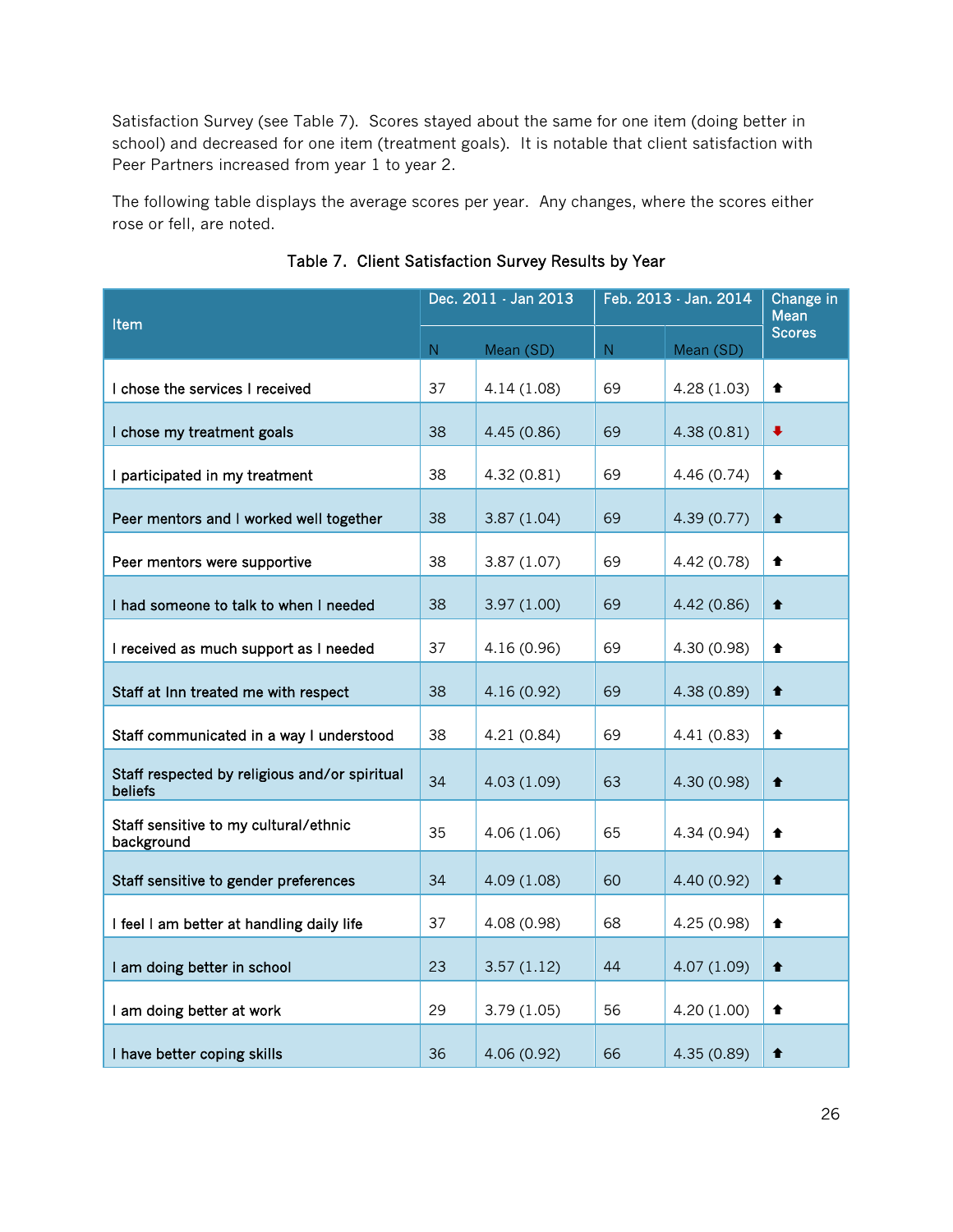Satisfaction Survey (see Table 7). Scores stayed about the same for one item (doing better in school) and decreased for one item (treatment goals). It is notable that client satisfaction with Peer Partners increased from year 1 to year 2.

The following table displays the average scores per year. Any changes, where the scores either rose or fell, are noted.

|                                                          | Dec. 2011 - Jan 2013 |             | Feb. 2013 - Jan. 2014 |             | Change in<br>Mean |
|----------------------------------------------------------|----------------------|-------------|-----------------------|-------------|-------------------|
| Item                                                     |                      | Mean (SD)   | ${\sf N}$             | Mean (SD)   | <b>Scores</b>     |
| I chose the services I received                          | ${\mathsf N}$<br>37  | 4.14(1.08)  | 69                    | 4.28(1.03)  | ♠                 |
|                                                          |                      |             |                       |             |                   |
| I chose my treatment goals                               | 38                   | 4.45 (0.86) | 69                    | 4.38(0.81)  | ₩                 |
| I participated in my treatment                           | 38                   | 4.32(0.81)  | 69                    | 4.46 (0.74) | ♠                 |
| Peer mentors and I worked well together                  | 38                   | 3.87(1.04)  | 69                    | 4.39(0.77)  | ♠                 |
| Peer mentors were supportive                             | 38                   | 3.87(1.07)  | 69                    | 4.42 (0.78) | ↟                 |
| I had someone to talk to when I needed                   | 38                   | 3.97(1.00)  | 69                    | 4.42 (0.86) | ↟                 |
| I received as much support as I needed                   | 37                   | 4.16(0.96)  | 69                    | 4.30 (0.98) | ♠                 |
| Staff at Inn treated me with respect                     | 38                   | 4.16(0.92)  | 69                    | 4.38 (0.89) | ♠                 |
| Staff communicated in a way I understood                 | 38                   | 4.21 (0.84) | 69                    | 4.41 (0.83) | ♠                 |
| Staff respected by religious and/or spiritual<br>beliefs | 34                   | 4.03(1.09)  | 63                    | 4.30 (0.98) | ♠                 |
| Staff sensitive to my cultural/ethnic<br>background      | 35                   | 4.06(1.06)  | 65                    | 4.34 (0.94) | ♠                 |
| Staff sensitive to gender preferences                    | 34                   | 4.09(1.08)  | 60                    | 4.40 (0.92) | ♠                 |
| I feel I am better at handling daily life                | 37                   | 4.08 (0.98) | 68                    | 4.25 (0.98) | ♠                 |
| I am doing better in school                              | 23                   | 3.57(1.12)  | 44                    | 4.07 (1.09) | ♠                 |
| I am doing better at work                                | 29                   | 3.79(1.05)  | 56                    | 4.20 (1.00) | ♠                 |
| I have better coping skills                              | 36                   | 4.06(0.92)  | 66                    | 4.35(0.89)  | ♠                 |

#### Table 7. Client Satisfaction Survey Results by Year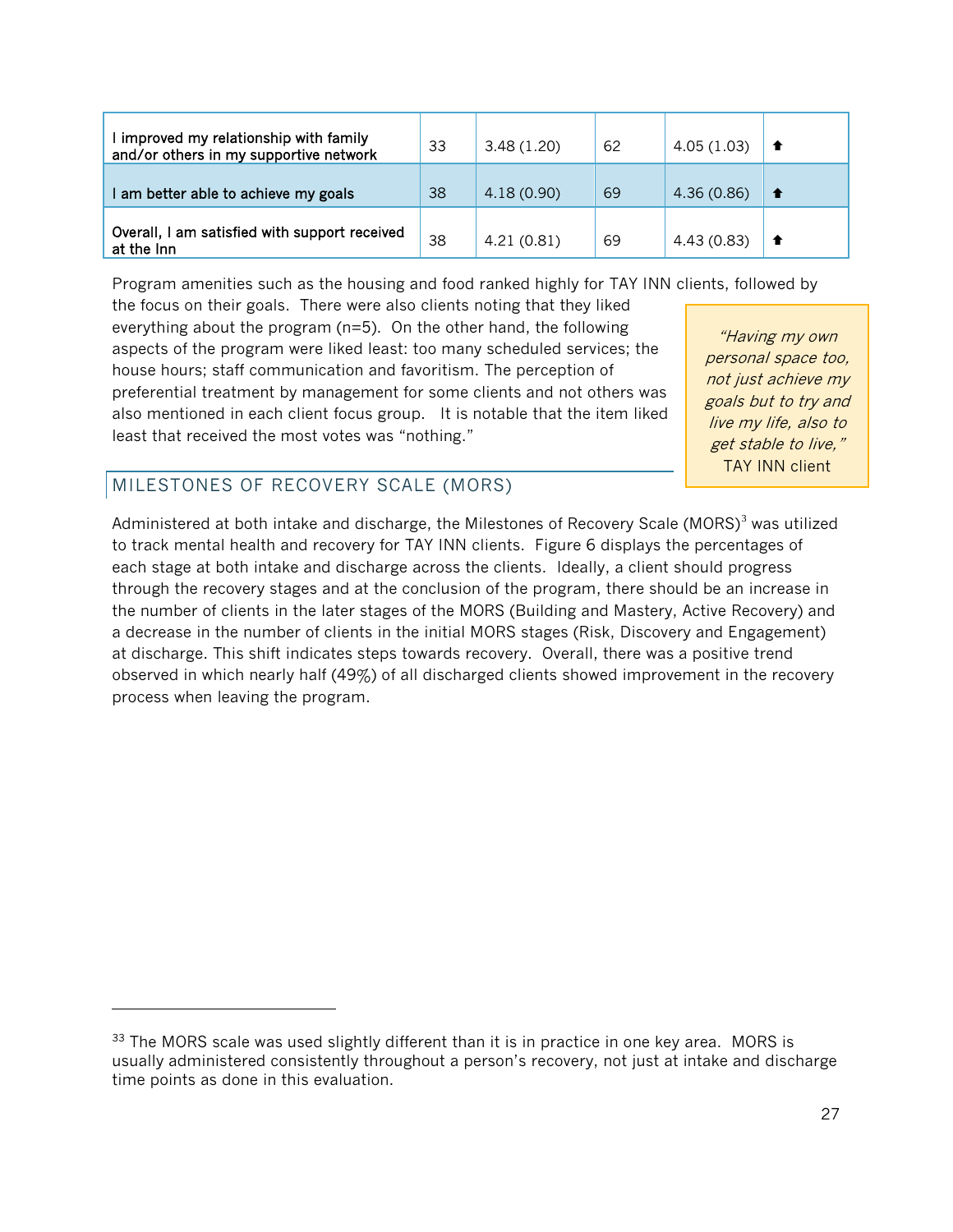| improved my relationship with family<br>and/or others in my supportive network | 33 | 3.48(1.20) | 62 | 4.05(1.03) |  |
|--------------------------------------------------------------------------------|----|------------|----|------------|--|
| am better able to achieve my goals                                             | 38 | 4.18(0.90) | 69 | 4.36(0.86) |  |
| Overall, I am satisfied with support received<br>at the Inn                    | 38 | 4.21(0.81) | 69 | 4.43(0.83) |  |

Program amenities such as the housing and food ranked highly for TAY INN clients, followed by

the focus on their goals. There were also clients noting that they liked everything about the program (n=5). On the other hand, the following aspects of the program were liked least: too many scheduled services; the house hours; staff communication and favoritism. The perception of preferential treatment by management for some clients and not others was also mentioned in each client focus group. It is notable that the item liked least that received the most votes was "nothing."

"Having my own personal space too, not just achieve my goals but to try and live my life, also to get stable to live," TAY INN client

## MILESTONES OF RECOVERY SCALE (MORS)

-

Administered at both intake and discharge, the Milestones of Recovery Scale (MORS)<sup>[3](#page-26-0)</sup> was utilized to track mental health and recovery for TAY INN clients. Figure 6 displays the percentages of each stage at both intake and discharge across the clients. Ideally, a client should progress through the recovery stages and at the conclusion of the program, there should be an increase in the number of clients in the later stages of the MORS (Building and Mastery, Active Recovery) and a decrease in the number of clients in the initial MORS stages (Risk, Discovery and Engagement) at discharge. This shift indicates steps towards recovery. Overall, there was a positive trend observed in which nearly half (49%) of all discharged clients showed improvement in the recovery process when leaving the program.

<span id="page-26-0"></span> $33$  The MORS scale was used slightly different than it is in practice in one key area. MORS is usually administered consistently throughout a person's recovery, not just at intake and discharge time points as done in this evaluation.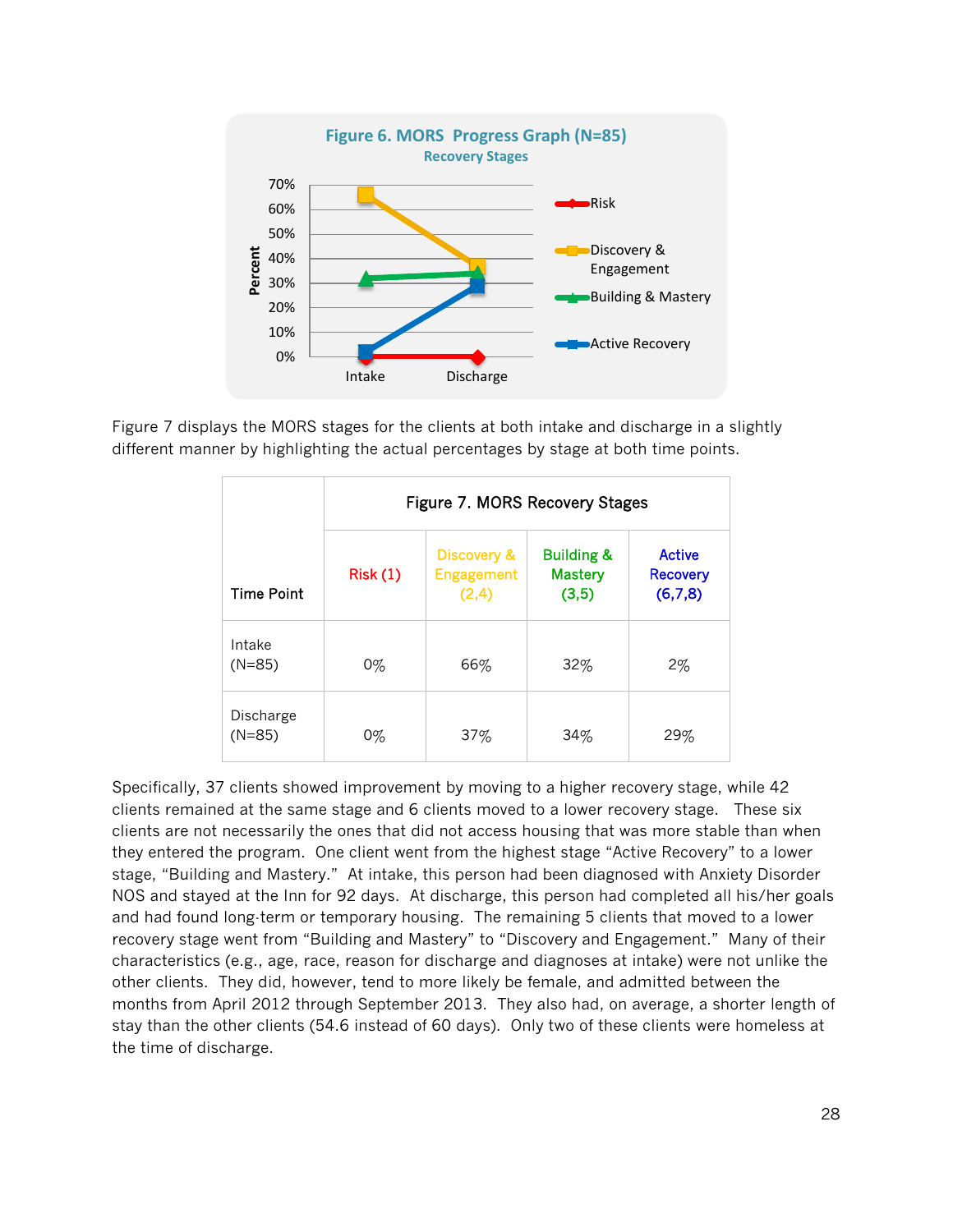

Figure 7 displays the MORS stages for the clients at both intake and discharge in a slightly different manner by highlighting the actual percentages by stage at both time points.

|                       | Figure 7. MORS Recovery Stages |                                    |                                                  |                                      |  |  |  |  |  |
|-----------------------|--------------------------------|------------------------------------|--------------------------------------------------|--------------------------------------|--|--|--|--|--|
| <b>Time Point</b>     | Risk(1)                        | Discovery &<br>Engagement<br>(2,4) | <b>Building &amp;</b><br><b>Mastery</b><br>(3,5) | Active<br><b>Recovery</b><br>(6,7,8) |  |  |  |  |  |
| Intake<br>$(N=85)$    | 0%                             | 66%                                | 32%                                              | 2%                                   |  |  |  |  |  |
| Discharge<br>$(N=85)$ | $0\%$                          | 37%                                | 34%                                              | 29%                                  |  |  |  |  |  |

Specifically, 37 clients showed improvement by moving to a higher recovery stage, while 42 clients remained at the same stage and 6 clients moved to a lower recovery stage. These six clients are not necessarily the ones that did not access housing that was more stable than when they entered the program. One client went from the highest stage "Active Recovery" to a lower stage, "Building and Mastery." At intake, this person had been diagnosed with Anxiety Disorder NOS and stayed at the Inn for 92 days. At discharge, this person had completed all his/her goals and had found long-term or temporary housing. The remaining 5 clients that moved to a lower recovery stage went from "Building and Mastery" to "Discovery and Engagement." Many of their characteristics (e.g., age, race, reason for discharge and diagnoses at intake) were not unlike the other clients. They did, however, tend to more likely be female, and admitted between the months from April 2012 through September 2013. They also had, on average, a shorter length of stay than the other clients (54.6 instead of 60 days). Only two of these clients were homeless at the time of discharge.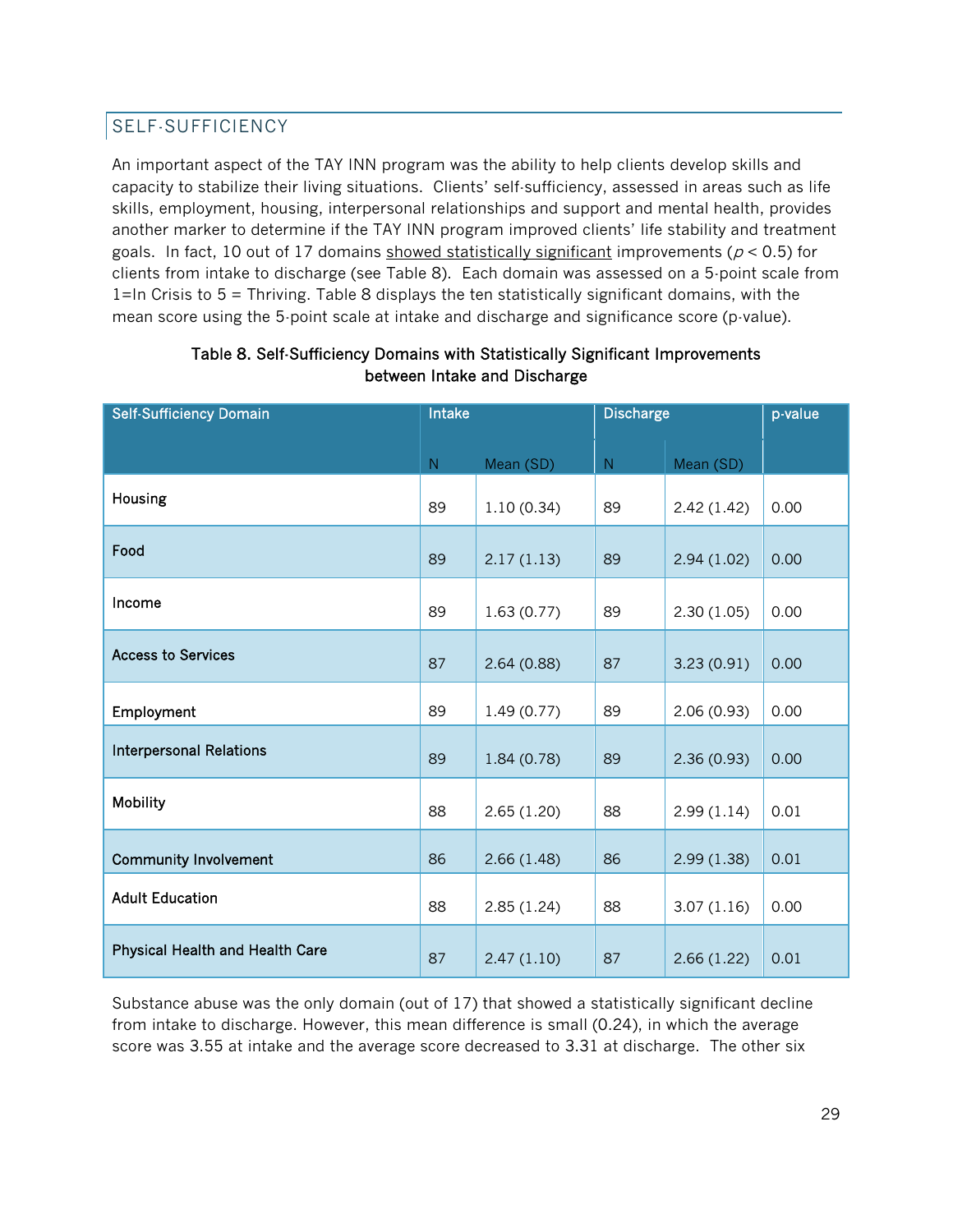## SELF-SUFFICIENCY

An important aspect of the TAY INN program was the ability to help clients develop skills and capacity to stabilize their living situations. Clients' self-sufficiency, assessed in areas such as life skills, employment, housing, interpersonal relationships and support and mental health, provides another marker to determine if the TAY INN program improved clients' life stability and treatment goals. In fact, 10 out of 17 domains showed statistically significant improvements ( $p < 0.5$ ) for clients from intake to discharge (see Table 8). Each domain was assessed on a 5-point scale from 1=In Crisis to 5 = Thriving. Table 8 displays the ten statistically significant domains, with the mean score using the 5-point scale at intake and discharge and significance score (p-value).

| <b>Self-Sufficiency Domain</b>         | Intake    |            | <b>Discharge</b> |             | p-value |
|----------------------------------------|-----------|------------|------------------|-------------|---------|
|                                        |           |            |                  |             |         |
|                                        | ${\sf N}$ | Mean (SD)  | ${\sf N}$        | Mean (SD)   |         |
| Housing                                | 89        | 1.10(0.34) | 89               | 2.42(1.42)  | 0.00    |
| Food                                   | 89        | 2.17(1.13) | 89               | 2.94(1.02)  | 0.00    |
| Income                                 | 89        | 1.63(0.77) | 89               | 2.30(1.05)  | 0.00    |
| <b>Access to Services</b>              | 87        | 2.64(0.88) | 87               | 3.23(0.91)  | 0.00    |
| Employment                             | 89        | 1.49(0.77) | 89               | 2.06 (0.93) | 0.00    |
| <b>Interpersonal Relations</b>         | 89        | 1.84(0.78) | 89               | 2.36(0.93)  | 0.00    |
| Mobility                               | 88        | 2.65(1.20) | 88               | 2.99(1.14)  | 0.01    |
| <b>Community Involvement</b>           | 86        | 2.66(1.48) | 86               | 2.99(1.38)  | 0.01    |
| <b>Adult Education</b>                 | 88        | 2.85(1.24) | 88               | 3.07(1.16)  | 0.00    |
| <b>Physical Health and Health Care</b> | 87        | 2.47(1.10) | 87               | 2.66(1.22)  | 0.01    |

#### Table 8. Self-Sufficiency Domains with Statistically Significant Improvements between Intake and Discharge

Substance abuse was the only domain (out of 17) that showed a statistically significant decline from intake to discharge. However, this mean difference is small (0.24), in which the average score was 3.55 at intake and the average score decreased to 3.31 at discharge. The other six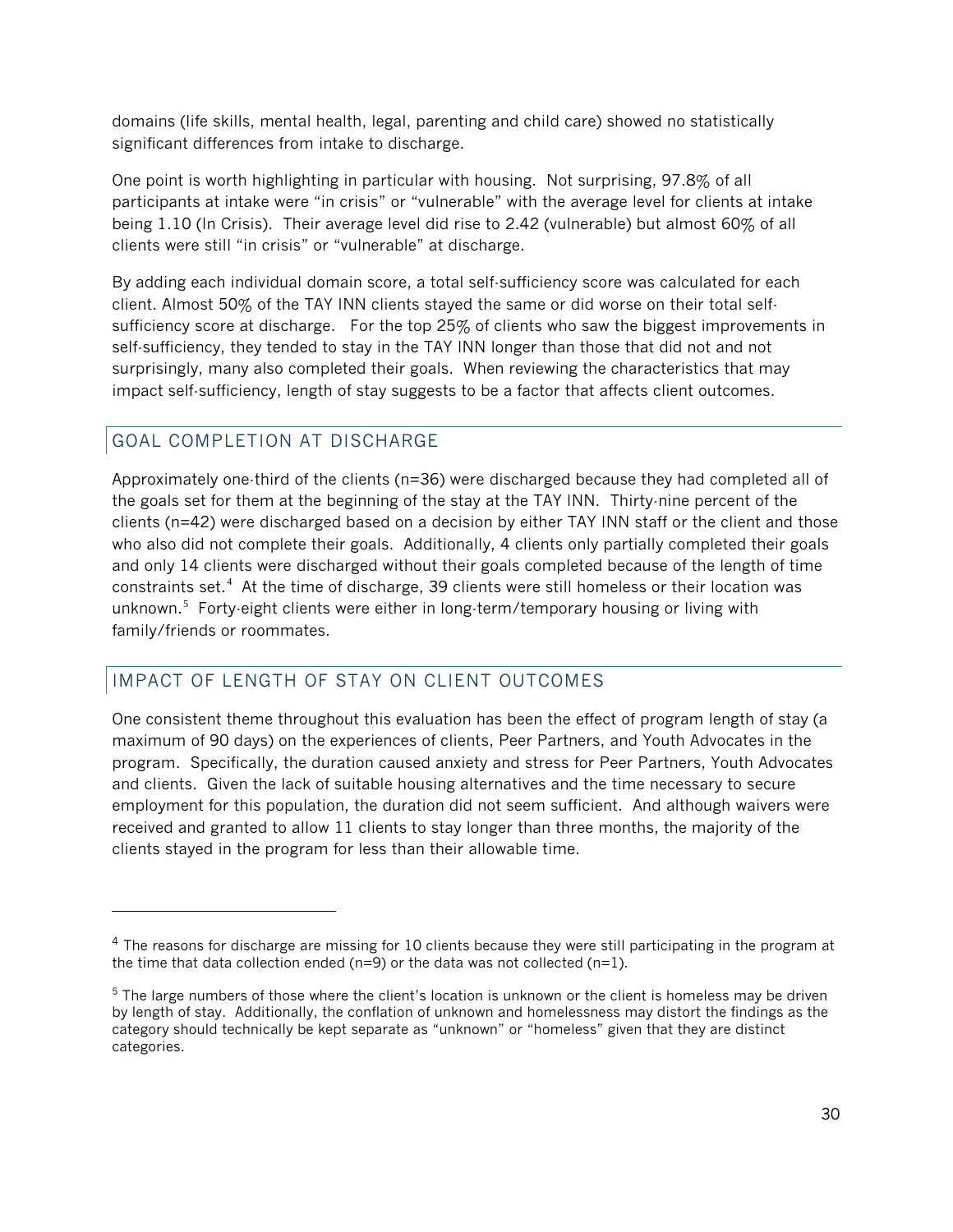domains (life skills, mental health, legal, parenting and child care) showed no statistically significant differences from intake to discharge.

One point is worth highlighting in particular with housing. Not surprising, 97.8% of all participants at intake were "in crisis" or "vulnerable" with the average level for clients at intake being 1.10 (In Crisis). Their average level did rise to 2.42 (vulnerable) but almost 60% of all clients were still "in crisis" or "vulnerable" at discharge.

By adding each individual domain score, a total self-sufficiency score was calculated for each client. Almost 50% of the TAY INN clients stayed the same or did worse on their total selfsufficiency score at discharge. For the top 25% of clients who saw the biggest improvements in self-sufficiency, they tended to stay in the TAY INN longer than those that did not and not surprisingly, many also completed their goals. When reviewing the characteristics that may impact self-sufficiency, length of stay suggests to be a factor that affects client outcomes.

## GOAL COMPLETION AT DISCHARGE

Approximately one-third of the clients (n=36) were discharged because they had completed all of the goals set for them at the beginning of the stay at the TAY INN. Thirty-nine percent of the clients (n=42) were discharged based on a decision by either TAY INN staff or the client and those who also did not complete their goals. Additionally, 4 clients only partially completed their goals and only 14 clients were discharged without their goals completed because of the length of time constraints set. $4$  At the time of discharge, 39 clients were still homeless or their location was unknown.<sup>[5](#page-29-1)</sup> Forty-eight clients were either in long-term/temporary housing or living with family/friends or roommates.

## IMPACT OF LENGTH OF STAY ON CLIENT OUTCOMES

One consistent theme throughout this evaluation has been the effect of program length of stay (a maximum of 90 days) on the experiences of clients, Peer Partners, and Youth Advocates in the program. Specifically, the duration caused anxiety and stress for Peer Partners, Youth Advocates and clients. Given the lack of suitable housing alternatives and the time necessary to secure employment for this population, the duration did not seem sufficient. And although waivers were received and granted to allow 11 clients to stay longer than three months, the majority of the clients stayed in the program for less than their allowable time.

<span id="page-29-0"></span><sup>&</sup>lt;sup>4</sup> The reasons for discharge are missing for 10 clients because they were still participating in the program at the time that data collection ended ( $n=9$ ) or the data was not collected ( $n=1$ ).

<span id="page-29-1"></span> $5$  The large numbers of those where the client's location is unknown or the client is homeless may be driven by length of stay. Additionally, the conflation of unknown and homelessness may distort the findings as the category should technically be kept separate as "unknown" or "homeless" given that they are distinct categories.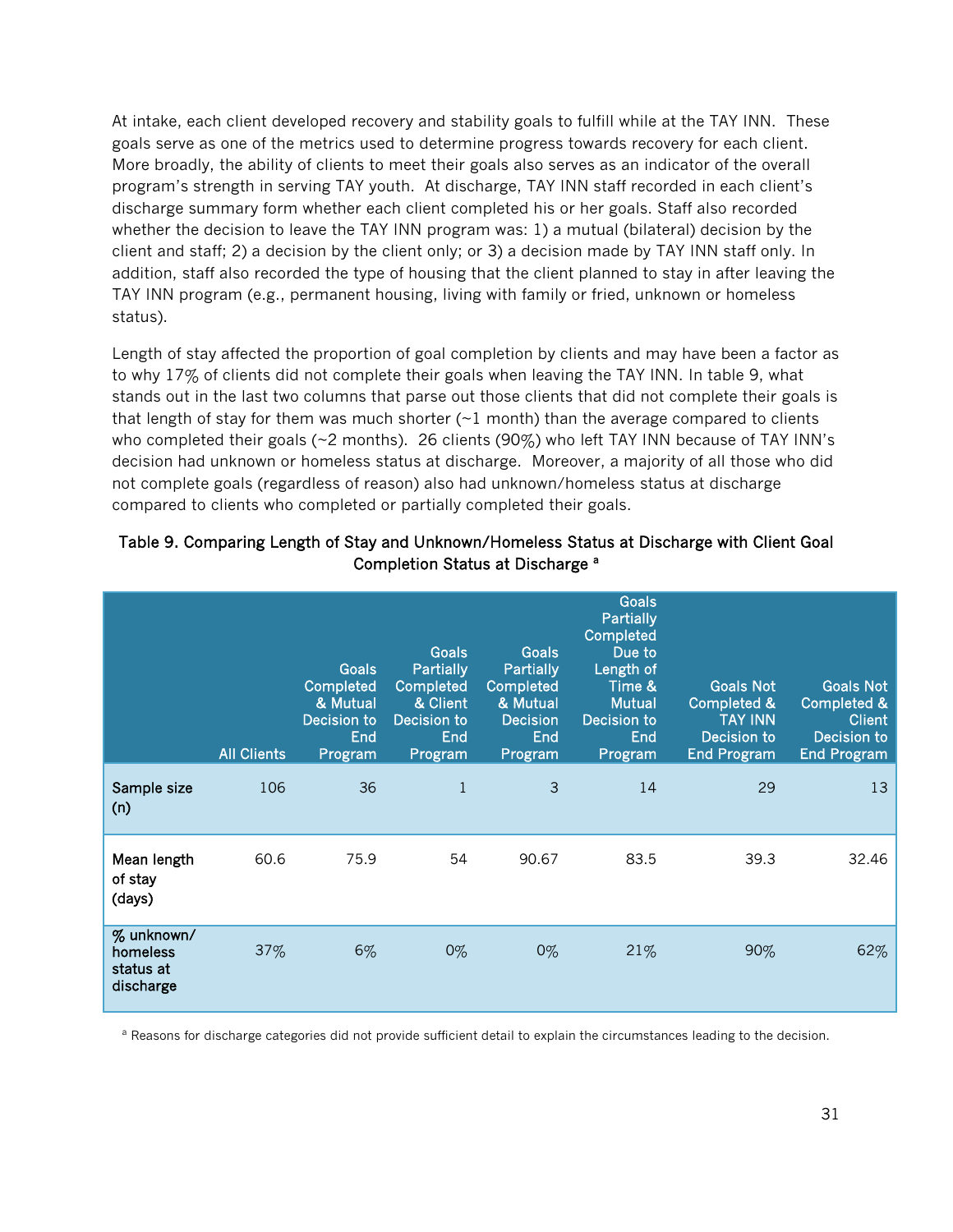At intake, each client developed recovery and stability goals to fulfill while at the TAY INN. These goals serve as one of the metrics used to determine progress towards recovery for each client. More broadly, the ability of clients to meet their goals also serves as an indicator of the overall program's strength in serving TAY youth. At discharge, TAY INN staff recorded in each client's discharge summary form whether each client completed his or her goals. Staff also recorded whether the decision to leave the TAY INN program was: 1) a mutual (bilateral) decision by the client and staff; 2) a decision by the client only; or 3) a decision made by TAY INN staff only. In addition, staff also recorded the type of housing that the client planned to stay in after leaving the TAY INN program (e.g., permanent housing, living with family or fried, unknown or homeless status).

Length of stay affected the proportion of goal completion by clients and may have been a factor as to why 17% of clients did not complete their goals when leaving the TAY INN. In table 9, what stands out in the last two columns that parse out those clients that did not complete their goals is that length of stay for them was much shorter  $(\sim 1 \text{ month})$  than the average compared to clients who completed their goals (~2 months). 26 clients (90%) who left TAY INN because of TAY INN's decision had unknown or homeless status at discharge. Moreover, a majority of all those who did not complete goals (regardless of reason) also had unknown/homeless status at discharge compared to clients who completed or partially completed their goals.

|                                                  | <b>All Clients</b> | Goals<br>Completed<br>& Mutual<br>Decision to<br>End<br>Program | Goals<br>Partially<br>Completed<br>& Client<br>Decision to<br>End<br>Program | <b>Goals</b><br>Partially<br>Completed<br>& Mutual<br><b>Decision</b><br><b>End</b><br>Program | <b>Goals</b><br><b>Partially</b><br>Completed<br>Due to<br>Length of<br>Time &<br><b>Mutual</b><br>Decision to<br>End<br>Program | <b>Goals Not</b><br>Completed &<br><b>TAY INN</b><br>Decision to<br><b>End Program</b> | <b>Goals Not</b><br><b>Completed &amp;</b><br><b>Client</b><br>Decision to<br><b>End Program</b> |
|--------------------------------------------------|--------------------|-----------------------------------------------------------------|------------------------------------------------------------------------------|------------------------------------------------------------------------------------------------|----------------------------------------------------------------------------------------------------------------------------------|----------------------------------------------------------------------------------------|--------------------------------------------------------------------------------------------------|
| Sample size<br>(n)                               | 106                | 36                                                              | 1                                                                            | 3                                                                                              | 14                                                                                                                               | 29                                                                                     | 13                                                                                               |
| Mean length<br>of stay<br>(days)                 | 60.6               | 75.9                                                            | 54                                                                           | 90.67                                                                                          | 83.5                                                                                                                             | 39.3                                                                                   | 32.46                                                                                            |
| % unknown/<br>homeless<br>status at<br>discharge | 37%                | 6%                                                              | $0\%$                                                                        | $0\%$                                                                                          | 21%                                                                                                                              | 90%                                                                                    | 62%                                                                                              |

#### Table 9. Comparing Length of Stay and Unknown/Homeless Status at Discharge with Client Goal Completion Status at Discharge<sup>a</sup>

a Reasons for discharge categories did not provide sufficient detail to explain the circumstances leading to the decision.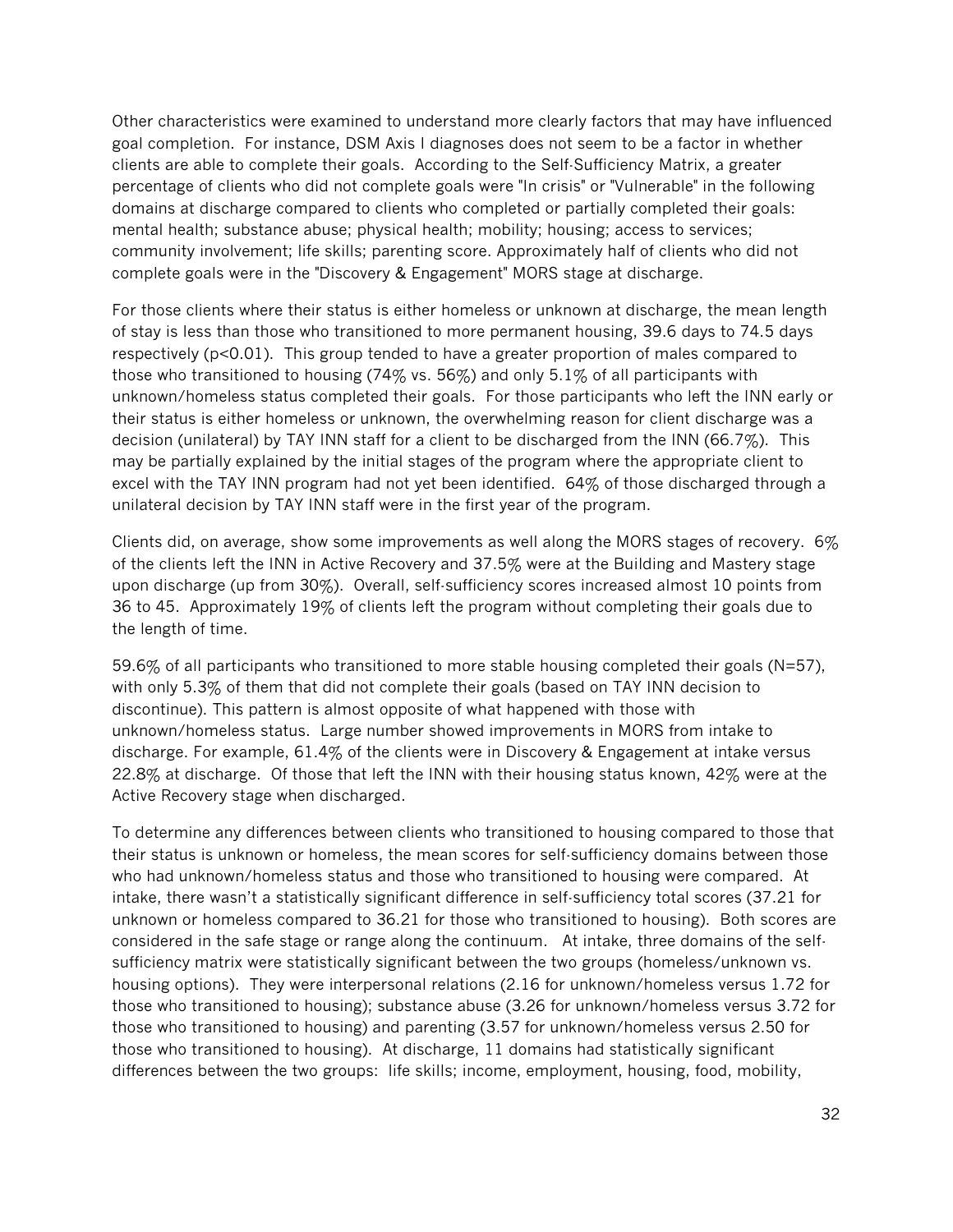Other characteristics were examined to understand more clearly factors that may have influenced goal completion. For instance, DSM Axis I diagnoses does not seem to be a factor in whether clients are able to complete their goals. According to the Self-Sufficiency Matrix, a greater percentage of clients who did not complete goals were "In crisis" or "Vulnerable" in the following domains at discharge compared to clients who completed or partially completed their goals: mental health; substance abuse; physical health; mobility; housing; access to services; community involvement; life skills; parenting score. Approximately half of clients who did not complete goals were in the "Discovery & Engagement" MORS stage at discharge.

For those clients where their status is either homeless or unknown at discharge, the mean length of stay is less than those who transitioned to more permanent housing, 39.6 days to 74.5 days respectively  $(p<0.01)$ . This group tended to have a greater proportion of males compared to those who transitioned to housing (74% vs. 56%) and only 5.1% of all participants with unknown/homeless status completed their goals. For those participants who left the INN early or their status is either homeless or unknown, the overwhelming reason for client discharge was a decision (unilateral) by TAY INN staff for a client to be discharged from the INN (66.7%). This may be partially explained by the initial stages of the program where the appropriate client to excel with the TAY INN program had not yet been identified. 64% of those discharged through a unilateral decision by TAY INN staff were in the first year of the program.

Clients did, on average, show some improvements as well along the MORS stages of recovery.  $6\%$ of the clients left the INN in Active Recovery and 37.5% were at the Building and Mastery stage upon discharge (up from 30%). Overall, self-sufficiency scores increased almost 10 points from 36 to 45. Approximately 19% of clients left the program without completing their goals due to the length of time.

59.6% of all participants who transitioned to more stable housing completed their goals (N=57), with only 5.3% of them that did not complete their goals (based on TAY INN decision to discontinue). This pattern is almost opposite of what happened with those with unknown/homeless status. Large number showed improvements in MORS from intake to discharge. For example, 61.4% of the clients were in Discovery & Engagement at intake versus 22.8% at discharge. Of those that left the INN with their housing status known, 42% were at the Active Recovery stage when discharged.

To determine any differences between clients who transitioned to housing compared to those that their status is unknown or homeless, the mean scores for self-sufficiency domains between those who had unknown/homeless status and those who transitioned to housing were compared. At intake, there wasn't a statistically significant difference in self-sufficiency total scores (37.21 for unknown or homeless compared to 36.21 for those who transitioned to housing). Both scores are considered in the safe stage or range along the continuum. At intake, three domains of the selfsufficiency matrix were statistically significant between the two groups (homeless/unknown vs. housing options). They were interpersonal relations (2.16 for unknown/homeless versus 1.72 for those who transitioned to housing); substance abuse (3.26 for unknown/homeless versus 3.72 for those who transitioned to housing) and parenting (3.57 for unknown/homeless versus 2.50 for those who transitioned to housing). At discharge, 11 domains had statistically significant differences between the two groups: life skills; income, employment, housing, food, mobility,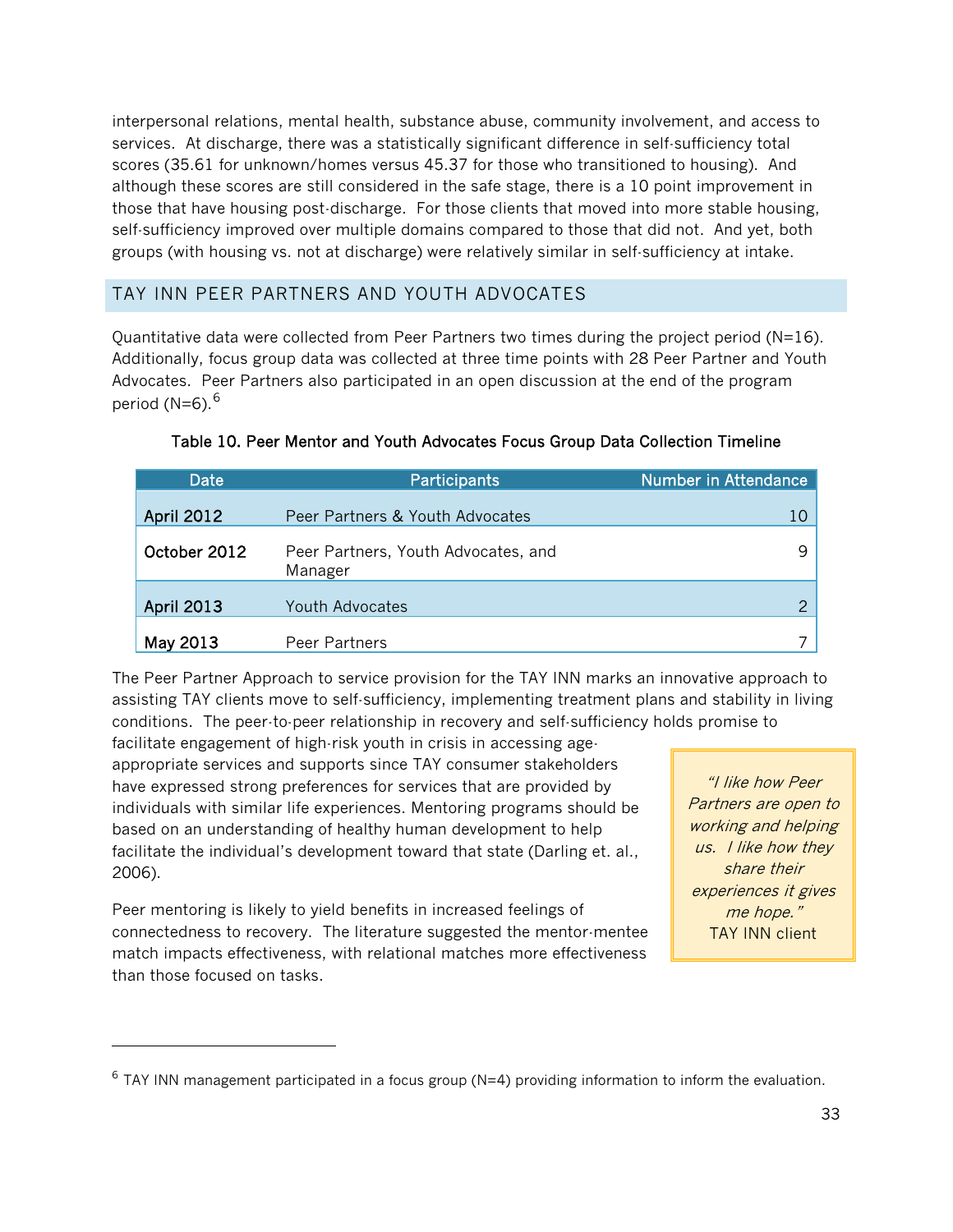interpersonal relations, mental health, substance abuse, community involvement, and access to services. At discharge, there was a statistically significant difference in self-sufficiency total scores (35.61 for unknown/homes versus 45.37 for those who transitioned to housing). And although these scores are still considered in the safe stage, there is a 10 point improvement in those that have housing post-discharge. For those clients that moved into more stable housing, self-sufficiency improved over multiple domains compared to those that did not. And yet, both groups (with housing vs. not at discharge) were relatively similar in self-sufficiency at intake.

#### TAY INN PEER PARTNERS AND YOUTH ADVOCATES

Quantitative data were collected from Peer Partners two times during the project period ( $N=16$ ). Additionally, focus group data was collected at three time points with 28 Peer Partner and Youth Advocates. Peer Partners also participated in an open discussion at the end of the program period (N=[6](#page-32-0)).<sup>6</sup>

| Date              | <b>Participants</b>                            | <b>Number in Attendance</b> |
|-------------------|------------------------------------------------|-----------------------------|
| <b>April 2012</b> | Peer Partners & Youth Advocates                | 10                          |
| October 2012      | Peer Partners, Youth Advocates, and<br>Manager |                             |
| <b>April 2013</b> | <b>Youth Advocates</b>                         |                             |
| May 2013          | Peer Partners                                  |                             |

|  |  | Table 10. Peer Mentor and Youth Advocates Focus Group Data Collection Timeline |  |
|--|--|--------------------------------------------------------------------------------|--|
|  |  |                                                                                |  |

The Peer Partner Approach to service provision for the TAY INN marks an innovative approach to assisting TAY clients move to self-sufficiency, implementing treatment plans and stability in living conditions. The peer-to-peer relationship in recovery and self-sufficiency holds promise to

facilitate engagement of high-risk youth in crisis in accessing ageappropriate services and supports since TAY consumer stakeholders have expressed strong preferences for services that are provided by individuals with similar life experiences. Mentoring programs should be based on an understanding of healthy human development to help facilitate the individual's development toward that state (Darling et. al., 2006).

Peer mentoring is likely to yield benefits in increased feelings of connectedness to recovery. The literature suggested the mentor-mentee match impacts effectiveness, with relational matches more effectiveness than those focused on tasks.

l

"I like how Peer Partners are open to working and helping us. I like how they share their experiences it gives me hope." TAY INN client

<span id="page-32-0"></span> $6$  TAY INN management participated in a focus group (N=4) providing information to inform the evaluation.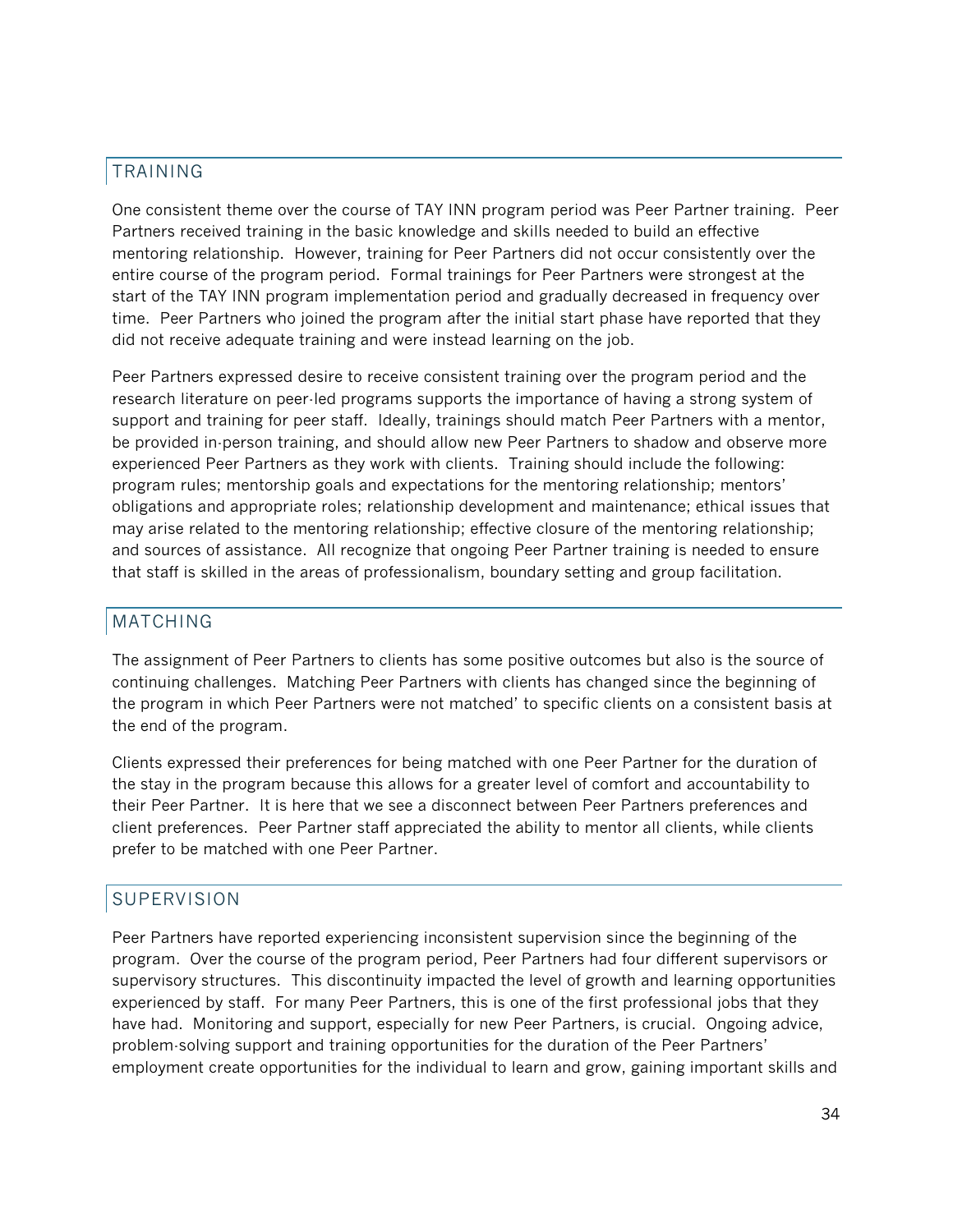## TRAINING

One consistent theme over the course of TAY INN program period was Peer Partner training. Peer Partners received training in the basic knowledge and skills needed to build an effective mentoring relationship. However, training for Peer Partners did not occur consistently over the entire course of the program period. Formal trainings for Peer Partners were strongest at the start of the TAY INN program implementation period and gradually decreased in frequency over time. Peer Partners who joined the program after the initial start phase have reported that they did not receive adequate training and were instead learning on the job.

Peer Partners expressed desire to receive consistent training over the program period and the research literature on peer-led programs supports the importance of having a strong system of support and training for peer staff. Ideally, trainings should match Peer Partners with a mentor, be provided in-person training, and should allow new Peer Partners to shadow and observe more experienced Peer Partners as they work with clients. Training should include the following: program rules; mentorship goals and expectations for the mentoring relationship; mentors' obligations and appropriate roles; relationship development and maintenance; ethical issues that may arise related to the mentoring relationship; effective closure of the mentoring relationship; and sources of assistance. All recognize that ongoing Peer Partner training is needed to ensure that staff is skilled in the areas of professionalism, boundary setting and group facilitation.

#### MATCHING

The assignment of Peer Partners to clients has some positive outcomes but also is the source of continuing challenges. Matching Peer Partners with clients has changed since the beginning of the program in which Peer Partners were not matched' to specific clients on a consistent basis at the end of the program.

Clients expressed their preferences for being matched with one Peer Partner for the duration of the stay in the program because this allows for a greater level of comfort and accountability to their Peer Partner. It is here that we see a disconnect between Peer Partners preferences and client preferences. Peer Partner staff appreciated the ability to mentor all clients, while clients prefer to be matched with one Peer Partner.

#### SUPERVISION

Peer Partners have reported experiencing inconsistent supervision since the beginning of the program. Over the course of the program period, Peer Partners had four different supervisors or supervisory structures. This discontinuity impacted the level of growth and learning opportunities experienced by staff. For many Peer Partners, this is one of the first professional jobs that they have had. Monitoring and support, especially for new Peer Partners, is crucial. Ongoing advice, problem-solving support and training opportunities for the duration of the Peer Partners' employment create opportunities for the individual to learn and grow, gaining important skills and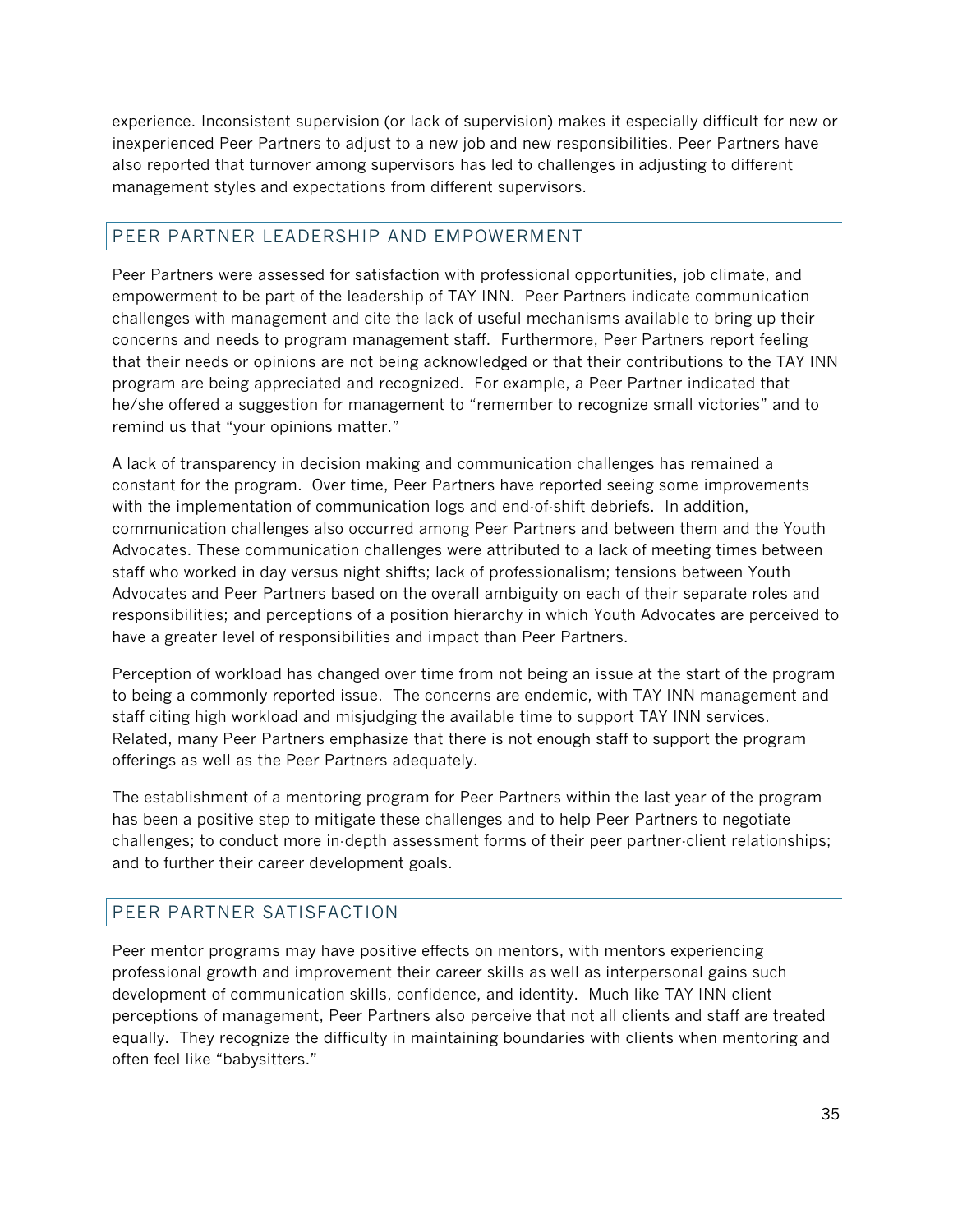experience. Inconsistent supervision (or lack of supervision) makes it especially difficult for new or inexperienced Peer Partners to adjust to a new job and new responsibilities. Peer Partners have also reported that turnover among supervisors has led to challenges in adjusting to different management styles and expectations from different supervisors.

## PEER PARTNER LEADERSHIP AND EMPOWERMENT

Peer Partners were assessed for satisfaction with professional opportunities, job climate, and empowerment to be part of the leadership of TAY INN. Peer Partners indicate communication challenges with management and cite the lack of useful mechanisms available to bring up their concerns and needs to program management staff. Furthermore, Peer Partners report feeling that their needs or opinions are not being acknowledged or that their contributions to the TAY INN program are being appreciated and recognized. For example, a Peer Partner indicated that he/she offered a suggestion for management to "remember to recognize small victories" and to remind us that "your opinions matter."

A lack of transparency in decision making and communication challenges has remained a constant for the program. Over time, Peer Partners have reported seeing some improvements with the implementation of communication logs and end-of-shift debriefs. In addition, communication challenges also occurred among Peer Partners and between them and the Youth Advocates. These communication challenges were attributed to a lack of meeting times between staff who worked in day versus night shifts; lack of professionalism; tensions between Youth Advocates and Peer Partners based on the overall ambiguity on each of their separate roles and responsibilities; and perceptions of a position hierarchy in which Youth Advocates are perceived to have a greater level of responsibilities and impact than Peer Partners.

Perception of workload has changed over time from not being an issue at the start of the program to being a commonly reported issue. The concerns are endemic, with TAY INN management and staff citing high workload and misjudging the available time to support TAY INN services. Related, many Peer Partners emphasize that there is not enough staff to support the program offerings as well as the Peer Partners adequately.

The establishment of a mentoring program for Peer Partners within the last year of the program has been a positive step to mitigate these challenges and to help Peer Partners to negotiate challenges; to conduct more in-depth assessment forms of their peer partner-client relationships; and to further their career development goals.

## PEER PARTNER SATISFACTION

Peer mentor programs may have positive effects on mentors, with mentors experiencing professional growth and improvement their career skills as well as interpersonal gains such development of communication skills, confidence, and identity. Much like TAY INN client perceptions of management, Peer Partners also perceive that not all clients and staff are treated equally. They recognize the difficulty in maintaining boundaries with clients when mentoring and often feel like "babysitters."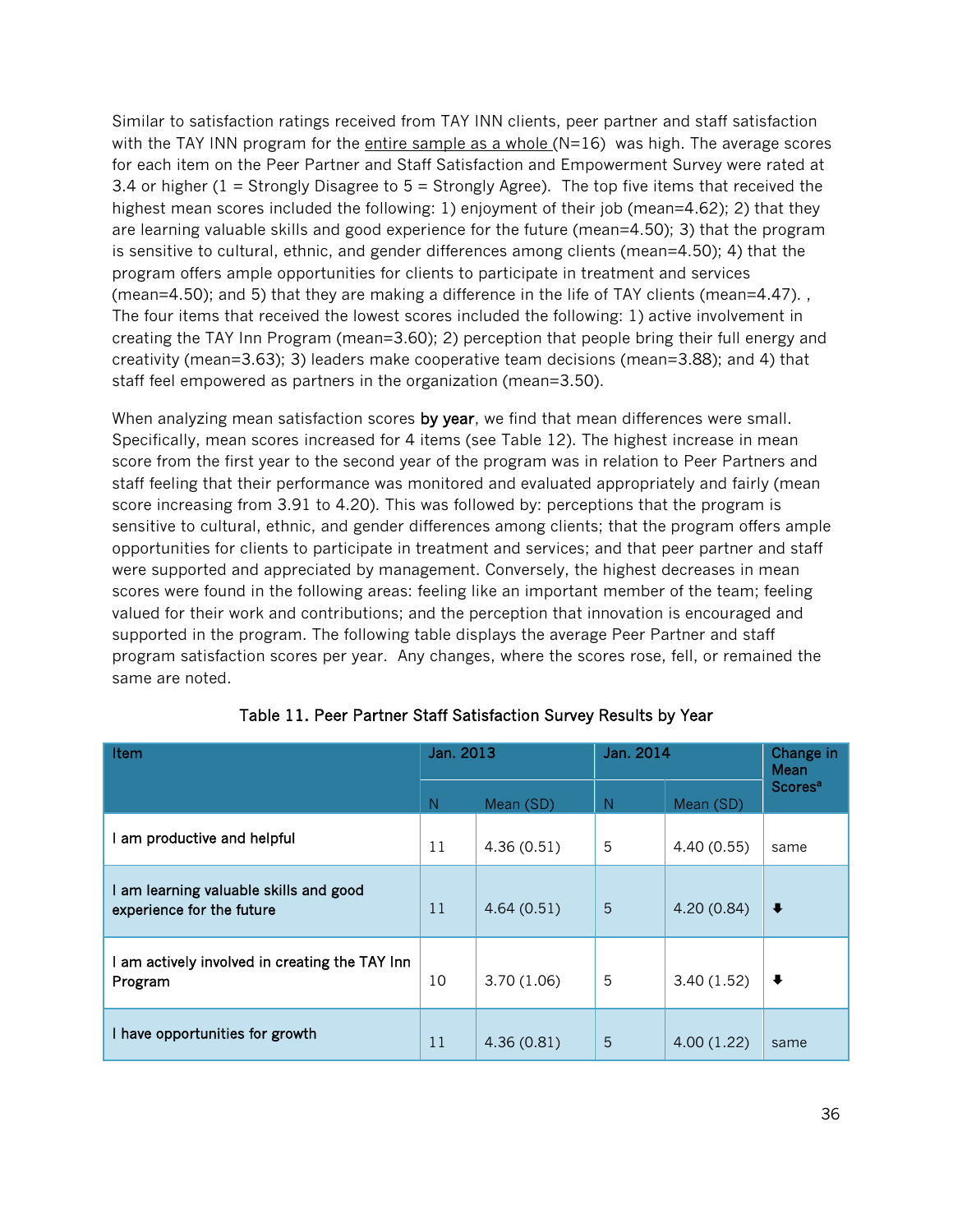Similar to satisfaction ratings received from TAY INN clients, peer partner and staff satisfaction with the TAY INN program for the entire sample as a whole  $(N=16)$  was high. The average scores for each item on the Peer Partner and Staff Satisfaction and Empowerment Survey were rated at 3.4 or higher (1 = Strongly Disagree to 5 = Strongly Agree). The top five items that received the highest mean scores included the following: 1) enjoyment of their job (mean=4.62); 2) that they are learning valuable skills and good experience for the future (mean=4.50); 3) that the program is sensitive to cultural, ethnic, and gender differences among clients (mean=4.50); 4) that the program offers ample opportunities for clients to participate in treatment and services (mean=4.50); and 5) that they are making a difference in the life of TAY clients (mean=4.47). , The four items that received the lowest scores included the following: 1) active involvement in creating the TAY Inn Program (mean=3.60); 2) perception that people bring their full energy and creativity (mean=3.63); 3) leaders make cooperative team decisions (mean=3.88); and 4) that staff feel empowered as partners in the organization (mean=3.50).

When analyzing mean satisfaction scores by year, we find that mean differences were small. Specifically, mean scores increased for 4 items (see Table 12). The highest increase in mean score from the first year to the second year of the program was in relation to Peer Partners and staff feeling that their performance was monitored and evaluated appropriately and fairly (mean score increasing from 3.91 to 4.20). This was followed by: perceptions that the program is sensitive to cultural, ethnic, and gender differences among clients; that the program offers ample opportunities for clients to participate in treatment and services; and that peer partner and staff were supported and appreciated by management. Conversely, the highest decreases in mean scores were found in the following areas: feeling like an important member of the team; feeling valued for their work and contributions; and the perception that innovation is encouraged and supported in the program. The following table displays the average Peer Partner and staff program satisfaction scores per year. Any changes, where the scores rose, fell, or remained the same are noted.

| Item                                                              | Jan. 2013 |            | Jan. 2014 |            | Change in<br>Mean         |
|-------------------------------------------------------------------|-----------|------------|-----------|------------|---------------------------|
|                                                                   | N         | Mean (SD)  | N         | Mean (SD)  | <b>Scores<sup>a</sup></b> |
| am productive and helpful                                         | 11        | 4.36(0.51) | 5         | 4.40(0.55) | same                      |
| am learning valuable skills and good<br>experience for the future | 11        | 4.64(0.51) | 5         | 4.20(0.84) | $\ddot{\phantom{1}}$      |
| am actively involved in creating the TAY Inn<br>Program           | 10        | 3.70(1.06) | 5         | 3.40(1.52) | $\ddot{\phantom{0}}$      |
| have opportunities for growth                                     | 11        | 4.36(0.81) | 5         | 4.00(1.22) | same                      |

Table 11. Peer Partner Staff Satisfaction Survey Results by Year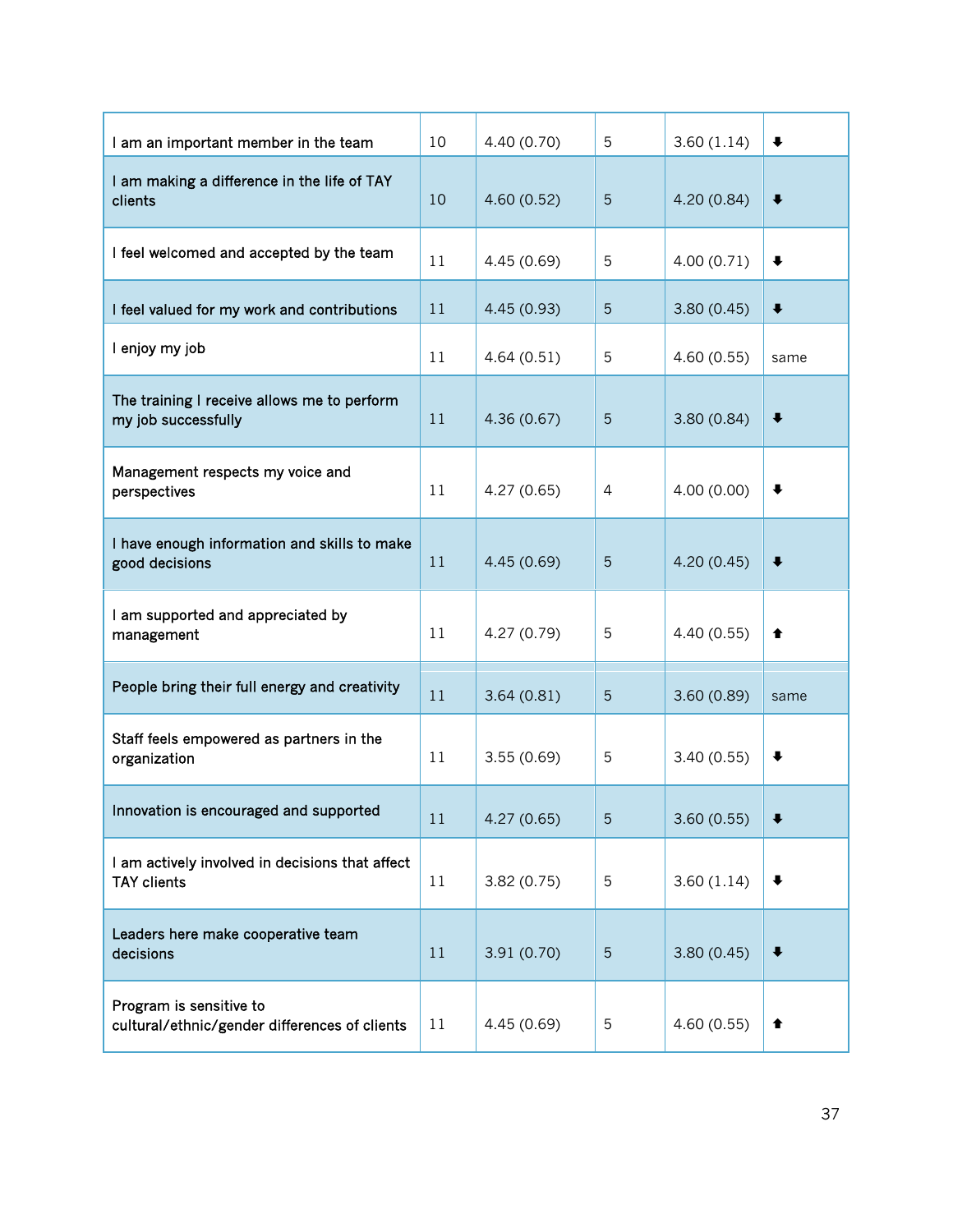| I am an important member in the team                                     | 10 | 4.40 (0.70) | 5              | 3.60(1.14) | $\ddot{\phantom{0}}$ |
|--------------------------------------------------------------------------|----|-------------|----------------|------------|----------------------|
| I am making a difference in the life of TAY<br>clients                   | 10 | 4.60(0.52)  | 5              | 4.20(0.84) | $\ddot{\phantom{0}}$ |
| I feel welcomed and accepted by the team                                 | 11 | 4.45 (0.69) | 5              | 4.00(0.71) | $\ddot{\phantom{1}}$ |
| I feel valued for my work and contributions                              | 11 | 4.45(0.93)  | 5              | 3.80(0.45) | $\ddot{\phantom{1}}$ |
| I enjoy my job                                                           | 11 | 4.64(0.51)  | 5              | 4.60(0.55) | same                 |
| The training I receive allows me to perform<br>my job successfully       | 11 | 4.36(0.67)  | 5              | 3.80(0.84) | $\ddot{\phantom{0}}$ |
| Management respects my voice and<br>perspectives                         | 11 | 4.27(0.65)  | $\overline{4}$ | 4.00(0.00) | $\ddot{\phantom{0}}$ |
| I have enough information and skills to make<br>good decisions           | 11 | 4.45(0.69)  | 5              | 4.20(0.45) | $\ddot{\phantom{1}}$ |
| I am supported and appreciated by<br>management                          | 11 | 4.27 (0.79) | 5              | 4.40(0.55) | ♠                    |
| People bring their full energy and creativity                            | 11 | 3.64(0.81)  | 5              | 3.60(0.89) | same                 |
| Staff feels empowered as partners in the<br>organization                 | 11 | 3.55(0.69)  | 5              | 3.40(0.55) | $\ddot{\phantom{1}}$ |
| Innovation is encouraged and supported                                   | 11 | 4.27(0.65)  | 5              | 3.60(0.55) | $\ddot{\phantom{1}}$ |
| I am actively involved in decisions that affect<br><b>TAY clients</b>    | 11 | 3.82(0.75)  | 5              | 3.60(1.14) | $\ddot{\phantom{1}}$ |
| Leaders here make cooperative team<br>decisions                          | 11 | 3.91(0.70)  | 5              | 3.80(0.45) | $\ddot{\phantom{0}}$ |
| Program is sensitive to<br>cultural/ethnic/gender differences of clients | 11 | 4.45 (0.69) | 5              | 4.60(0.55) | ↟                    |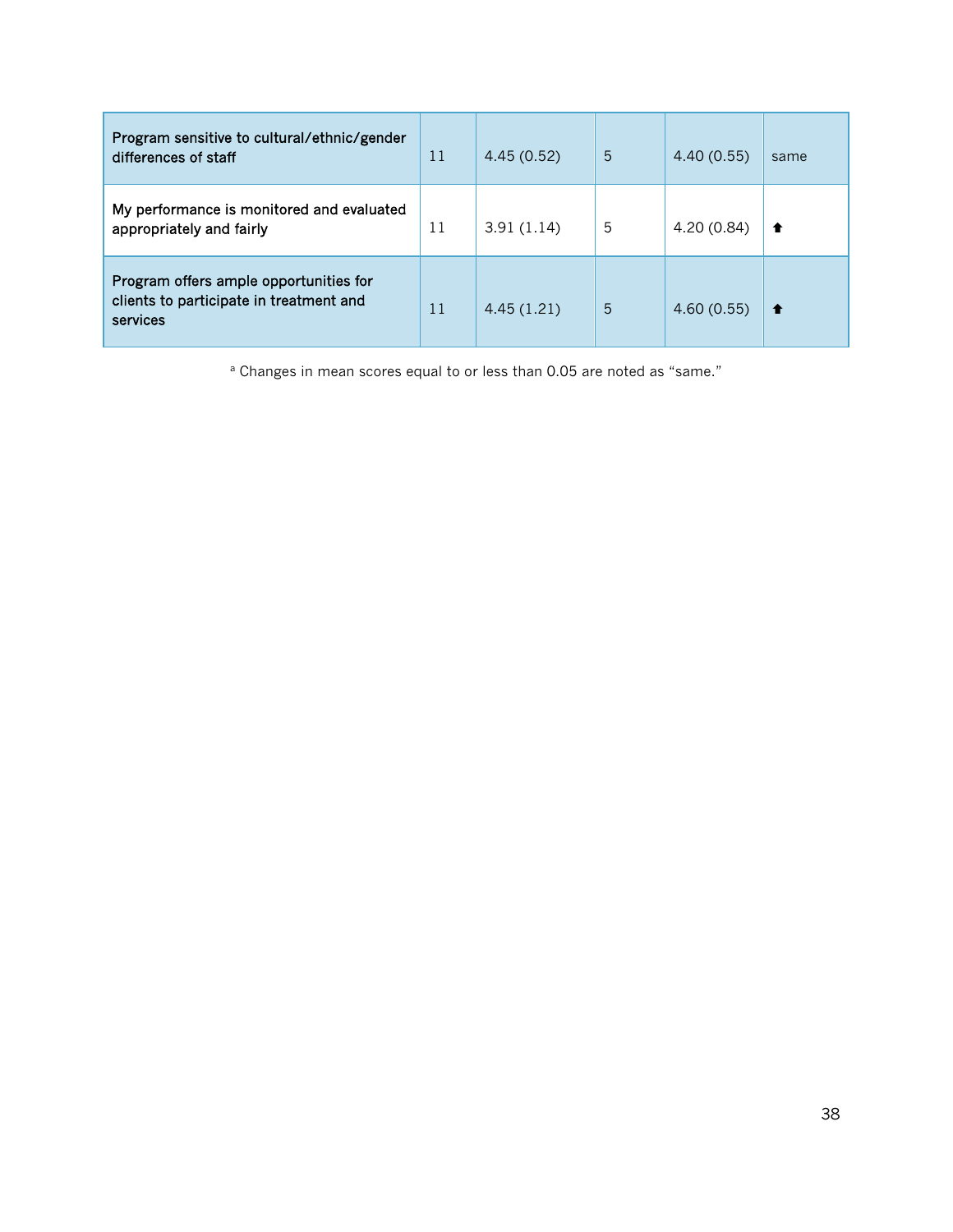| Program sensitive to cultural/ethnic/gender<br>differences of staff                           | 11 | 4.45(0.52) | 5 | 4.40(0.55) | same |
|-----------------------------------------------------------------------------------------------|----|------------|---|------------|------|
| My performance is monitored and evaluated<br>appropriately and fairly                         | 11 | 3.91(1.14) | 5 | 4.20(0.84) | 1    |
| Program offers ample opportunities for<br>clients to participate in treatment and<br>services | 11 | 4.45(1.21) | 5 | 4.60(0.55) | ↑    |

<sup>a</sup> Changes in mean scores equal to or less than 0.05 are noted as "same."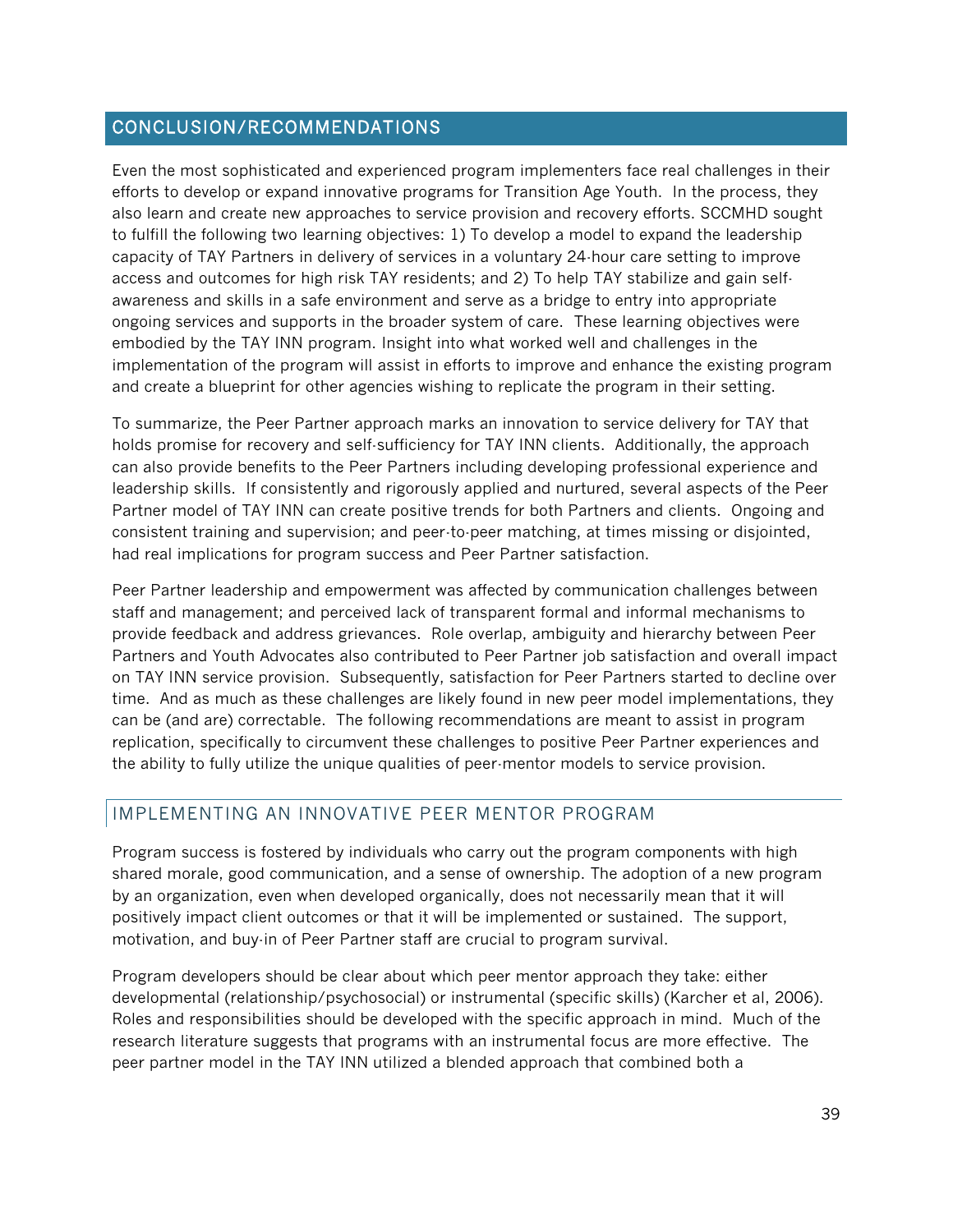#### CONCLUSION/RECOMMENDATIONS

Even the most sophisticated and experienced program implementers face real challenges in their efforts to develop or expand innovative programs for Transition Age Youth. In the process, they also learn and create new approaches to service provision and recovery efforts. SCCMHD sought to fulfill the following two learning objectives: 1) To develop a model to expand the leadership capacity of TAY Partners in delivery of services in a voluntary 24-hour care setting to improve access and outcomes for high risk TAY residents; and 2) To help TAY stabilize and gain selfawareness and skills in a safe environment and serve as a bridge to entry into appropriate ongoing services and supports in the broader system of care. These learning objectives were embodied by the TAY INN program. Insight into what worked well and challenges in the implementation of the program will assist in efforts to improve and enhance the existing program and create a blueprint for other agencies wishing to replicate the program in their setting.

To summarize, the Peer Partner approach marks an innovation to service delivery for TAY that holds promise for recovery and self-sufficiency for TAY INN clients. Additionally, the approach can also provide benefits to the Peer Partners including developing professional experience and leadership skills. If consistently and rigorously applied and nurtured, several aspects of the Peer Partner model of TAY INN can create positive trends for both Partners and clients. Ongoing and consistent training and supervision; and peer-to-peer matching, at times missing or disjointed, had real implications for program success and Peer Partner satisfaction.

Peer Partner leadership and empowerment was affected by communication challenges between staff and management; and perceived lack of transparent formal and informal mechanisms to provide feedback and address grievances. Role overlap, ambiguity and hierarchy between Peer Partners and Youth Advocates also contributed to Peer Partner job satisfaction and overall impact on TAY INN service provision. Subsequently, satisfaction for Peer Partners started to decline over time. And as much as these challenges are likely found in new peer model implementations, they can be (and are) correctable. The following recommendations are meant to assist in program replication, specifically to circumvent these challenges to positive Peer Partner experiences and the ability to fully utilize the unique qualities of peer-mentor models to service provision.

## IMPLEMENTING AN INNOVATIVE PEER MENTOR PROGRAM

Program success is fostered by individuals who carry out the program components with high shared morale, good communication, and a sense of ownership. The adoption of a new program by an organization, even when developed organically, does not necessarily mean that it will positively impact client outcomes or that it will be implemented or sustained. The support, motivation, and buy-in of Peer Partner staff are crucial to program survival.

Program developers should be clear about which peer mentor approach they take: either developmental (relationship/psychosocial) or instrumental (specific skills) (Karcher et al, 2006). Roles and responsibilities should be developed with the specific approach in mind. Much of the research literature suggests that programs with an instrumental focus are more effective. The peer partner model in the TAY INN utilized a blended approach that combined both a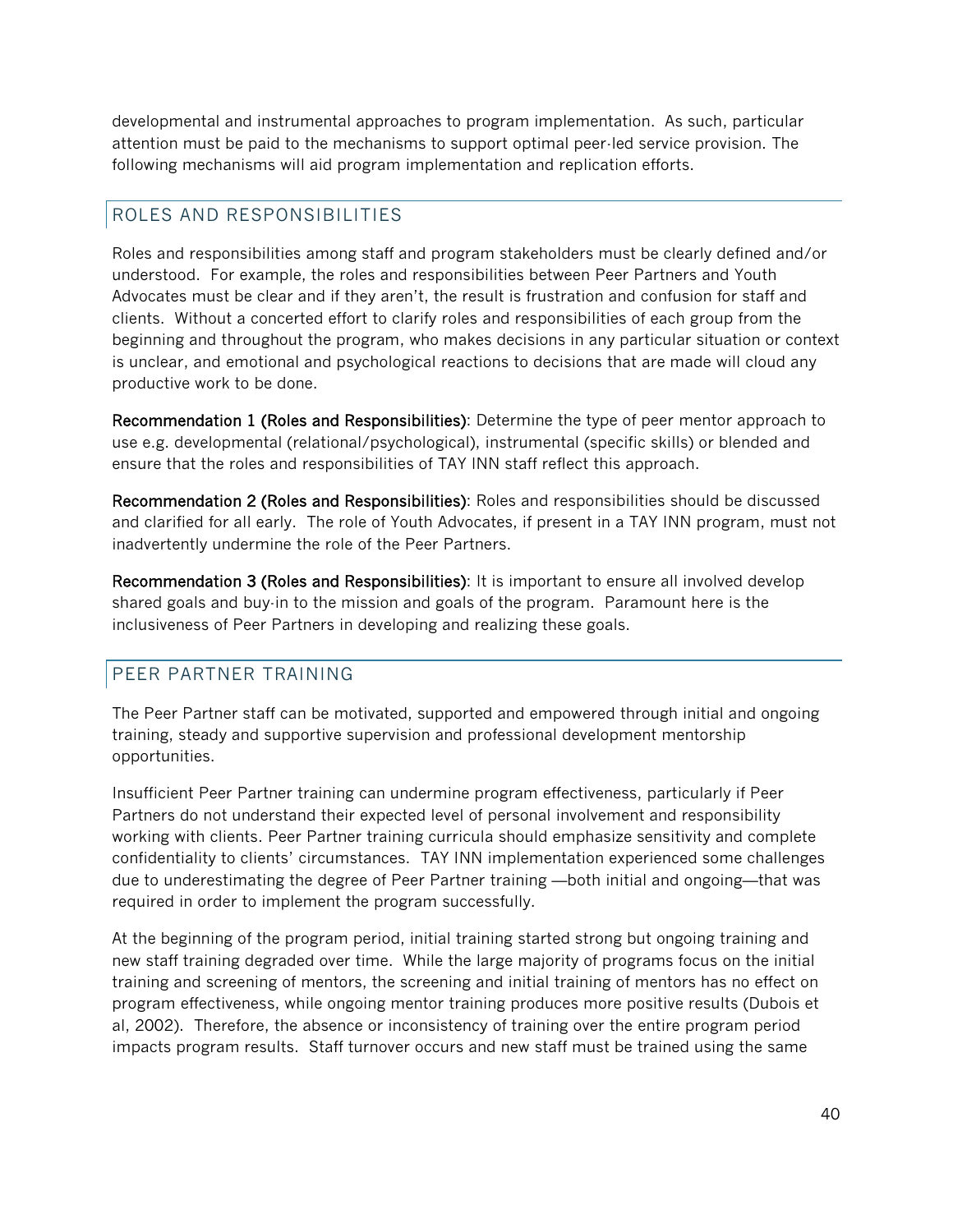developmental and instrumental approaches to program implementation. As such, particular attention must be paid to the mechanisms to support optimal peer-led service provision. The following mechanisms will aid program implementation and replication efforts.

## ROLES AND RESPONSIBILITIES

Roles and responsibilities among staff and program stakeholders must be clearly defined and/or understood. For example, the roles and responsibilities between Peer Partners and Youth Advocates must be clear and if they aren't, the result is frustration and confusion for staff and clients. Without a concerted effort to clarify roles and responsibilities of each group from the beginning and throughout the program, who makes decisions in any particular situation or context is unclear, and emotional and psychological reactions to decisions that are made will cloud any productive work to be done.

Recommendation 1 (Roles and Responsibilities): Determine the type of peer mentor approach to use e.g. developmental (relational/psychological), instrumental (specific skills) or blended and ensure that the roles and responsibilities of TAY INN staff reflect this approach.

Recommendation 2 (Roles and Responsibilities): Roles and responsibilities should be discussed and clarified for all early. The role of Youth Advocates, if present in a TAY INN program, must not inadvertently undermine the role of the Peer Partners.

Recommendation 3 (Roles and Responsibilities): It is important to ensure all involved develop shared goals and buy-in to the mission and goals of the program. Paramount here is the inclusiveness of Peer Partners in developing and realizing these goals.

#### PEER PARTNER TRAINING

The Peer Partner staff can be motivated, supported and empowered through initial and ongoing training, steady and supportive supervision and professional development mentorship opportunities.

Insufficient Peer Partner training can undermine program effectiveness, particularly if Peer Partners do not understand their expected level of personal involvement and responsibility working with clients. Peer Partner training curricula should emphasize sensitivity and complete confidentiality to clients' circumstances. TAY INN implementation experienced some challenges due to underestimating the degree of Peer Partner training —both initial and ongoing—that was required in order to implement the program successfully.

At the beginning of the program period, initial training started strong but ongoing training and new staff training degraded over time. While the large majority of programs focus on the initial training and screening of mentors, the screening and initial training of mentors has no effect on program effectiveness, while ongoing mentor training produces more positive results (Dubois et al, 2002). Therefore, the absence or inconsistency of training over the entire program period impacts program results. Staff turnover occurs and new staff must be trained using the same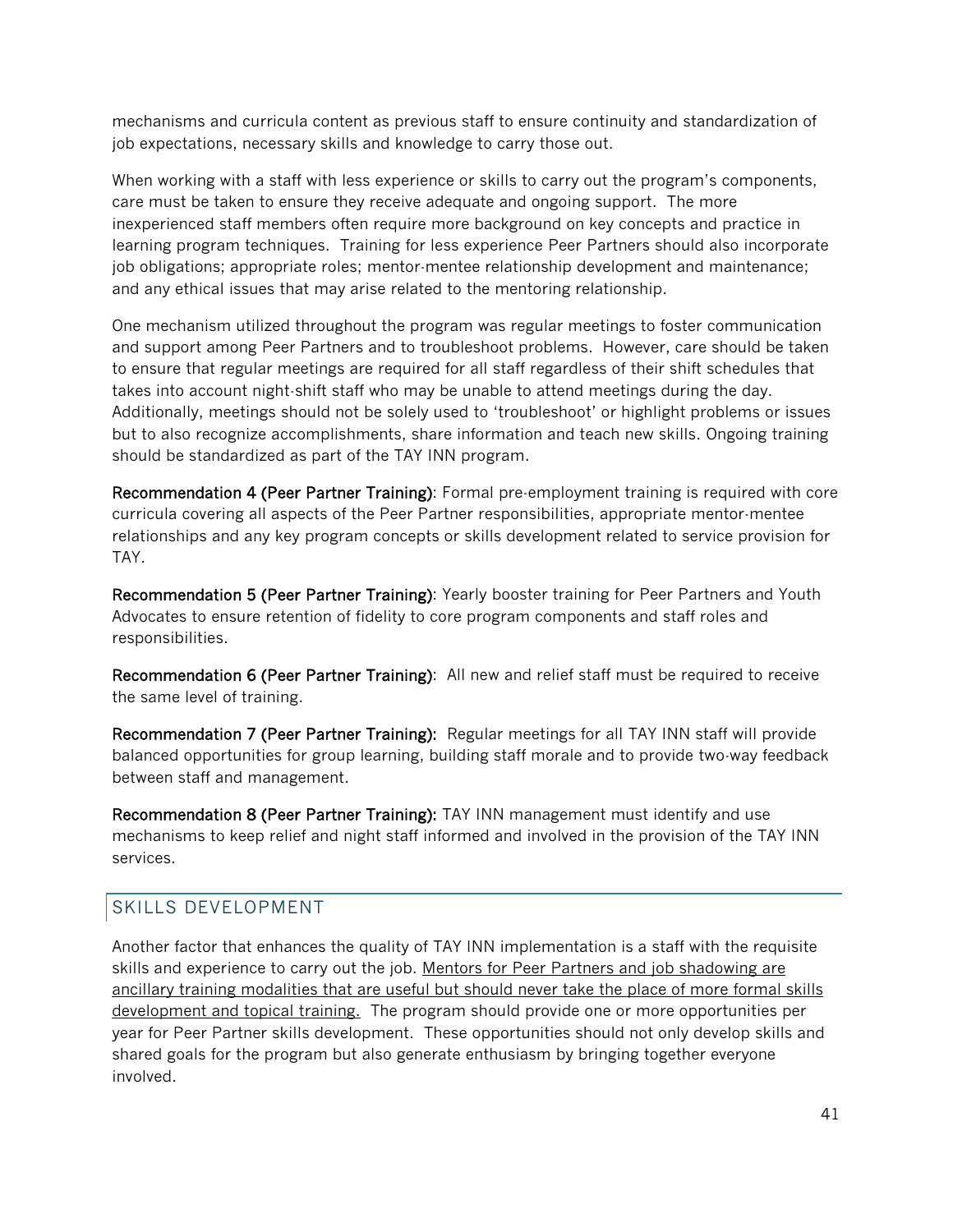mechanisms and curricula content as previous staff to ensure continuity and standardization of job expectations, necessary skills and knowledge to carry those out.

When working with a staff with less experience or skills to carry out the program's components, care must be taken to ensure they receive adequate and ongoing support. The more inexperienced staff members often require more background on key concepts and practice in learning program techniques. Training for less experience Peer Partners should also incorporate job obligations; appropriate roles; mentor-mentee relationship development and maintenance; and any ethical issues that may arise related to the mentoring relationship.

One mechanism utilized throughout the program was regular meetings to foster communication and support among Peer Partners and to troubleshoot problems. However, care should be taken to ensure that regular meetings are required for all staff regardless of their shift schedules that takes into account night-shift staff who may be unable to attend meetings during the day. Additionally, meetings should not be solely used to 'troubleshoot' or highlight problems or issues but to also recognize accomplishments, share information and teach new skills. Ongoing training should be standardized as part of the TAY INN program.

Recommendation 4 (Peer Partner Training): Formal pre-employment training is required with core curricula covering all aspects of the Peer Partner responsibilities, appropriate mentor-mentee relationships and any key program concepts or skills development related to service provision for TAY.

Recommendation 5 (Peer Partner Training): Yearly booster training for Peer Partners and Youth Advocates to ensure retention of fidelity to core program components and staff roles and responsibilities.

Recommendation 6 (Peer Partner Training): All new and relief staff must be required to receive the same level of training.

Recommendation 7 (Peer Partner Training): Regular meetings for all TAY INN staff will provide balanced opportunities for group learning, building staff morale and to provide two-way feedback between staff and management.

Recommendation 8 (Peer Partner Training): TAY INN management must identify and use mechanisms to keep relief and night staff informed and involved in the provision of the TAY INN services.

#### SKILLS DEVELOPMENT

Another factor that enhances the quality of TAY INN implementation is a staff with the requisite skills and experience to carry out the job. Mentors for Peer Partners and job shadowing are ancillary training modalities that are useful but should never take the place of more formal skills development and topical training. The program should provide one or more opportunities per year for Peer Partner skills development. These opportunities should not only develop skills and shared goals for the program but also generate enthusiasm by bringing together everyone involved.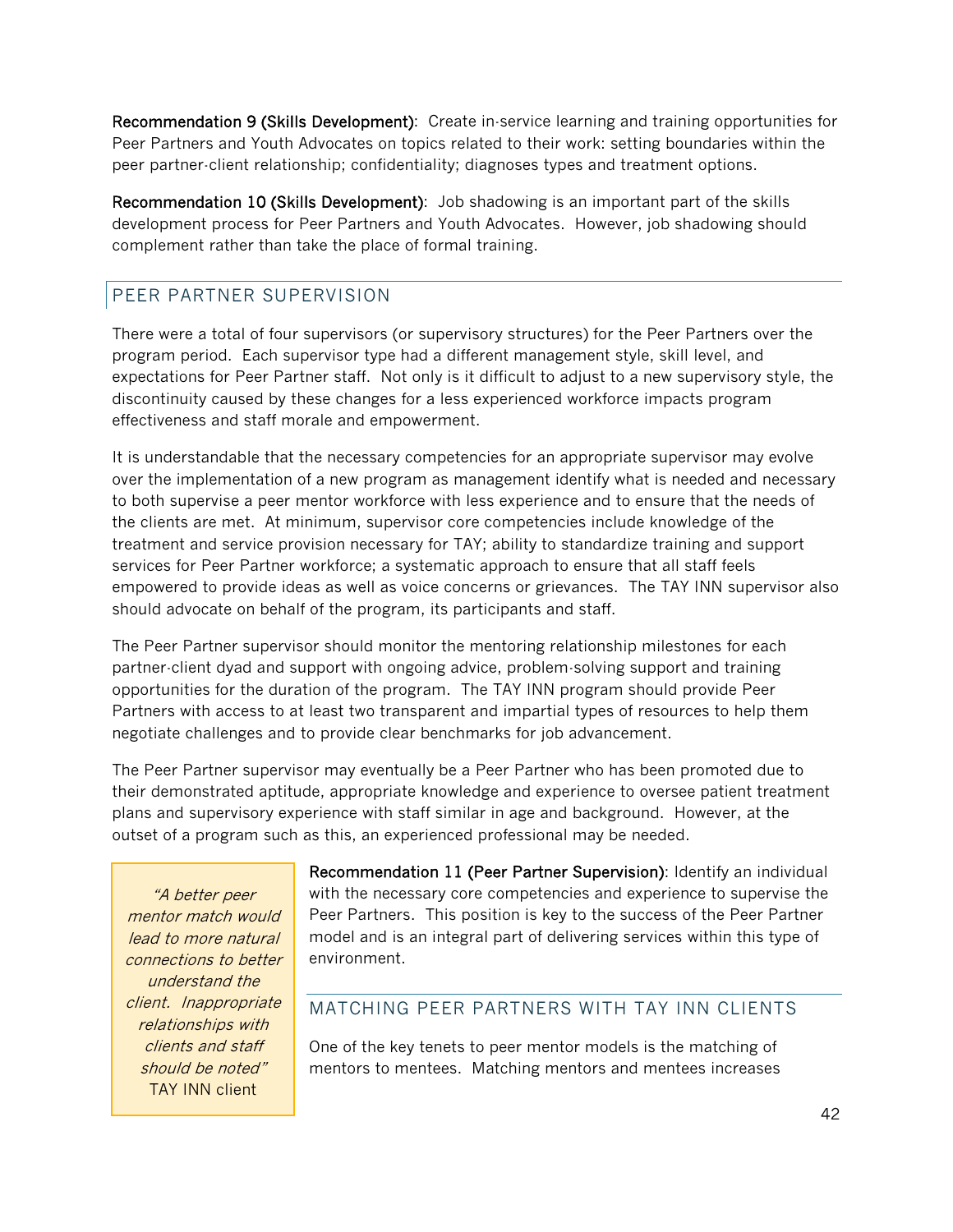Recommendation 9 (Skills Development): Create in-service learning and training opportunities for Peer Partners and Youth Advocates on topics related to their work: setting boundaries within the peer partner-client relationship; confidentiality; diagnoses types and treatment options.

Recommendation 10 (Skills Development): Job shadowing is an important part of the skills development process for Peer Partners and Youth Advocates. However, job shadowing should complement rather than take the place of formal training.

## PEER PARTNER SUPERVISION

There were a total of four supervisors (or supervisory structures) for the Peer Partners over the program period. Each supervisor type had a different management style, skill level, and expectations for Peer Partner staff. Not only is it difficult to adjust to a new supervisory style, the discontinuity caused by these changes for a less experienced workforce impacts program effectiveness and staff morale and empowerment.

It is understandable that the necessary competencies for an appropriate supervisor may evolve over the implementation of a new program as management identify what is needed and necessary to both supervise a peer mentor workforce with less experience and to ensure that the needs of the clients are met. At minimum, supervisor core competencies include knowledge of the treatment and service provision necessary for TAY; ability to standardize training and support services for Peer Partner workforce; a systematic approach to ensure that all staff feels empowered to provide ideas as well as voice concerns or grievances. The TAY INN supervisor also should advocate on behalf of the program, its participants and staff.

The Peer Partner supervisor should monitor the mentoring relationship milestones for each partner-client dyad and support with ongoing advice, problem-solving support and training opportunities for the duration of the program. The TAY INN program should provide Peer Partners with access to at least two transparent and impartial types of resources to help them negotiate challenges and to provide clear benchmarks for job advancement.

The Peer Partner supervisor may eventually be a Peer Partner who has been promoted due to their demonstrated aptitude, appropriate knowledge and experience to oversee patient treatment plans and supervisory experience with staff similar in age and background. However, at the outset of a program such as this, an experienced professional may be needed.

"A better peer mentor match would lead to more natural connections to better understand the client. Inappropriate relationships with clients and staff should be noted" TAY INN client

Recommendation 11 (Peer Partner Supervision): Identify an individual with the necessary core competencies and experience to supervise the Peer Partners. This position is key to the success of the Peer Partner model and is an integral part of delivering services within this type of environment.

#### MATCHING PEER PARTNERS WITH TAY INN CLIENTS

One of the key tenets to peer mentor models is the matching of mentors to mentees. Matching mentors and mentees increases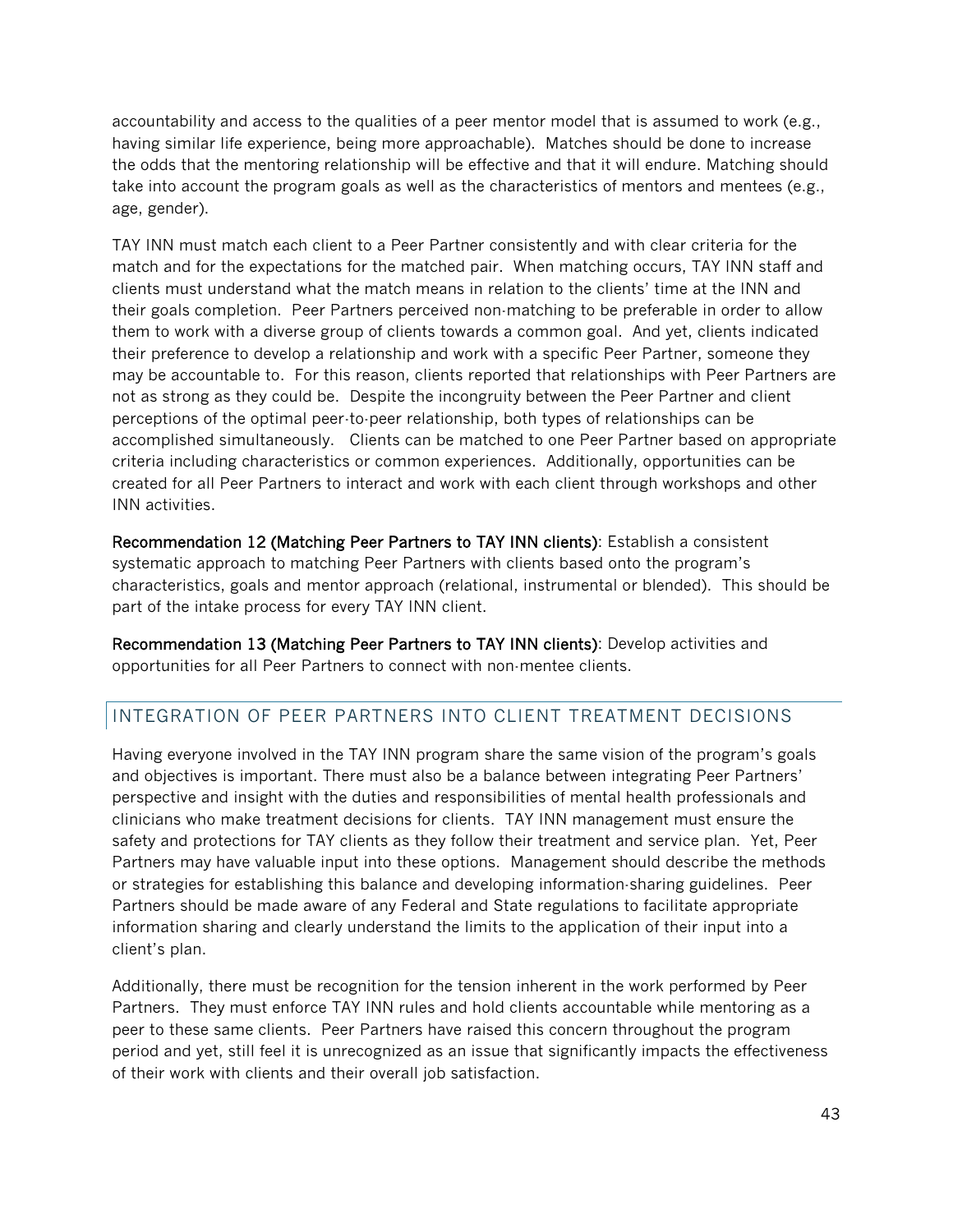accountability and access to the qualities of a peer mentor model that is assumed to work (e.g., having similar life experience, being more approachable). Matches should be done to increase the odds that the mentoring relationship will be effective and that it will endure. Matching should take into account the program goals as well as the characteristics of mentors and mentees (e.g., age, gender).

TAY INN must match each client to a Peer Partner consistently and with clear criteria for the match and for the expectations for the matched pair. When matching occurs, TAY INN staff and clients must understand what the match means in relation to the clients' time at the INN and their goals completion. Peer Partners perceived non-matching to be preferable in order to allow them to work with a diverse group of clients towards a common goal. And yet, clients indicated their preference to develop a relationship and work with a specific Peer Partner, someone they may be accountable to. For this reason, clients reported that relationships with Peer Partners are not as strong as they could be. Despite the incongruity between the Peer Partner and client perceptions of the optimal peer-to-peer relationship, both types of relationships can be accomplished simultaneously. Clients can be matched to one Peer Partner based on appropriate criteria including characteristics or common experiences. Additionally, opportunities can be created for all Peer Partners to interact and work with each client through workshops and other INN activities.

Recommendation 12 (Matching Peer Partners to TAY INN clients): Establish a consistent systematic approach to matching Peer Partners with clients based onto the program's characteristics, goals and mentor approach (relational, instrumental or blended). This should be part of the intake process for every TAY INN client.

Recommendation 13 (Matching Peer Partners to TAY INN clients): Develop activities and opportunities for all Peer Partners to connect with non-mentee clients.

## INTEGRATION OF PEER PARTNERS INTO CLIENT TREATMENT DECISIONS

Having everyone involved in the TAY INN program share the same vision of the program's goals and objectives is important. There must also be a balance between integrating Peer Partners' perspective and insight with the duties and responsibilities of mental health professionals and clinicians who make treatment decisions for clients. TAY INN management must ensure the safety and protections for TAY clients as they follow their treatment and service plan. Yet, Peer Partners may have valuable input into these options. Management should describe the methods or strategies for establishing this balance and developing information-sharing guidelines. Peer Partners should be made aware of any Federal and State regulations to facilitate appropriate information sharing and clearly understand the limits to the application of their input into a client's plan.

Additionally, there must be recognition for the tension inherent in the work performed by Peer Partners. They must enforce TAY INN rules and hold clients accountable while mentoring as a peer to these same clients. Peer Partners have raised this concern throughout the program period and yet, still feel it is unrecognized as an issue that significantly impacts the effectiveness of their work with clients and their overall job satisfaction.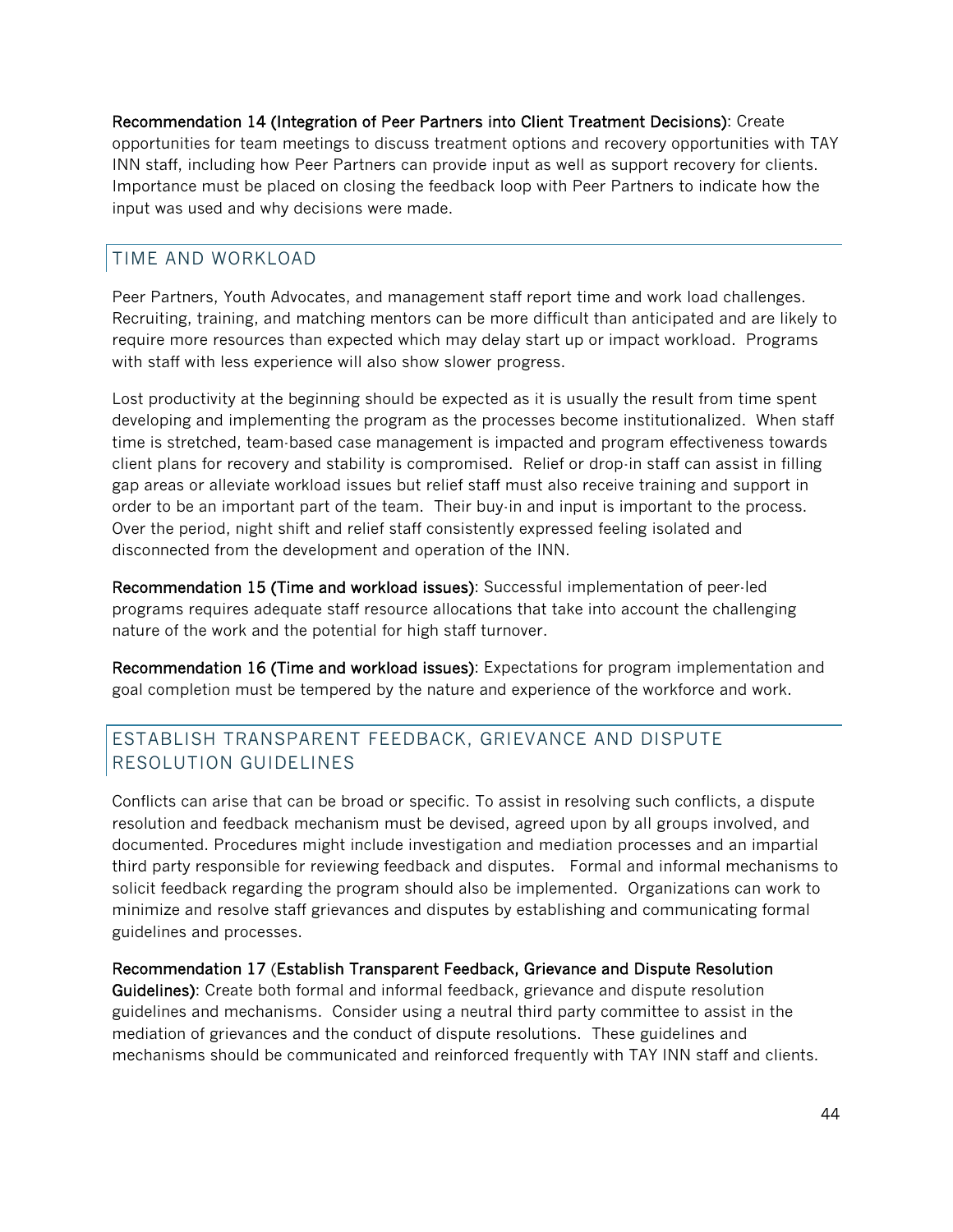Recommendation 14 (Integration of Peer Partners into Client Treatment Decisions): Create opportunities for team meetings to discuss treatment options and recovery opportunities with TAY INN staff, including how Peer Partners can provide input as well as support recovery for clients. Importance must be placed on closing the feedback loop with Peer Partners to indicate how the input was used and why decisions were made.

## TIME AND WORKLOAD

Peer Partners, Youth Advocates, and management staff report time and work load challenges. Recruiting, training, and matching mentors can be more difficult than anticipated and are likely to require more resources than expected which may delay start up or impact workload. Programs with staff with less experience will also show slower progress.

Lost productivity at the beginning should be expected as it is usually the result from time spent developing and implementing the program as the processes become institutionalized. When staff time is stretched, team-based case management is impacted and program effectiveness towards client plans for recovery and stability is compromised. Relief or drop-in staff can assist in filling gap areas or alleviate workload issues but relief staff must also receive training and support in order to be an important part of the team. Their buy-in and input is important to the process. Over the period, night shift and relief staff consistently expressed feeling isolated and disconnected from the development and operation of the INN.

Recommendation 15 (Time and workload issues): Successful implementation of peer-led programs requires adequate staff resource allocations that take into account the challenging nature of the work and the potential for high staff turnover.

Recommendation 16 (Time and workload issues): Expectations for program implementation and goal completion must be tempered by the nature and experience of the workforce and work.

## ESTABLISH TRANSPARENT FEEDBACK, GRIEVANCE AND DISPUTE RESOLUTION GUIDELINES

Conflicts can arise that can be broad or specific. To assist in resolving such conflicts, a dispute resolution and feedback mechanism must be devised, agreed upon by all groups involved, and documented. Procedures might include investigation and mediation processes and an impartial third party responsible for reviewing feedback and disputes. Formal and informal mechanisms to solicit feedback regarding the program should also be implemented. Organizations can work to minimize and resolve staff grievances and disputes by establishing and communicating formal guidelines and processes.

#### Recommendation 17 (Establish Transparent Feedback, Grievance and Dispute Resolution

Guidelines): Create both formal and informal feedback, grievance and dispute resolution guidelines and mechanisms. Consider using a neutral third party committee to assist in the mediation of grievances and the conduct of dispute resolutions. These guidelines and mechanisms should be communicated and reinforced frequently with TAY INN staff and clients.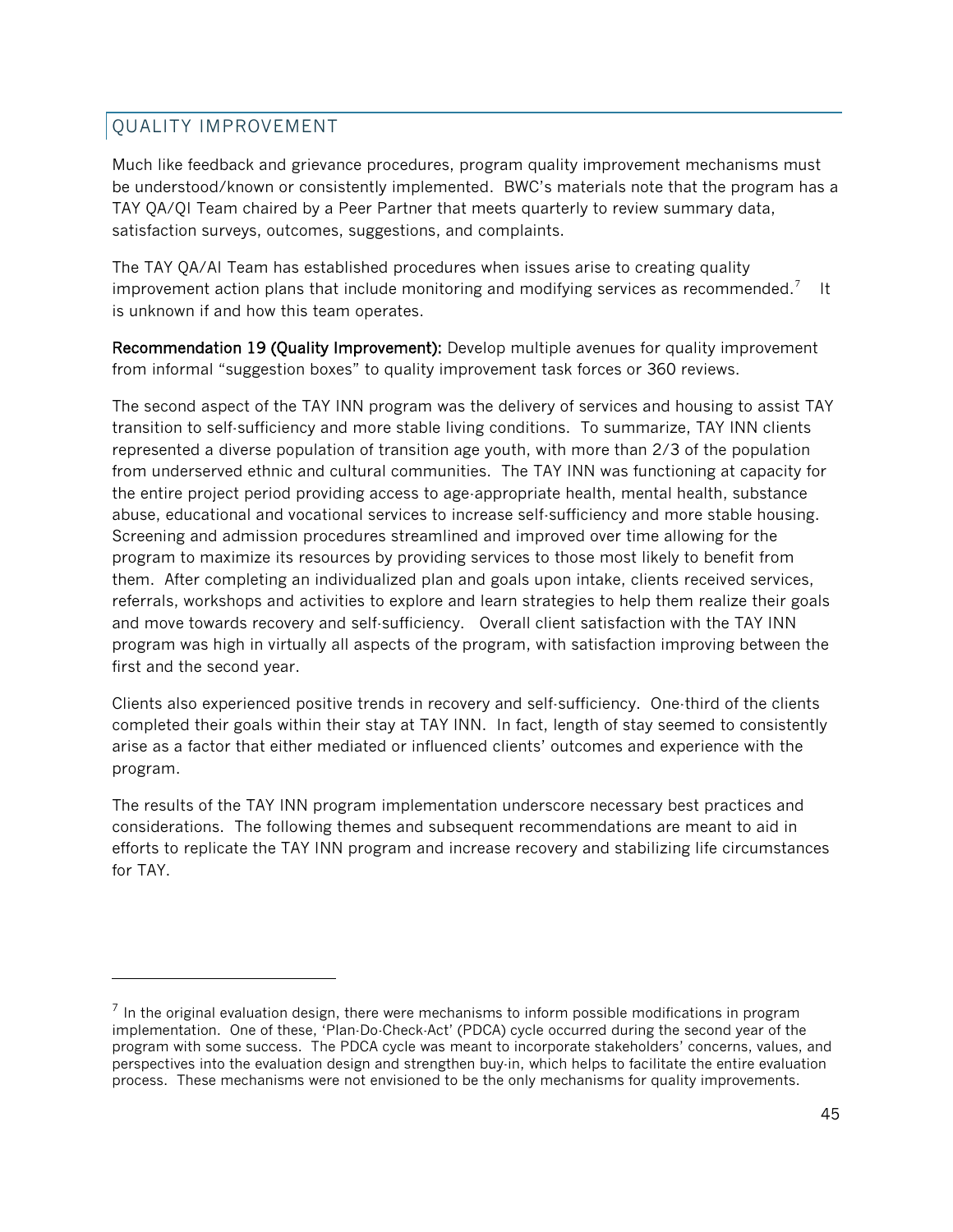## QUALITY IMPROVEMENT

l

Much like feedback and grievance procedures, program quality improvement mechanisms must be understood/known or consistently implemented. BWC's materials note that the program has a TAY QA/QI Team chaired by a Peer Partner that meets quarterly to review summary data, satisfaction surveys, outcomes, suggestions, and complaints.

The TAY QA/AI Team has established procedures when issues arise to creating quality improvement action plans that include monitoring and modifying services as recommended.<sup>[7](#page-44-0)</sup> It is unknown if and how this team operates.

Recommendation 19 (Quality Improvement): Develop multiple avenues for quality improvement from informal "suggestion boxes" to quality improvement task forces or 360 reviews.

The second aspect of the TAY INN program was the delivery of services and housing to assist TAY transition to self-sufficiency and more stable living conditions. To summarize, TAY INN clients represented a diverse population of transition age youth, with more than 2/3 of the population from underserved ethnic and cultural communities. The TAY INN was functioning at capacity for the entire project period providing access to age-appropriate health, mental health, substance abuse, educational and vocational services to increase self-sufficiency and more stable housing. Screening and admission procedures streamlined and improved over time allowing for the program to maximize its resources by providing services to those most likely to benefit from them. After completing an individualized plan and goals upon intake, clients received services, referrals, workshops and activities to explore and learn strategies to help them realize their goals and move towards recovery and self-sufficiency. Overall client satisfaction with the TAY INN program was high in virtually all aspects of the program, with satisfaction improving between the first and the second year.

Clients also experienced positive trends in recovery and self-sufficiency. One-third of the clients completed their goals within their stay at TAY INN. In fact, length of stay seemed to consistently arise as a factor that either mediated or influenced clients' outcomes and experience with the program.

The results of the TAY INN program implementation underscore necessary best practices and considerations. The following themes and subsequent recommendations are meant to aid in efforts to replicate the TAY INN program and increase recovery and stabilizing life circumstances for TAY.

<span id="page-44-0"></span> $<sup>7</sup>$  In the original evaluation design, there were mechanisms to inform possible modifications in program</sup> implementation. One of these, 'Plan-Do-Check-Act' (PDCA) cycle occurred during the second year of the program with some success. The PDCA cycle was meant to incorporate stakeholders' concerns, values, and perspectives into the evaluation design and strengthen buy-in, which helps to facilitate the entire evaluation process. These mechanisms were not envisioned to be the only mechanisms for quality improvements.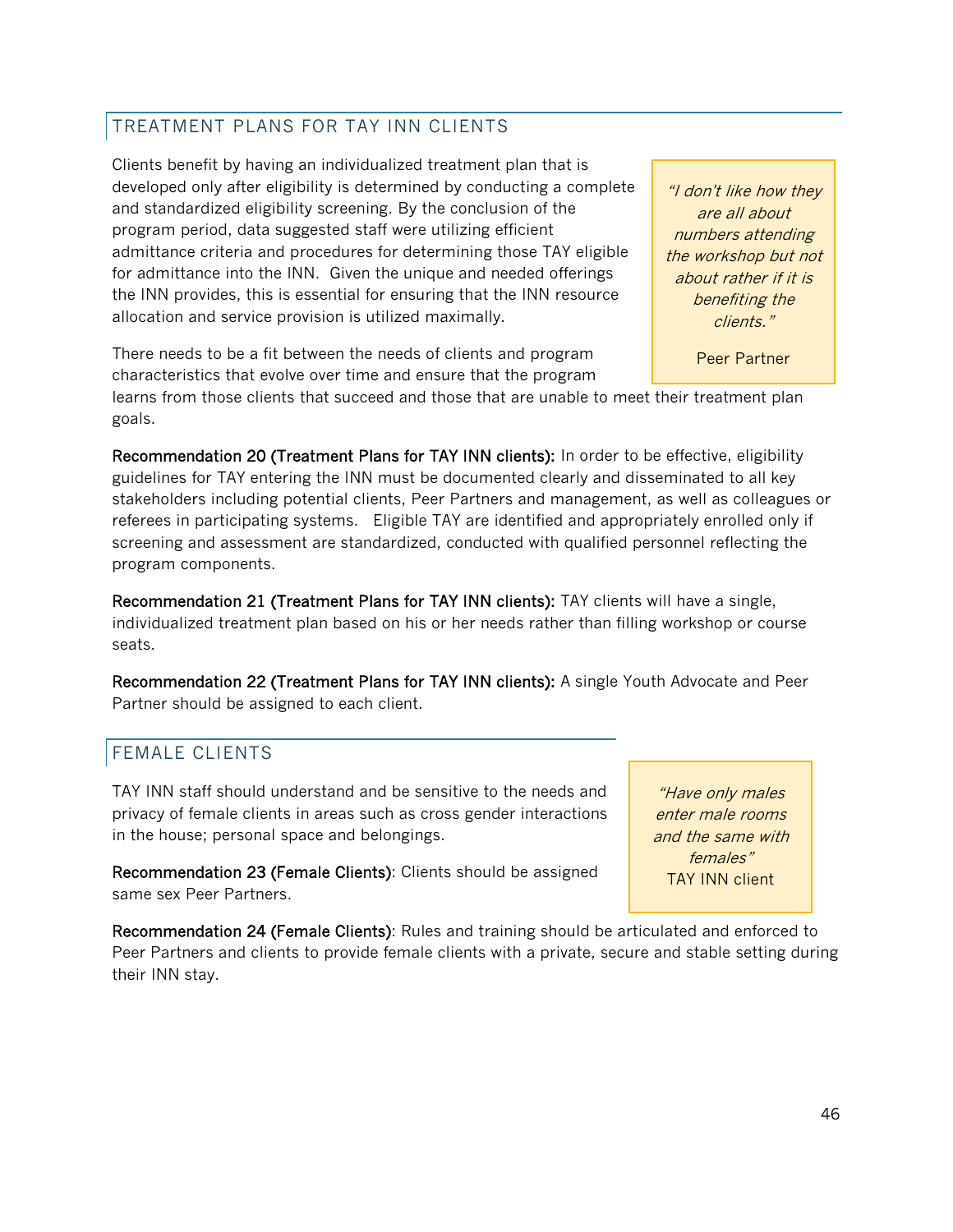## TREATMENT PLANS FOR TAY INN CLIENTS

Clients benefit by having an individualized treatment plan that is developed only after eligibility is determined by conducting a complete and standardized eligibility screening. By the conclusion of the program period, data suggested staff were utilizing efficient admittance criteria and procedures for determining those TAY eligible for admittance into the INN. Given the unique and needed offerings the INN provides, this is essential for ensuring that the INN resource allocation and service provision is utilized maximally.

"I don't like how they are all about numbers attending the workshop but not about rather if it is benefiting the clients."

Peer Partner

There needs to be a fit between the needs of clients and program characteristics that evolve over time and ensure that the program

learns from those clients that succeed and those that are unable to meet their treatment plan goals.

Recommendation 20 (Treatment Plans for TAY INN clients): In order to be effective, eligibility guidelines for TAY entering the INN must be documented clearly and disseminated to all key stakeholders including potential clients, Peer Partners and management, as well as colleagues or referees in participating systems. Eligible TAY are identified and appropriately enrolled only if screening and assessment are standardized, conducted with qualified personnel reflecting the program components.

Recommendation 21 (Treatment Plans for TAY INN clients): TAY clients will have a single, individualized treatment plan based on his or her needs rather than filling workshop or course seats.

Recommendation 22 (Treatment Plans for TAY INN clients): A single Youth Advocate and Peer Partner should be assigned to each client.

## FEMALE CLIENTS

TAY INN staff should understand and be sensitive to the needs and privacy of female clients in areas such as cross gender interactions in the house; personal space and belongings.

Recommendation 23 (Female Clients): Clients should be assigned same sex Peer Partners.

Recommendation 24 (Female Clients): Rules and training should be articulated and enforced to Peer Partners and clients to provide female clients with a private, secure and stable setting during their INN stay.

"Have only males enter male rooms and the same with females" TAY INN client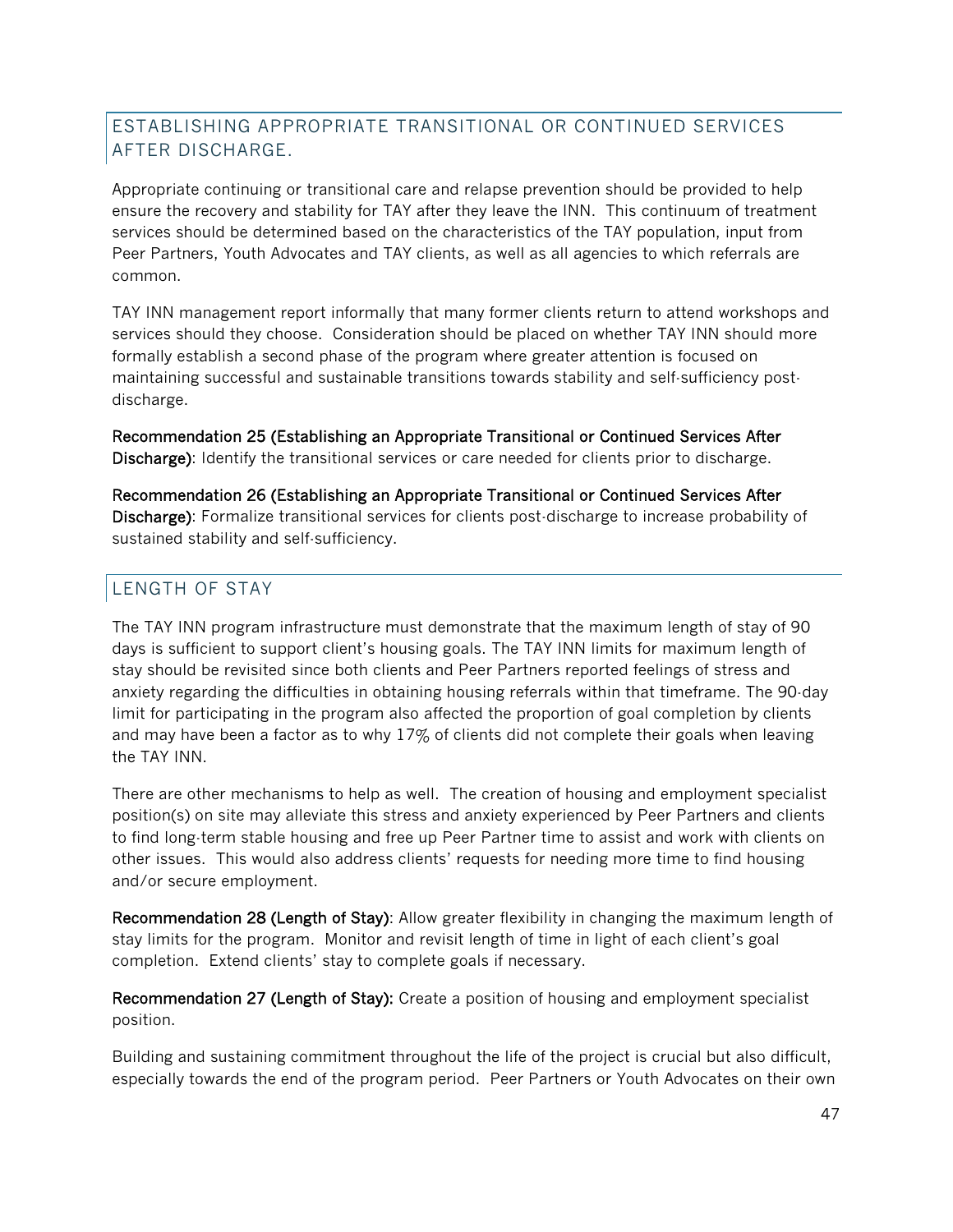## ESTABLISHING APPROPRIATE TRANSITIONAL OR CONTINUED SERVICES AFTER DISCHARGE.

Appropriate continuing or transitional care and relapse prevention should be provided to help ensure the recovery and stability for TAY after they leave the INN. This continuum of treatment services should be determined based on the characteristics of the TAY population, input from Peer Partners, Youth Advocates and TAY clients, as well as all agencies to which referrals are common.

TAY INN management report informally that many former clients return to attend workshops and services should they choose. Consideration should be placed on whether TAY INN should more formally establish a second phase of the program where greater attention is focused on maintaining successful and sustainable transitions towards stability and self-sufficiency postdischarge.

Recommendation 25 (Establishing an Appropriate Transitional or Continued Services After Discharge): Identify the transitional services or care needed for clients prior to discharge.

Recommendation 26 (Establishing an Appropriate Transitional or Continued Services After Discharge): Formalize transitional services for clients post-discharge to increase probability of sustained stability and self-sufficiency.

## LENGTH OF STAY

The TAY INN program infrastructure must demonstrate that the maximum length of stay of 90 days is sufficient to support client's housing goals. The TAY INN limits for maximum length of stay should be revisited since both clients and Peer Partners reported feelings of stress and anxiety regarding the difficulties in obtaining housing referrals within that timeframe. The 90-day limit for participating in the program also affected the proportion of goal completion by clients and may have been a factor as to why 17% of clients did not complete their goals when leaving the TAY INN.

There are other mechanisms to help as well. The creation of housing and employment specialist position(s) on site may alleviate this stress and anxiety experienced by Peer Partners and clients to find long-term stable housing and free up Peer Partner time to assist and work with clients on other issues. This would also address clients' requests for needing more time to find housing and/or secure employment.

Recommendation 28 (Length of Stay): Allow greater flexibility in changing the maximum length of stay limits for the program. Monitor and revisit length of time in light of each client's goal completion. Extend clients' stay to complete goals if necessary.

Recommendation 27 (Length of Stay): Create a position of housing and employment specialist position.

Building and sustaining commitment throughout the life of the project is crucial but also difficult, especially towards the end of the program period. Peer Partners or Youth Advocates on their own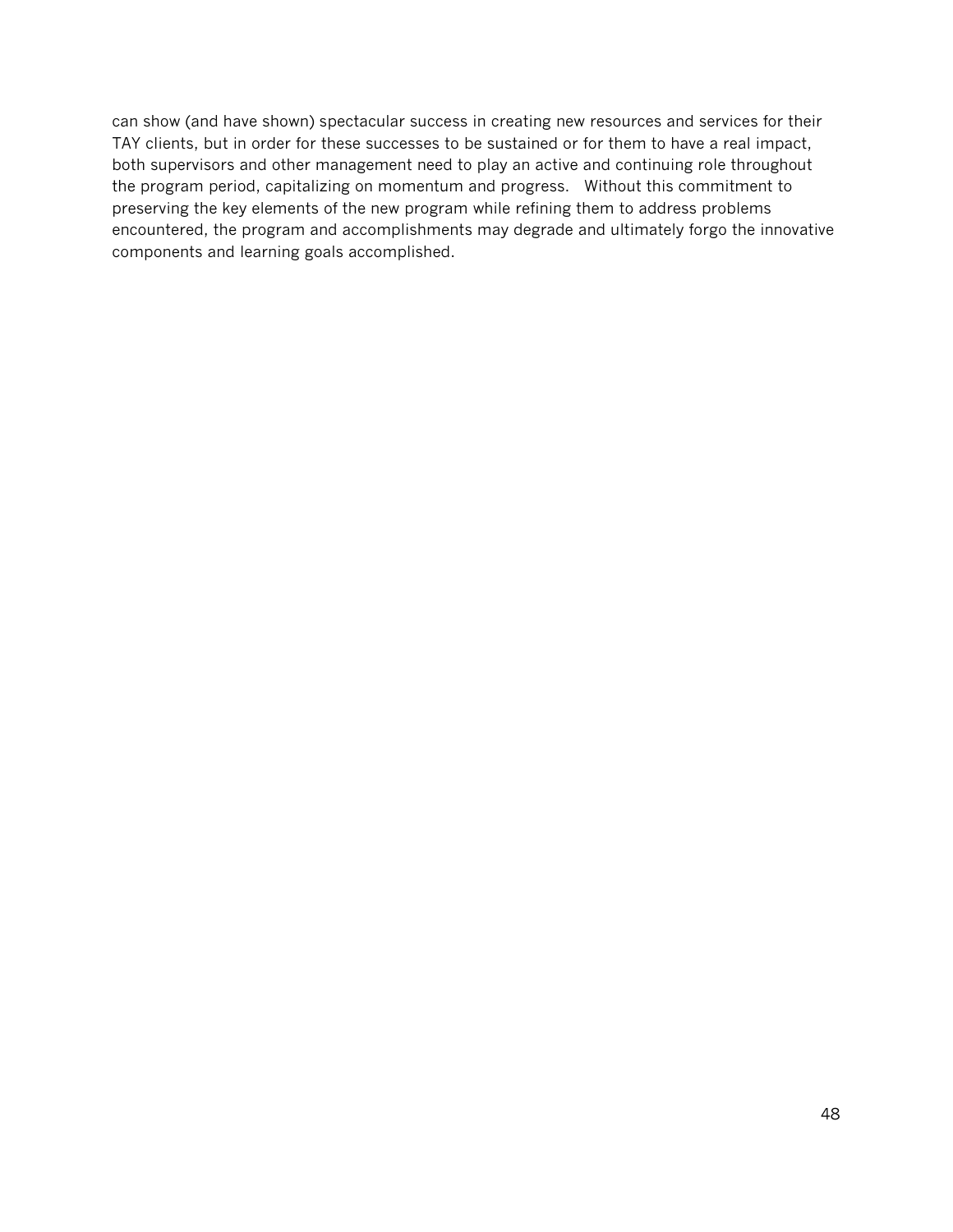can show (and have shown) spectacular success in creating new resources and services for their TAY clients, but in order for these successes to be sustained or for them to have a real impact, both supervisors and other management need to play an active and continuing role throughout the program period, capitalizing on momentum and progress. Without this commitment to preserving the key elements of the new program while refining them to address problems encountered, the program and accomplishments may degrade and ultimately forgo the innovative components and learning goals accomplished.